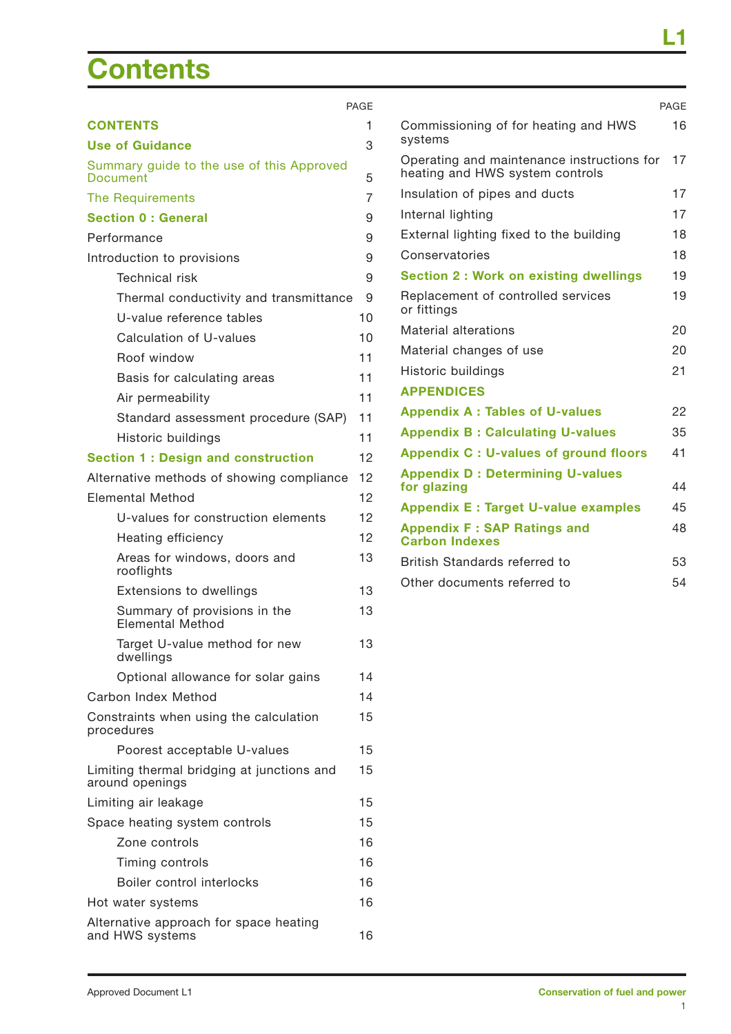# **Contents**

|                                                               | <b>PAGE</b> |                       |
|---------------------------------------------------------------|-------------|-----------------------|
| <b>CONTENTS</b>                                               | 1           | Comr                  |
| <b>Use of Guidance</b>                                        | 3           | syste                 |
| Summary guide to the use of this Approved<br>Document         | 5           | Opera<br>heatir       |
| <b>The Requirements</b>                                       | 7           | Insula                |
| <b>Section 0 : General</b>                                    | 9           | Interr                |
| Performance                                                   | 9           | Exter                 |
| Introduction to provisions                                    | 9           | Cons                  |
| <b>Technical risk</b>                                         | 9           | <b>Secti</b>          |
| Thermal conductivity and transmittance                        | 9           | Repla                 |
| U-value reference tables                                      | 10          | or fitt               |
| Calculation of U-values                                       | 10          | Mater                 |
| Roof window                                                   | 11          | Mater                 |
| Basis for calculating areas                                   | 11          | Histo                 |
| Air permeability                                              | 11          | <b>APPE</b>           |
| Standard assessment procedure (SAP)                           | 11          | <b>Appe</b>           |
| Historic buildings                                            | 11          | Appe                  |
| <b>Section 1: Design and construction</b>                     | 12          | Appe                  |
| Alternative methods of showing compliance                     | 12          | <b>Appe</b><br>for gl |
| <b>Elemental Method</b>                                       | 12          |                       |
| U-values for construction elements                            | 12          | Appe<br><b>Appe</b>   |
| Heating efficiency                                            | 12          | Carb                  |
| Areas for windows, doors and<br>rooflights                    | 13          | <b>Britis</b>         |
| <b>Extensions to dwellings</b>                                | 13          | Other                 |
| Summary of provisions in the<br>Elemental Method              | 13          |                       |
| Target U-value method for new<br>dwellings                    | 13          |                       |
| Optional allowance for solar gains                            | 14          |                       |
| Carbon Index Method                                           | 14          |                       |
| Constraints when using the calculation<br>procedures          | 15          |                       |
| Poorest acceptable U-values                                   | 15          |                       |
| Limiting thermal bridging at junctions and<br>around openings | 15          |                       |
| Limiting air leakage                                          | 15          |                       |
| Space heating system controls                                 | 15          |                       |
| Zone controls                                                 | 16          |                       |
| Timing controls                                               | 16          |                       |
| Boiler control interlocks                                     | 16          |                       |
| Hot water systems                                             | 16          |                       |
| Alternative approach for space heating                        |             |                       |

|                                                                               | PAGF |
|-------------------------------------------------------------------------------|------|
| Commissioning of for heating and HWS<br>systems                               | 16   |
| Operating and maintenance instructions for<br>heating and HWS system controls | 17   |
| Insulation of pipes and ducts                                                 | 17   |
| Internal lighting                                                             | 17   |
| External lighting fixed to the building                                       | 18   |
| Conservatories                                                                | 18   |
| <b>Section 2: Work on existing dwellings</b>                                  | 19   |
| Replacement of controlled services<br>or fittings                             | 19   |
| Material alterations                                                          | 20   |
| Material changes of use                                                       | 20   |
| Historic buildings                                                            | 21   |
| <b>APPENDICES</b>                                                             |      |
| <b>Appendix A: Tables of U-values</b>                                         | 22   |
| <b>Appendix B: Calculating U-values</b>                                       | 35   |
| Appendix C : U-values of ground floors                                        | 41   |
| <b>Appendix D: Determining U-values</b><br>for glazing                        | 44   |
| <b>Appendix E: Target U-value examples</b>                                    | 45   |
| <b>Appendix F: SAP Ratings and</b><br><b>Carbon Indexes</b>                   | 48   |
| British Standards referred to                                                 | 53   |
| Other documents referred to                                                   | 54   |

and HWS systems 16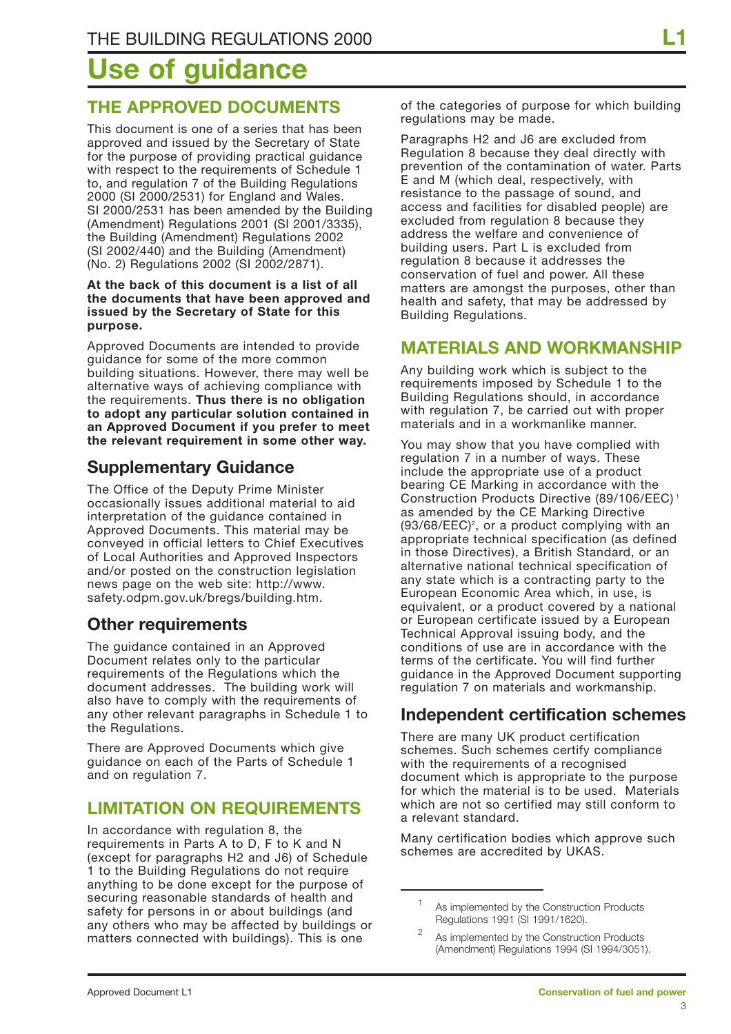# **Use of guidance**

### **THE APPROVED DOCUMENTS**

This document is one of a series that has been approved and issued by the Secretary of State for the purpose of providing practical guidance with respect to the requirements of Schedule 1 to, and regulation 7 of the Building Regulations 2000 (SI 2000/2531) for England and Wales. SI 2000/2531 has been amended by the Building (Amendment) Regulations 2001 (SI 2001/3335), the Building (Amendment) Regulations 2002 (SI 2002/440) and the Building (Amendment) (No. 2) Regulations 2002 (SI 2002/2871).

#### **At the back of this document is a list of all the documents that have been approved and issued by the Secretary of State for this purpose.**

Approved Documents are intended to provide guidance for some of the more common building situations. However, there may well be alternative ways of achieving compliance with the requirements. **Thus there is no obligation to adopt any particular solution contained in an Approved Document if you prefer to meet the relevant requirement in some other way.**

## **Supplementary Guidance**

The Office of the Deputy Prime Minister occasionally issues additional material to aid interpretation of the guidance contained in Approved Documents. This material may be conveyed in official letters to Chief Executives of Local Authorities and Approved Inspectors and/or posted on the construction legislation news page on the web site: http://www. safety.odpm.gov.uk/bregs/building.htm.

### **Other requirements**

The guidance contained in an Approved Document relates only to the particular requirements of the Regulations which the document addresses. The building work will also have to comply with the requirements of any other relevant paragraphs in Schedule 1 to the Regulations.

There are Approved Documents which give guidance on each of the Parts of Schedule 1 and on regulation 7.

### **LIMITATION ON REQUIREMENTS**

In accordance with regulation 8, the requirements in Parts A to D, F to K and N (except for paragraphs H2 and J6) of Schedule 1 to the Building Regulations do not require anything to be done except for the purpose of securing reasonable standards of health and safety for persons in or about buildings (and any others who may be affected by buildings or matters connected with buildings). This is one

of the categories of purpose for which building regulations may be made.

Paragraphs H2 and J6 are excluded from Regulation 8 because they deal directly with prevention of the contamination of water. Parts E and M (which deal, respectively, with resistance to the passage of sound, and access and facilities for disabled people) are excluded from regulation 8 because they address the welfare and convenience of building users. Part L is excluded from regulation 8 because it addresses the conservation of fuel and power. All these matters are amongst the purposes, other than health and safety, that may be addressed by Building Regulations.

### **MATERIALS AND WORKMANSHIP**

Any building work which is subject to the requirements imposed by Schedule 1 to the Building Regulations should, in accordance with regulation 7, be carried out with proper materials and in a workmanlike manner.

You may show that you have complied with regulation 7 in a number of ways. These include the appropriate use of a product bearing CE Marking in accordance with the Construction Products Directive (89/106/EEC) <sup>1</sup> as amended by the CE Marking Directive (93/68/EEC)<sup>2</sup>, or a product complying with an appropriate technical specification (as defined in those Directives), a British Standard, or an alternative national technical specification of any state which is a contracting party to the European Economic Area which, in use, is equivalent, or a product covered by a national or European certificate issued by a European Technical Approval issuing body, and the conditions of use are in accordance with the terms of the certificate. You will find further guidance in the Approved Document supporting regulation 7 on materials and workmanship.

### **Independent certification schemes**

There are many UK product certification schemes. Such schemes certify compliance with the requirements of a recognised document which is appropriate to the purpose for which the material is to be used. Materials which are not so certified may still conform to a relevant standard.

Many certification bodies which approve such schemes are accredited by UKAS.

<sup>&</sup>lt;sup>1</sup> As implemented by the Construction Products Regulations 1991 (SI 1991/1620).

<sup>&</sup>lt;sup>2</sup> As implemented by the Construction Products (Amendment) Regulations 1994 (SI 1994/3051).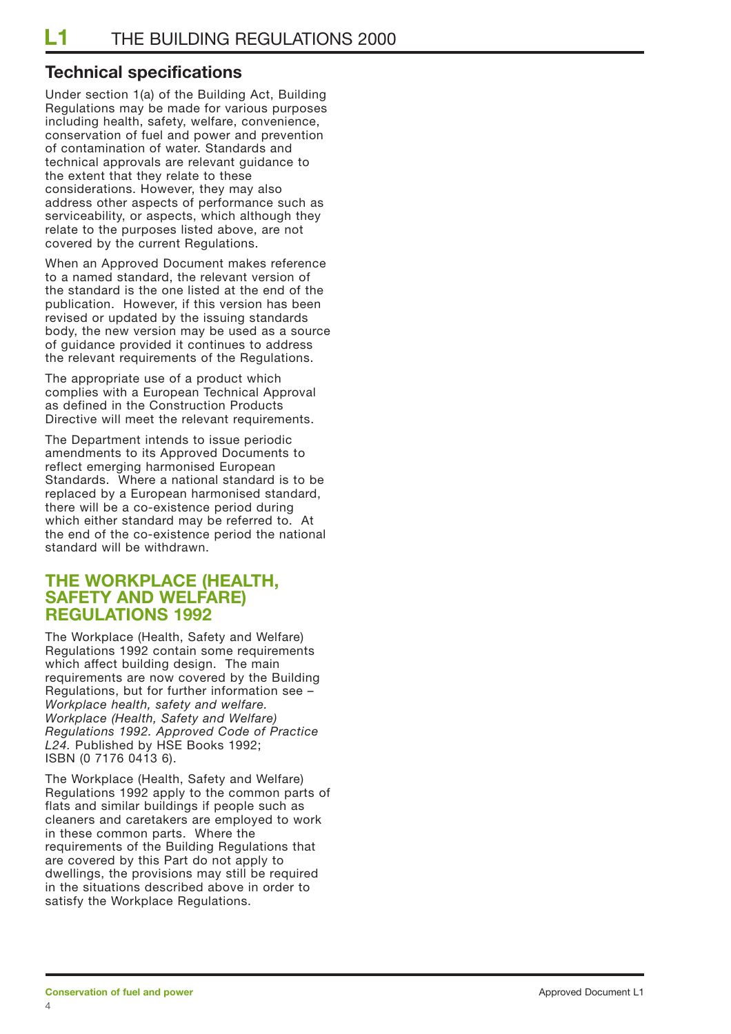### **Technical specifications**

Under section 1(a) of the Building Act, Building Regulations may be made for various purposes including health, safety, welfare, convenience, conservation of fuel and power and prevention of contamination of water. Standards and technical approvals are relevant guidance to the extent that they relate to these considerations. However, they may also address other aspects of performance such as serviceability, or aspects, which although they relate to the purposes listed above, are not covered by the current Regulations.

When an Approved Document makes reference to a named standard, the relevant version of the standard is the one listed at the end of the publication. However, if this version has been revised or updated by the issuing standards body, the new version may be used as a source of guidance provided it continues to address the relevant requirements of the Regulations.

The appropriate use of a product which complies with a European Technical Approval as defined in the Construction Products Directive will meet the relevant requirements.

The Department intends to issue periodic amendments to its Approved Documents to reflect emerging harmonised European Standards. Where a national standard is to be replaced by a European harmonised standard, there will be a co-existence period during which either standard may be referred to. At the end of the co-existence period the national standard will be withdrawn.

#### **THE WORKPLACE (HEALTH, SAFETY AND WELFARE) REGULATIONS 1992**

The Workplace (Health, Safety and Welfare) Regulations 1992 contain some requirements which affect building design. The main requirements are now covered by the Building Regulations, but for further information see – *Workplace health, safety and welfare. Workplace (Health, Safety and Welfare) Regulations 1992. Approved Code of Practice L24.* Published by HSE Books 1992; ISBN (0 7176 0413 6).

The Workplace (Health, Safety and Welfare) Regulations 1992 apply to the common parts of flats and similar buildings if people such as cleaners and caretakers are employed to work in these common parts. Where the requirements of the Building Regulations that are covered by this Part do not apply to dwellings, the provisions may still be required in the situations described above in order to satisfy the Workplace Regulations.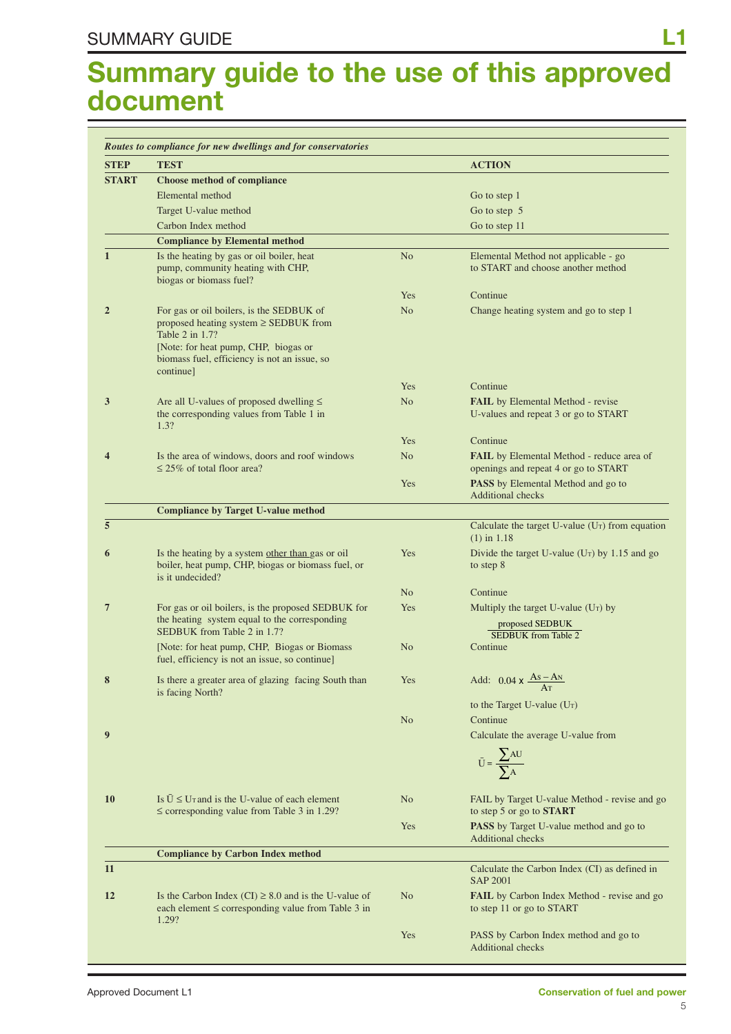## **Summary guide to the use of this approved document**

| <b>STEP</b>    | <b>TEST</b>                                                                                                                                                                                                    |                | <b>ACTION</b>                                                                                      |
|----------------|----------------------------------------------------------------------------------------------------------------------------------------------------------------------------------------------------------------|----------------|----------------------------------------------------------------------------------------------------|
| <b>START</b>   | <b>Choose method of compliance</b>                                                                                                                                                                             |                |                                                                                                    |
|                | Elemental method                                                                                                                                                                                               |                | Go to step 1                                                                                       |
|                | Target U-value method                                                                                                                                                                                          |                | Go to step 5                                                                                       |
|                | Carbon Index method                                                                                                                                                                                            |                | Go to step 11                                                                                      |
|                | <b>Compliance by Elemental method</b>                                                                                                                                                                          |                |                                                                                                    |
| 1              | Is the heating by gas or oil boiler, heat<br>pump, community heating with CHP,<br>biogas or biomass fuel?                                                                                                      | N <sub>o</sub> | Elemental Method not applicable - go<br>to START and choose another method                         |
|                |                                                                                                                                                                                                                | Yes            | Continue                                                                                           |
| $\overline{2}$ | For gas or oil boilers, is the SEDBUK of<br>proposed heating system $\geq$ SEDBUK from<br>Table 2 in 1.7?<br>[Note: for heat pump, CHP, biogas or<br>biomass fuel, efficiency is not an issue, so<br>continue] | N <sub>o</sub> | Change heating system and go to step 1                                                             |
|                |                                                                                                                                                                                                                | Yes            | Continue                                                                                           |
| 3              | Are all U-values of proposed dwelling $\leq$<br>the corresponding values from Table 1 in<br>1.3?                                                                                                               | N <sub>o</sub> | <b>FAIL</b> by Elemental Method - revise<br>U-values and repeat 3 or go to START                   |
|                |                                                                                                                                                                                                                | Yes            | Continue                                                                                           |
| 4              | Is the area of windows, doors and roof windows<br>$\leq$ 25% of total floor area?                                                                                                                              | N <sub>o</sub> | FAIL by Elemental Method - reduce area of<br>openings and repeat 4 or go to START                  |
|                |                                                                                                                                                                                                                | Yes            | PASS by Elemental Method and go to<br><b>Additional checks</b>                                     |
|                | <b>Compliance by Target U-value method</b>                                                                                                                                                                     |                |                                                                                                    |
| 5              |                                                                                                                                                                                                                |                | Calculate the target U-value $(U_T)$ from equation<br>$(1)$ in 1.18                                |
| 6              | Is the heating by a system other than gas or oil<br>boiler, heat pump, CHP, biogas or biomass fuel, or<br>is it undecided?                                                                                     | Yes            | Divide the target U-value ( $Ur$ ) by 1.15 and go<br>to step 8                                     |
|                |                                                                                                                                                                                                                | N <sub>o</sub> | Continue                                                                                           |
| 7              | For gas or oil boilers, is the proposed SEDBUK for<br>the heating system equal to the corresponding<br>SEDBUK from Table 2 in 1.7?                                                                             | Yes            | Multiply the target U-value $(U_T)$ by<br>proposed SEDBUK<br><b>SEDBUK</b> from Table 2            |
|                | [Note: for heat pump, CHP, Biogas or Biomass]<br>fuel, efficiency is not an issue, so continue]                                                                                                                | N <sub>o</sub> | Continue                                                                                           |
|                | Is there a greater area of glazing facing South than<br>is facing North?                                                                                                                                       | Yes            | Add: $0.04 \times \frac{As - As}{s}$<br>Aт                                                         |
|                |                                                                                                                                                                                                                |                | to the Target U-value $(U_T)$<br>Continue                                                          |
| 9              |                                                                                                                                                                                                                | No             | Calculate the average U-value from                                                                 |
|                |                                                                                                                                                                                                                |                | $\bar{U} = \frac{\sum AU}{\sum A}$                                                                 |
| <b>10</b>      | Is $\overline{U} \le U_T$ and is the U-value of each element<br>$\leq$ corresponding value from Table 3 in 1.29?                                                                                               | N <sub>o</sub> | FAIL by Target U-value Method - revise and go<br>to step 5 or go to <b>START</b>                   |
|                |                                                                                                                                                                                                                | Yes            | <b>PASS</b> by Target U-value method and go to<br><b>Additional checks</b>                         |
|                | <b>Compliance by Carbon Index method</b>                                                                                                                                                                       |                |                                                                                                    |
| 11             |                                                                                                                                                                                                                |                | Calculate the Carbon Index (CI) as defined in                                                      |
| 12             | Is the Carbon Index (CI) $\geq 8.0$ and is the U-value of<br>each element $\leq$ corresponding value from Table 3 in                                                                                           | N <sub>o</sub> | <b>SAP 2001</b><br><b>FAIL</b> by Carbon Index Method - revise and go<br>to step 11 or go to START |
|                | 1.29?                                                                                                                                                                                                          |                |                                                                                                    |
|                |                                                                                                                                                                                                                | Yes            | PASS by Carbon Index method and go to<br><b>Additional checks</b>                                  |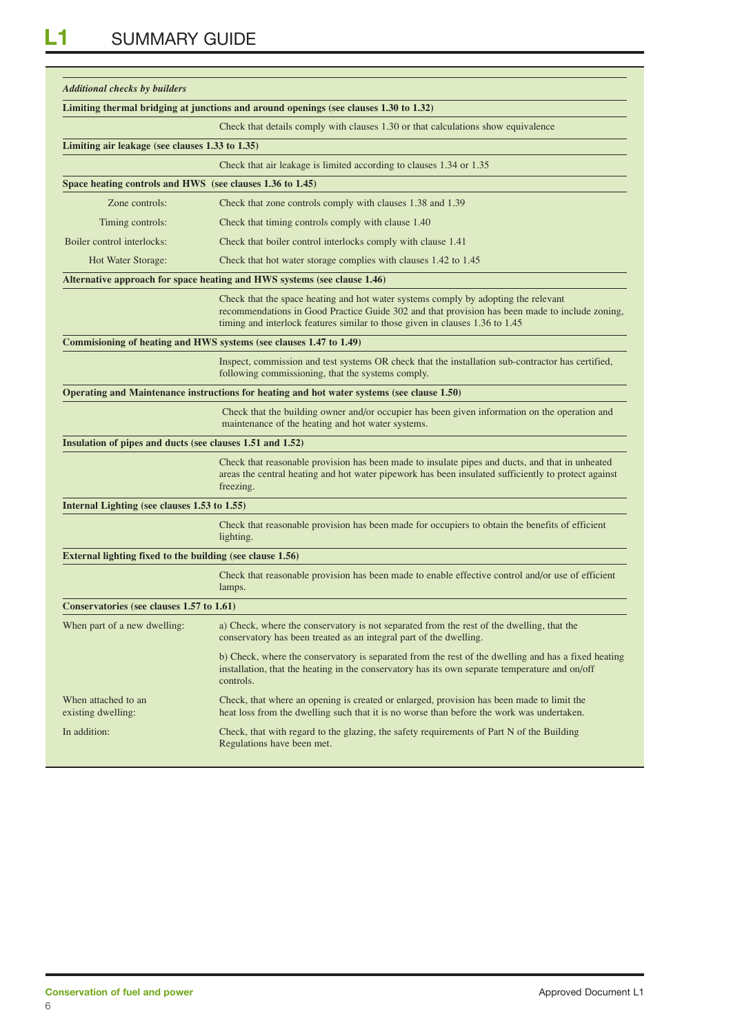| <b>Additional checks by builders</b>                      |                                                                                                                                                                                                                                                                      |
|-----------------------------------------------------------|----------------------------------------------------------------------------------------------------------------------------------------------------------------------------------------------------------------------------------------------------------------------|
|                                                           | Limiting thermal bridging at junctions and around openings (see clauses 1.30 to 1.32)                                                                                                                                                                                |
|                                                           | Check that details comply with clauses 1.30 or that calculations show equivalence                                                                                                                                                                                    |
| Limiting air leakage (see clauses 1.33 to 1.35)           |                                                                                                                                                                                                                                                                      |
|                                                           | Check that air leakage is limited according to clauses 1.34 or 1.35                                                                                                                                                                                                  |
| Space heating controls and HWS (see clauses 1.36 to 1.45) |                                                                                                                                                                                                                                                                      |
| Zone controls:                                            | Check that zone controls comply with clauses 1.38 and 1.39                                                                                                                                                                                                           |
| Timing controls:                                          | Check that timing controls comply with clause 1.40                                                                                                                                                                                                                   |
| Boiler control interlocks:                                | Check that boiler control interlocks comply with clause 1.41                                                                                                                                                                                                         |
| Hot Water Storage:                                        | Check that hot water storage complies with clauses 1.42 to 1.45                                                                                                                                                                                                      |
|                                                           | Alternative approach for space heating and HWS systems (see clause 1.46)                                                                                                                                                                                             |
|                                                           | Check that the space heating and hot water systems comply by adopting the relevant<br>recommendations in Good Practice Guide 302 and that provision has been made to include zoning,<br>timing and interlock features similar to those given in clauses 1.36 to 1.45 |
|                                                           | Commisioning of heating and HWS systems (see clauses 1.47 to 1.49)                                                                                                                                                                                                   |
|                                                           | Inspect, commission and test systems OR check that the installation sub-contractor has certified,<br>following commissioning, that the systems comply.                                                                                                               |
|                                                           | Operating and Maintenance instructions for heating and hot water systems (see clause 1.50)                                                                                                                                                                           |
|                                                           | Check that the building owner and/or occupier has been given information on the operation and<br>maintenance of the heating and hot water systems.                                                                                                                   |
| Insulation of pipes and ducts (see clauses 1.51 and 1.52) |                                                                                                                                                                                                                                                                      |
|                                                           | Check that reasonable provision has been made to insulate pipes and ducts, and that in unheated<br>areas the central heating and hot water pipework has been insulated sufficiently to protect against<br>freezing.                                                  |
| Internal Lighting (see clauses 1.53 to 1.55)              |                                                                                                                                                                                                                                                                      |
|                                                           | Check that reasonable provision has been made for occupiers to obtain the benefits of efficient<br>lighting.                                                                                                                                                         |
| External lighting fixed to the building (see clause 1.56) |                                                                                                                                                                                                                                                                      |
|                                                           | Check that reasonable provision has been made to enable effective control and/or use of efficient<br>lamps.                                                                                                                                                          |
| Conservatories (see clauses 1.57 to 1.61)                 |                                                                                                                                                                                                                                                                      |
| When part of a new dwelling:                              | a) Check, where the conservatory is not separated from the rest of the dwelling, that the<br>conservatory has been treated as an integral part of the dwelling.                                                                                                      |
|                                                           | b) Check, where the conservatory is separated from the rest of the dwelling and has a fixed heating<br>installation, that the heating in the conservatory has its own separate temperature and on/off<br>controls.                                                   |
| When attached to an<br>existing dwelling:                 | Check, that where an opening is created or enlarged, provision has been made to limit the<br>heat loss from the dwelling such that it is no worse than before the work was undertaken.                                                                               |
| In addition:                                              | Check, that with regard to the glazing, the safety requirements of Part N of the Building<br>Regulations have been met.                                                                                                                                              |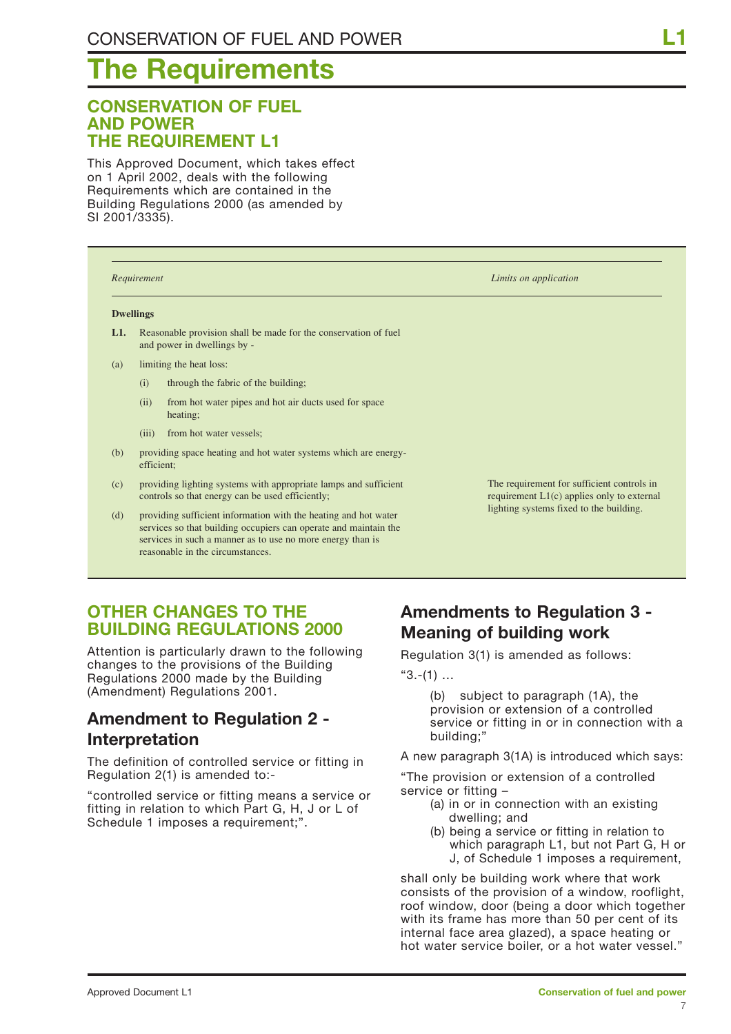# **The Requirements**

### **CONSERVATION OF FUEL AND POWER THE REQUIREMENT L1**

This Approved Document, which takes effect on 1 April 2002, deals with the following Requirements which are contained in the Building Regulations 2000 (as amended by SI 2001/3335).

|     | Requirement      |                                                                                                                                                                                                                                       | Limits on application                                                                      |
|-----|------------------|---------------------------------------------------------------------------------------------------------------------------------------------------------------------------------------------------------------------------------------|--------------------------------------------------------------------------------------------|
|     | <b>Dwellings</b> |                                                                                                                                                                                                                                       |                                                                                            |
| L1. |                  | Reasonable provision shall be made for the conservation of fuel<br>and power in dwellings by -                                                                                                                                        |                                                                                            |
| (a) |                  | limiting the heat loss:                                                                                                                                                                                                               |                                                                                            |
|     | (i)              | through the fabric of the building;                                                                                                                                                                                                   |                                                                                            |
|     | (ii)             | from hot water pipes and hot air ducts used for space<br>heating;                                                                                                                                                                     |                                                                                            |
|     | (iii)            | from hot water vessels;                                                                                                                                                                                                               |                                                                                            |
| (b) | efficient;       | providing space heating and hot water systems which are energy-                                                                                                                                                                       |                                                                                            |
| (c) |                  | providing lighting systems with appropriate lamps and sufficient<br>controls so that energy can be used efficiently;                                                                                                                  | The requirement for sufficient controls in<br>requirement $L1(c)$ applies only to external |
| (d) |                  | providing sufficient information with the heating and hot water<br>services so that building occupiers can operate and maintain the<br>services in such a manner as to use no more energy than is<br>reasonable in the circumstances. | lighting systems fixed to the building.                                                    |

### **OTHER CHANGES TO THE BUILDING REGULATIONS 2000**

Attention is particularly drawn to the following changes to the provisions of the Building Regulations 2000 made by the Building (Amendment) Regulations 2001.

## **Amendment to Regulation 2 - Interpretation**

The definition of controlled service or fitting in Regulation 2(1) is amended to:-

"controlled service or fitting means a service or fitting in relation to which Part G, H, J or L of Schedule 1 imposes a requirement;".

## **Amendments to Regulation 3 - Meaning of building work**

Regulation 3(1) is amended as follows:

 $"3.-(1)$  ...

(b) subject to paragraph (1A), the provision or extension of a controlled service or fitting in or in connection with a building;"

A new paragraph 3(1A) is introduced which says:

"The provision or extension of a controlled service or fitting –

- (a) in or in connection with an existing dwelling; and
- (b) being a service or fitting in relation to which paragraph L1, but not Part G, H or J, of Schedule 1 imposes a requirement,

shall only be building work where that work consists of the provision of a window, rooflight, roof window, door (being a door which together with its frame has more than 50 per cent of its internal face area glazed), a space heating or hot water service boiler, or a hot water vessel."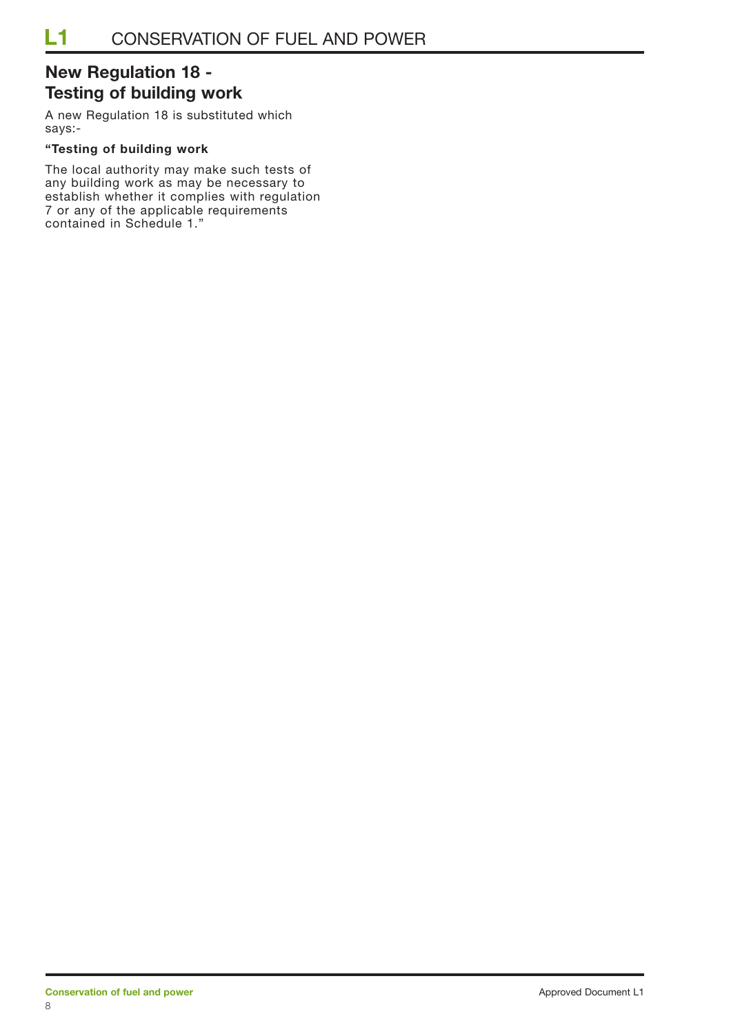## **New Regulation 18 - Testing of building work**

A new Regulation 18 is substituted which says:-

#### **"Testing of building work**

The local authority may make such tests of any building work as may be necessary to establish whether it complies with regulation 7 or any of the applicable requirements contained in Schedule 1."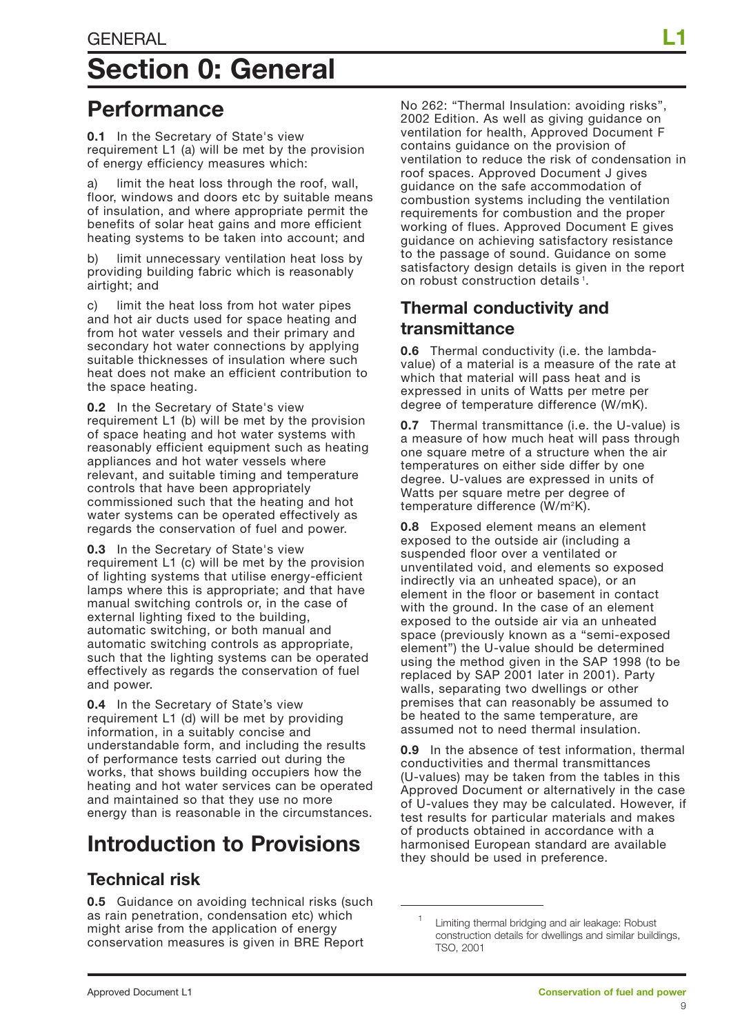# **Section 0: General**

## **Performance**

**0.1** In the Secretary of State's view requirement L1 (a) will be met by the provision of energy efficiency measures which:

a) limit the heat loss through the roof, wall, floor, windows and doors etc by suitable means of insulation, and where appropriate permit the benefits of solar heat gains and more efficient heating systems to be taken into account; and

b) limit unnecessary ventilation heat loss by providing building fabric which is reasonably airtight; and

c) limit the heat loss from hot water pipes and hot air ducts used for space heating and from hot water vessels and their primary and secondary hot water connections by applying suitable thicknesses of insulation where such heat does not make an efficient contribution to the space heating.

**0.2** In the Secretary of State's view requirement L1 (b) will be met by the provision of space heating and hot water systems with reasonably efficient equipment such as heating appliances and hot water vessels where relevant, and suitable timing and temperature controls that have been appropriately commissioned such that the heating and hot water systems can be operated effectively as regards the conservation of fuel and power.

**0.3** In the Secretary of State's view requirement L1 (c) will be met by the provision of lighting systems that utilise energy-efficient lamps where this is appropriate; and that have manual switching controls or, in the case of external lighting fixed to the building, automatic switching, or both manual and automatic switching controls as appropriate, such that the lighting systems can be operated effectively as regards the conservation of fuel and power.

**0.4** In the Secretary of State's view requirement L1 (d) will be met by providing information, in a suitably concise and understandable form, and including the results of performance tests carried out during the works, that shows building occupiers how the heating and hot water services can be operated and maintained so that they use no more energy than is reasonable in the circumstances.

## **Introduction to Provisions**

## **Technical risk**

**0.5** Guidance on avoiding technical risks (such as rain penetration, condensation etc) which might arise from the application of energy conservation measures is given in BRE Report

No 262: "Thermal Insulation: avoiding risks", 2002 Edition. As well as giving guidance on ventilation for health, Approved Document F contains guidance on the provision of ventilation to reduce the risk of condensation in roof spaces. Approved Document J gives guidance on the safe accommodation of combustion systems including the ventilation requirements for combustion and the proper working of flues. Approved Document E gives guidance on achieving satisfactory resistance to the passage of sound. Guidance on some satisfactory design details is given in the report on robust construction details<sup>1</sup>.

## **Thermal conductivity and transmittance**

**0.6** Thermal conductivity (i.e. the lambdavalue) of a material is a measure of the rate at which that material will pass heat and is expressed in units of Watts per metre per degree of temperature difference (W/mK).

**0.7** Thermal transmittance (i.e. the U-value) is a measure of how much heat will pass through one square metre of a structure when the air temperatures on either side differ by one degree. U-values are expressed in units of Watts per square metre per degree of temperature difference (W/m2 K).

**0.8** Exposed element means an element exposed to the outside air (including a suspended floor over a ventilated or unventilated void, and elements so exposed indirectly via an unheated space), or an element in the floor or basement in contact with the ground. In the case of an element exposed to the outside air via an unheated space (previously known as a "semi-exposed element") the U-value should be determined using the method given in the SAP 1998 (to be replaced by SAP 2001 later in 2001). Party walls, separating two dwellings or other premises that can reasonably be assumed to be heated to the same temperature, are assumed not to need thermal insulation.

**0.9** In the absence of test information, thermal conductivities and thermal transmittances (U-values) may be taken from the tables in this Approved Document or alternatively in the case of U-values they may be calculated. However, if test results for particular materials and makes of products obtained in accordance with a harmonised European standard are available they should be used in preference.

Limiting thermal bridging and air leakage: Robust construction details for dwellings and similar buildings, TSO, 2001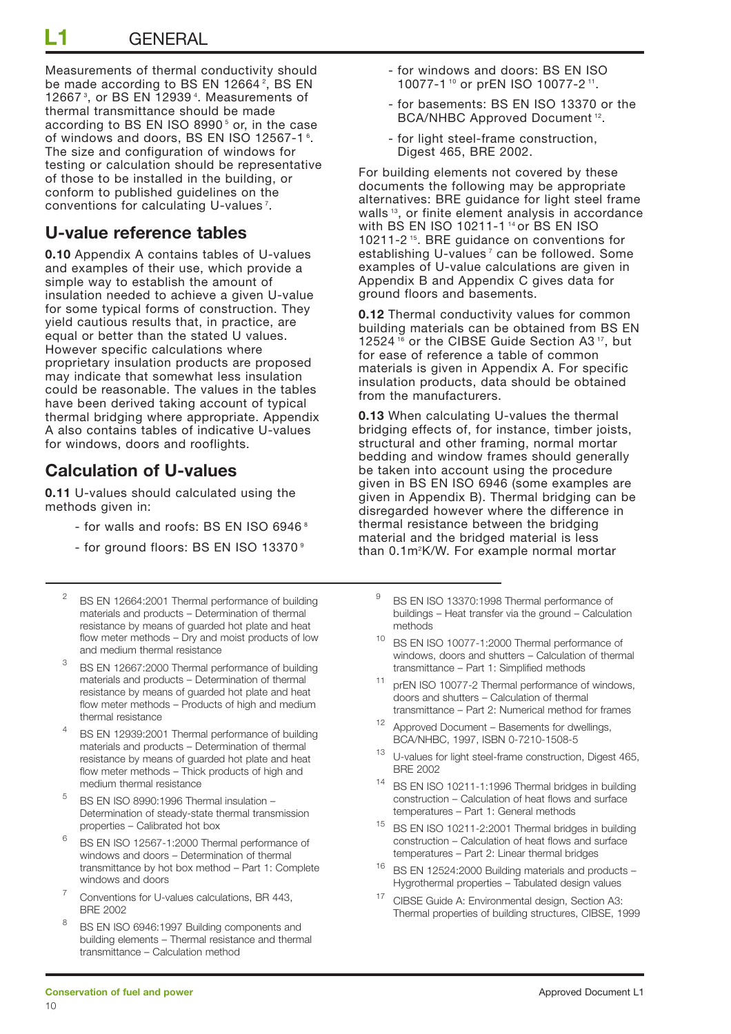Measurements of thermal conductivity should be made according to BS EN 12664?, BS EN 12667 <sup>3</sup> , or BS EN 12939 <sup>4</sup> . Measurements of thermal transmittance should be made according to BS EN ISO 8990<sup>5</sup> or, in the case of windows and doors, BS EN ISO 12567-1  $^{\circ}$ . The size and configuration of windows for testing or calculation should be representative of those to be installed in the building, or conform to published guidelines on the conventions for calculating U-values  $^7$ .

## **U-value reference tables**

**0.10** Appendix A contains tables of U-values and examples of their use, which provide a simple way to establish the amount of insulation needed to achieve a given U-value for some typical forms of construction. They yield cautious results that, in practice, are equal or better than the stated U values. However specific calculations where proprietary insulation products are proposed may indicate that somewhat less insulation could be reasonable. The values in the tables have been derived taking account of typical thermal bridging where appropriate. Appendix A also contains tables of indicative U-values for windows, doors and rooflights.

## **Calculation of U-values**

**0.11** U-values should calculated using the methods given in:

- for walls and roofs: BS EN ISO 6946 <sup>8</sup>
- for ground floors: BS EN ISO 13370<sup>9</sup>
- <sup>2</sup> BS EN 12664:2001 Thermal performance of building materials and products – Determination of thermal resistance by means of guarded hot plate and heat flow meter methods – Dry and moist products of low and medium thermal resistance
- <sup>3</sup> BS EN 12667:2000 Thermal performance of building materials and products – Determination of thermal resistance by means of guarded hot plate and heat flow meter methods – Products of high and medium thermal resistance
- <sup>4</sup> BS EN 12939:2001 Thermal performance of building materials and products – Determination of thermal resistance by means of guarded hot plate and heat flow meter methods – Thick products of high and medium thermal resistance
- $5$  BS EN ISO 8990:1996 Thermal insulation Determination of steady-state thermal transmission properties – Calibrated hot box
- <sup>6</sup> BS EN ISO 12567-1:2000 Thermal performance of windows and doors – Determination of thermal transmittance by hot box method – Part 1: Complete windows and doors
- Conventions for U-values calculations, BR 443, BRE 2002
- 8 BS EN ISO 6946:1997 Building components and building elements – Thermal resistance and thermal transmittance – Calculation method
- for windows and doors: BS EN ISO 10077-1 <sup>10</sup> or prEN ISO 10077-2 11.
- for basements: BS EN ISO 13370 or the BCA/NHBC Approved Document 12.
- for light steel-frame construction, Digest 465, BRE 2002.

For building elements not covered by these documents the following may be appropriate alternatives: BRE guidance for light steel frame walls<sup>13</sup>, or finite element analysis in accordance with BS EN ISO 10211-1 14 or BS EN ISO 10211-2 15. BRE guidance on conventions for establishing U-values<sup>7</sup> can be followed. Some examples of U-value calculations are given in Appendix B and Appendix C gives data for ground floors and basements.

**0.12** Thermal conductivity values for common building materials can be obtained from BS EN 12524<sup>16</sup> or the CIBSE Guide Section A3<sup>17</sup>, but for ease of reference a table of common materials is given in Appendix A. For specific insulation products, data should be obtained from the manufacturers.

**0.13** When calculating U-values the thermal bridging effects of, for instance, timber joists, structural and other framing, normal mortar bedding and window frames should generally be taken into account using the procedure given in BS EN ISO 6946 (some examples are given in Appendix B). Thermal bridging can be disregarded however where the difference in thermal resistance between the bridging material and the bridged material is less than 0.1m<sup>2</sup>K/W. For example normal mortar

- BS EN ISO 13370:1998 Thermal performance of buildings – Heat transfer via the ground – Calculation methods
- <sup>10</sup> BS EN ISO 10077-1:2000 Thermal performance of windows, doors and shutters – Calculation of thermal transmittance – Part 1: Simplified methods
- prEN ISO 10077-2 Thermal performance of windows, doors and shutters – Calculation of thermal transmittance – Part 2: Numerical method for frames
- <sup>12</sup> Approved Document Basements for dwellings, BCA/NHBC, 1997, ISBN 0-7210-1508-5
- <sup>13</sup> U-values for light steel-frame construction, Digest 465, BRE 2002
- <sup>14</sup> BS EN ISO 10211-1:1996 Thermal bridges in building construction – Calculation of heat flows and surface temperatures – Part 1: General methods
- <sup>15</sup> BS EN ISO 10211-2:2001 Thermal bridges in building construction – Calculation of heat flows and surface temperatures – Part 2: Linear thermal bridges
- <sup>16</sup> BS EN 12524:2000 Building materials and products Hygrothermal properties – Tabulated design values
- <sup>17</sup> CIBSE Guide A: Environmental design, Section A3: Thermal properties of building structures, CIBSE, 1999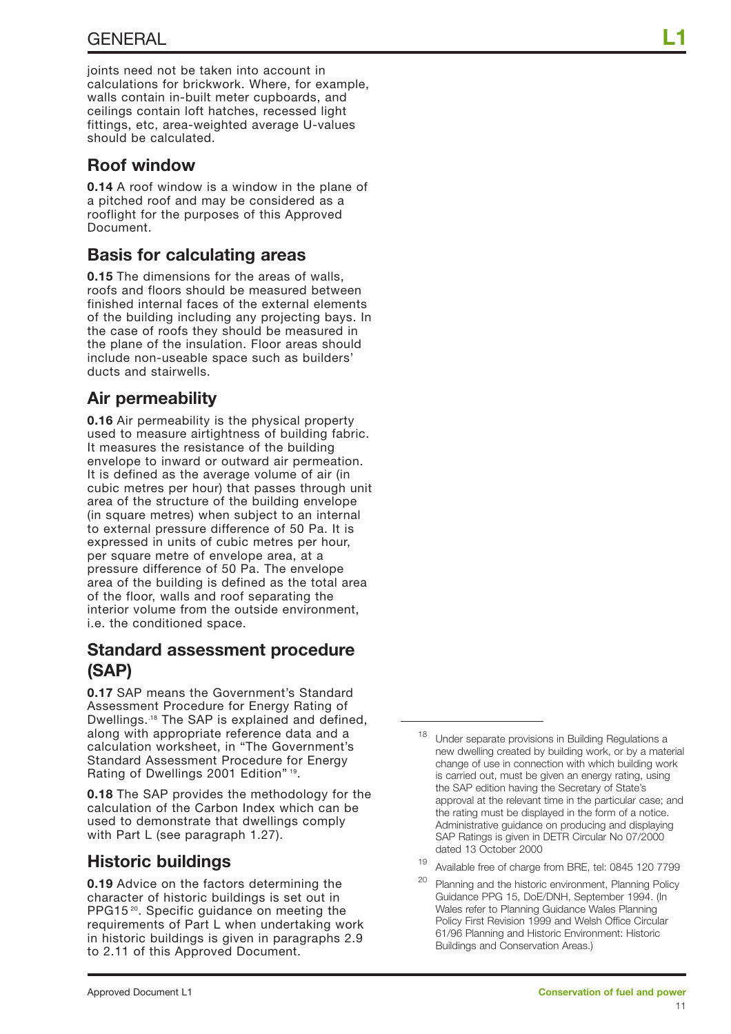joints need not be taken into account in calculations for brickwork. Where, for example, walls contain in-built meter cupboards, and ceilings contain loft hatches, recessed light fittings, etc, area-weighted average U-values should be calculated.

### **Roof window**

**0.14** A roof window is a window in the plane of a pitched roof and may be considered as a rooflight for the purposes of this Approved Document.

## **Basis for calculating areas**

**0.15** The dimensions for the areas of walls, roofs and floors should be measured between finished internal faces of the external elements of the building including any projecting bays. In the case of roofs they should be measured in the plane of the insulation. Floor areas should include non-useable space such as builders' ducts and stairwells.

## **Air permeability**

**0.16** Air permeability is the physical property used to measure airtightness of building fabric. It measures the resistance of the building envelope to inward or outward air permeation. It is defined as the average volume of air (in cubic metres per hour) that passes through unit area of the structure of the building envelope (in square metres) when subject to an internal to external pressure difference of 50 Pa. It is expressed in units of cubic metres per hour, per square metre of envelope area, at a pressure difference of 50 Pa. The envelope area of the building is defined as the total area of the floor, walls and roof separating the interior volume from the outside environment, i.e. the conditioned space.

### **Standard assessment procedure (SAP)**

**0.17** SAP means the Government's Standard Assessment Procedure for Energy Rating of Dwellings..18 The SAP is explained and defined, along with appropriate reference data and a calculation worksheet, in "The Government's Standard Assessment Procedure for Energy Rating of Dwellings 2001 Edition" 19.

**0.18** The SAP provides the methodology for the calculation of the Carbon Index which can be used to demonstrate that dwellings comply with Part L (see paragraph 1.27).

## **Historic buildings**

**0.19** Advice on the factors determining the character of historic buildings is set out in PPG15<sup>20</sup>. Specific guidance on meeting the requirements of Part L when undertaking work in historic buildings is given in paragraphs 2.9 to 2.11 of this Approved Document.

19 Available free of charge from BRE, tel: 0845 120 7799

Under separate provisions in Building Regulations a new dwelling created by building work, or by a material change of use in connection with which building work is carried out, must be given an energy rating, using the SAP edition having the Secretary of State's approval at the relevant time in the particular case; and the rating must be displayed in the form of a notice. Administrative guidance on producing and displaying SAP Ratings is given in DETR Circular No 07/2000 dated 13 October 2000

<sup>&</sup>lt;sup>20</sup> Planning and the historic environment, Planning Policy Guidance PPG 15, DoE/DNH, September 1994. (In Wales refer to Planning Guidance Wales Planning Policy First Revision 1999 and Welsh Office Circular 61/96 Planning and Historic Environment: Historic Buildings and Conservation Areas.)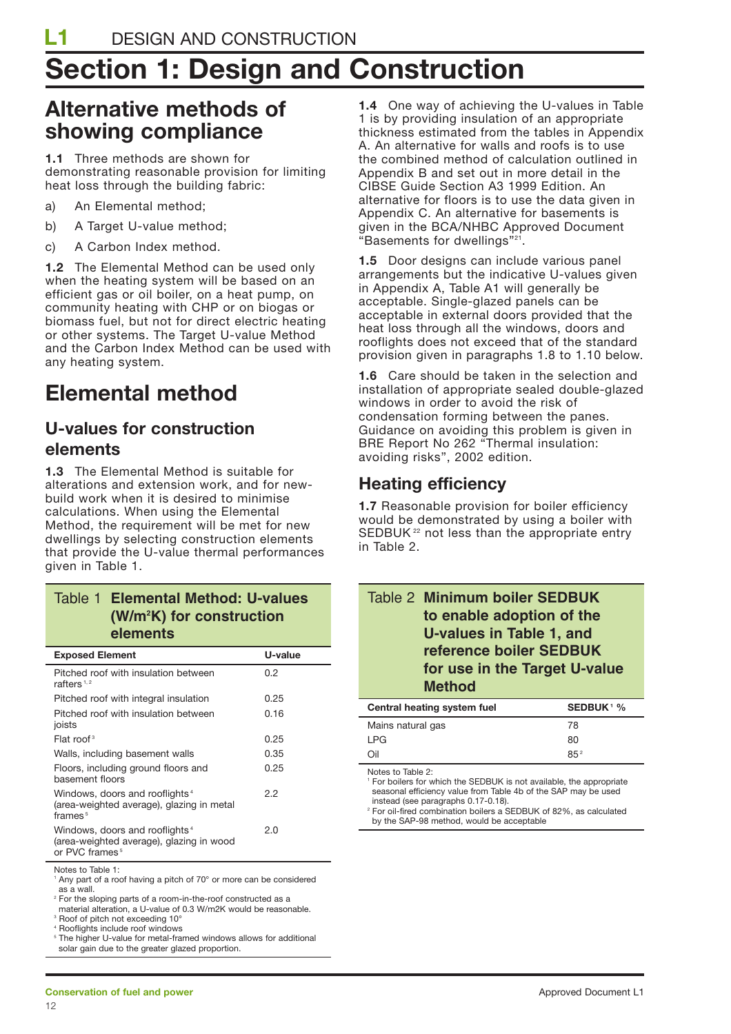# **Section 1: Design and Construction**

## **Alternative methods of showing compliance**

**1.1** Three methods are shown for demonstrating reasonable provision for limiting heat loss through the building fabric:

- a) An Elemental method;
- b) A Target U-value method;
- c) A Carbon Index method.

**1.2** The Elemental Method can be used only when the heating system will be based on an efficient gas or oil boiler, on a heat pump, on community heating with CHP or on biogas or biomass fuel, but not for direct electric heating or other systems. The Target U-value Method and the Carbon Index Method can be used with any heating system.

## **Elemental method**

### **U-values for construction elements**

**1.3** The Elemental Method is suitable for alterations and extension work, and for newbuild work when it is desired to minimise calculations. When using the Elemental Method, the requirement will be met for new dwellings by selecting construction elements that provide the U-value thermal performances given in Table 1.

#### Table 1 **Elemental Method: U-values (W/m2 K) for construction elements**

| <b>Exposed Element</b>                                                                                               | U-value |
|----------------------------------------------------------------------------------------------------------------------|---------|
| Pitched roof with insulation between<br>rafters $1, 2$                                                               | 0.2     |
| Pitched roof with integral insulation                                                                                | 0.25    |
| Pitched roof with insulation between<br>joists                                                                       | 0.16    |
| Flat roof <sup>3</sup>                                                                                               | 0.25    |
| Walls, including basement walls                                                                                      | 0.35    |
| Floors, including ground floors and<br>basement floors                                                               | 0.25    |
| Windows, doors and rooflights <sup>4</sup><br>(area-weighted average), glazing in metal<br>frames $5$                | 2.2     |
| Windows, doors and rooflights <sup>4</sup><br>(area-weighted average), glazing in wood<br>or PVC frames <sup>5</sup> | 2.0     |

Notes to Table 1:

<sup>1</sup> Any part of a roof having a pitch of 70° or more can be considered as a wall.

<sup>2</sup> For the sloping parts of a room-in-the-roof constructed as a

material alteration, a U-value of 0.3 W/m2K would be reasonable.

<sup>3</sup> Roof of pitch not exceeding 10° <sup>4</sup> Rooflights include roof windows

The higher U-value for metal-framed windows allows for additional

solar gain due to the greater glazed proportion.

**1.4** One way of achieving the U-values in Table 1 is by providing insulation of an appropriate thickness estimated from the tables in Appendix A. An alternative for walls and roofs is to use the combined method of calculation outlined in Appendix B and set out in more detail in the CIBSE Guide Section A3 1999 Edition. An alternative for floors is to use the data given in Appendix C. An alternative for basements is given in the BCA/NHBC Approved Document "Basements for dwellings"21.

**1.5** Door designs can include various panel arrangements but the indicative U-values given in Appendix A, Table A1 will generally be acceptable. Single-glazed panels can be acceptable in external doors provided that the heat loss through all the windows, doors and rooflights does not exceed that of the standard provision given in paragraphs 1.8 to 1.10 below.

**1.6** Care should be taken in the selection and installation of appropriate sealed double-glazed windows in order to avoid the risk of condensation forming between the panes. Guidance on avoiding this problem is given in BRE Report No 262 "Thermal insulation: avoiding risks", 2002 edition.

## **Heating efficiency**

**1.7** Reasonable provision for boiler efficiency would be demonstrated by using a boiler with SEDBUK<sup>22</sup> not less than the appropriate entry in Table 2.

| Table 2 Minimum boiler SEDBUK<br>to enable adoption of the<br><b>U-values in Table 1, and</b><br>reference boiler SEDBUK<br>for use in the Target U-value<br><b>Method</b> |                              |
|----------------------------------------------------------------------------------------------------------------------------------------------------------------------------|------------------------------|
| Central heating system fuel                                                                                                                                                | <b>SEDBUK</b> <sup>1</sup> % |

| Central heating system fuel | <b>SEDBUK</b> <sup>1</sup> % |
|-----------------------------|------------------------------|
| Mains natural gas           | 78                           |
| I PG                        | 80                           |
| Oil                         | 85 <sup>2</sup>              |
|                             |                              |

Notes to Table 2:

<sup>1</sup> For boilers for which the SEDBUK is not available, the appropriate seasonal efficiency value from Table 4b of the SAP may be used instead (see paragraphs 0.17-0.18).

<sup>2</sup> For oil-fired combination boilers a SEDBUK of 82%, as calculated by the SAP-98 method, would be acceptable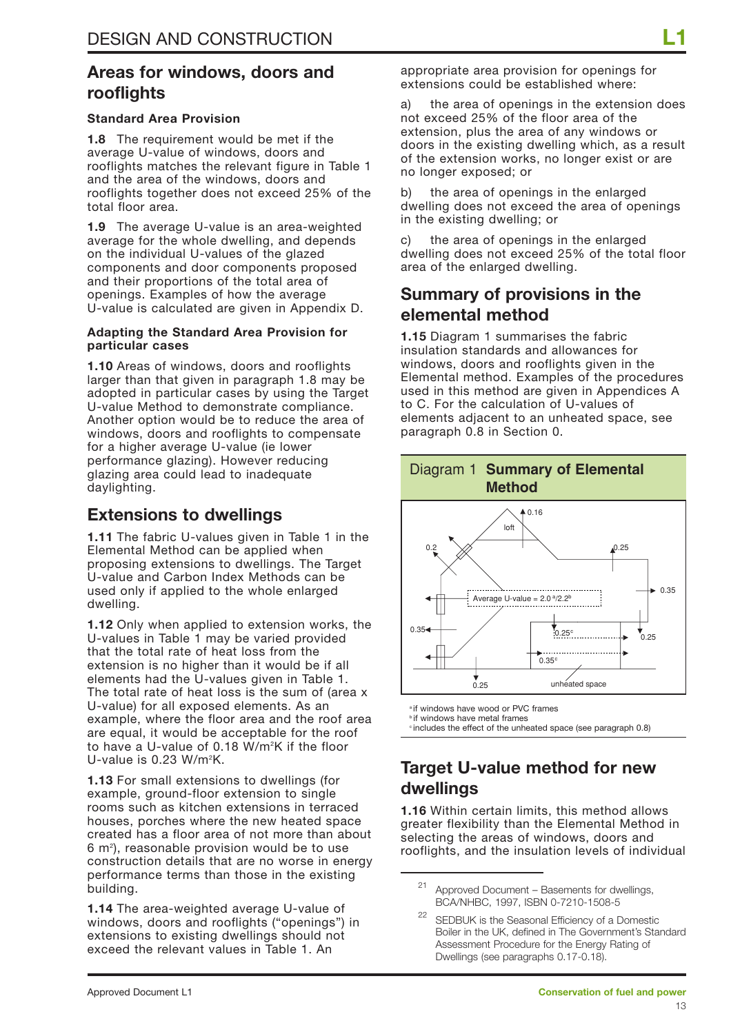### **Areas for windows, doors and rooflights**

#### **Standard Area Provision**

**1.8** The requirement would be met if the average U-value of windows, doors and rooflights matches the relevant figure in Table 1 and the area of the windows, doors and rooflights together does not exceed 25% of the total floor area.

**1.9** The average U-value is an area-weighted average for the whole dwelling, and depends on the individual U-values of the glazed components and door components proposed and their proportions of the total area of openings. Examples of how the average U-value is calculated are given in Appendix D.

#### **Adapting the Standard Area Provision for particular cases**

**1.10** Areas of windows, doors and rooflights larger than that given in paragraph 1.8 may be adopted in particular cases by using the Target U-value Method to demonstrate compliance. Another option would be to reduce the area of windows, doors and rooflights to compensate for a higher average U-value (ie lower performance glazing). However reducing glazing area could lead to inadequate daylighting.

### **Extensions to dwellings**

**1.11** The fabric U-values given in Table 1 in the Elemental Method can be applied when proposing extensions to dwellings. The Target U-value and Carbon Index Methods can be used only if applied to the whole enlarged dwelling.

**1.12** Only when applied to extension works, the U-values in Table 1 may be varied provided that the total rate of heat loss from the extension is no higher than it would be if all elements had the U-values given in Table 1. The total rate of heat loss is the sum of (area x U-value) for all exposed elements. As an example, where the floor area and the roof area are equal, it would be acceptable for the roof to have a U-value of 0.18 W/m<sup>2</sup>K if the floor U-value is 0.23 W/m<sup>2</sup>K.

**1.13** For small extensions to dwellings (for example, ground-floor extension to single rooms such as kitchen extensions in terraced houses, porches where the new heated space created has a floor area of not more than about 6 m<sup>2</sup>), reasonable provision would be to use construction details that are no worse in energy performance terms than those in the existing building.

**1.14** The area-weighted average U-value of windows, doors and rooflights ("openings") in extensions to existing dwellings should not exceed the relevant values in Table 1. An

appropriate area provision for openings for extensions could be established where:

a) the area of openings in the extension does not exceed 25% of the floor area of the extension, plus the area of any windows or doors in the existing dwelling which, as a result of the extension works, no longer exist or are no longer exposed; or

b) the area of openings in the enlarged dwelling does not exceed the area of openings in the existing dwelling; or

c) the area of openings in the enlarged dwelling does not exceed 25% of the total floor area of the enlarged dwelling.

### **Summary of provisions in the elemental method**

**1.15** Diagram 1 summarises the fabric insulation standards and allowances for windows, doors and rooflights given in the Elemental method. Examples of the procedures used in this method are given in Appendices A to C. For the calculation of U-values of elements adjacent to an unheated space, see paragraph 0.8 in Section 0.



<sup>a</sup> if windows have wood or PVC frames

**b** if windows have metal frames

 $\degree$  includes the effect of the unheated space (see paragraph 0.8)

## **Target U-value method for new dwellings**

**1.16** Within certain limits, this method allows greater flexibility than the Elemental Method in selecting the areas of windows, doors and rooflights, and the insulation levels of individual

<sup>21</sup> Approved Document – Basements for dwellings, BCA/NHBC, 1997, ISBN 0-7210-1508-5

SEDBUK is the Seasonal Efficiency of a Domestic Boiler in the UK, defined in The Government's Standard Assessment Procedure for the Energy Rating of Dwellings (see paragraphs 0.17-0.18).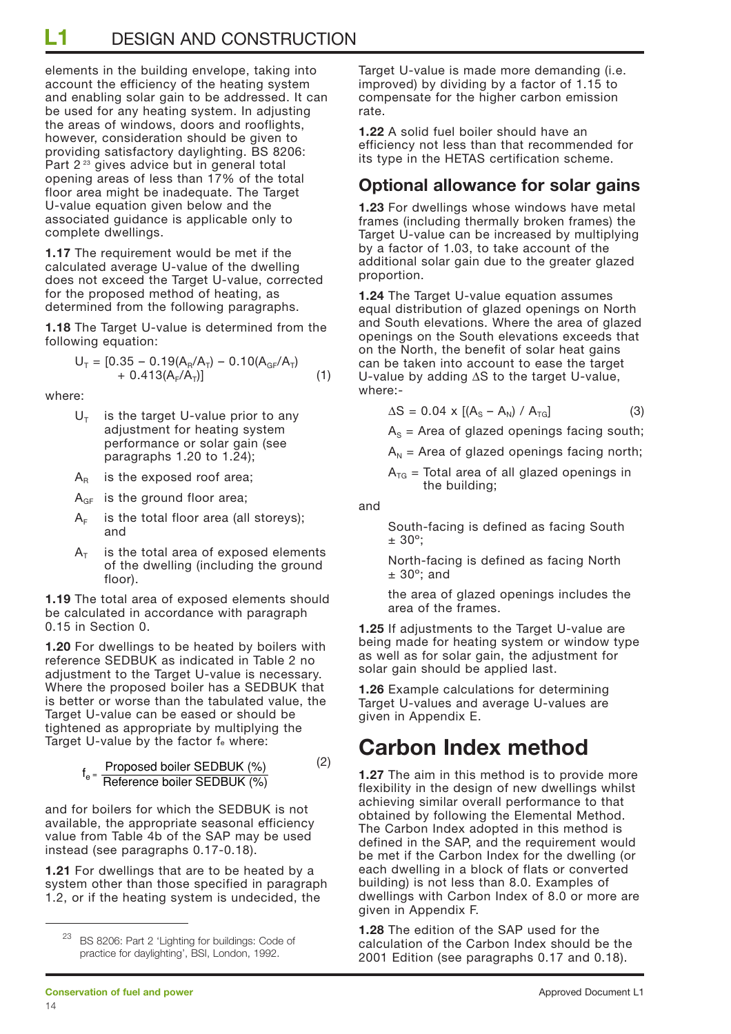**L1** DESIGN AND CONSTRUCTION

elements in the building envelope, taking into account the efficiency of the heating system and enabling solar gain to be addressed. It can be used for any heating system. In adjusting the areas of windows, doors and rooflights, however, consideration should be given to providing satisfactory daylighting. BS 8206: Part 2<sup>23</sup> gives advice but in general total opening areas of less than 17% of the total floor area might be inadequate. The Target U-value equation given below and the associated guidance is applicable only to complete dwellings.

**1.17** The requirement would be met if the calculated average U-value of the dwelling does not exceed the Target U-value, corrected for the proposed method of heating, as determined from the following paragraphs.

**1.18** The Target U-value is determined from the following equation:

$$
U_T = [0.35 - 0.19(A_R/A_T) - 0.10(A_{GF}/A_T)+ 0.413(A_F/A_T)] \qquad (1)
$$

where:

- $U<sub>T</sub>$  is the target U-value prior to any adjustment for heating system performance or solar gain (see paragraphs 1.20 to 1.24);
- $A_R$  is the exposed roof area;
- $A_{GF}$  is the ground floor area;
- $A<sub>F</sub>$  is the total floor area (all storeys); and
- $A<sub>T</sub>$  is the total area of exposed elements of the dwelling (including the ground floor).

**1.19** The total area of exposed elements should be calculated in accordance with paragraph 0.15 in Section 0.

**1.20** For dwellings to be heated by boilers with reference SEDBUK as indicated in Table 2 no adjustment to the Target U-value is necessary. Where the proposed boiler has a SEDBUK that is better or worse than the tabulated value, the Target U-value can be eased or should be tightened as appropriate by multiplying the Target U-value by the factor fe where:

> (2) Proposed boiler SEDBUK (%) Reference boiler SEDBUK  $(%)$

and for boilers for which the SEDBUK is not available, the appropriate seasonal efficiency value from Table 4b of the SAP may be used instead (see paragraphs 0.17-0.18).

**1.21** For dwellings that are to be heated by a system other than those specified in paragraph 1.2, or if the heating system is undecided, the

Target U-value is made more demanding (i.e. improved) by dividing by a factor of 1.15 to compensate for the higher carbon emission rate.

**1.22** A solid fuel boiler should have an efficiency not less than that recommended for its type in the HETAS certification scheme.

### **Optional allowance for solar gains**

**1.23** For dwellings whose windows have metal frames (including thermally broken frames) the Target U-value can be increased by multiplying by a factor of 1.03, to take account of the additional solar gain due to the greater glazed proportion.

**1.24** The Target U-value equation assumes equal distribution of glazed openings on North and South elevations. Where the area of glazed openings on the South elevations exceeds that on the North, the benefit of solar heat gains can be taken into account to ease the target U-value by adding ∆S to the target U-value, where:-

$$
\Delta S = 0.04 \times \left[ (A_{\rm S} - A_{\rm N}) / A_{\rm TG} \right] \tag{3}
$$

 $A<sub>S</sub>$  = Area of glazed openings facing south;

 $A_{N}$  = Area of glazed openings facing north;

 $A_{\text{TG}}$  = Total area of all glazed openings in the building;

and

South-facing is defined as facing South  $± 30^\circ$ :

North-facing is defined as facing North  $± 30^\circ$ ; and

the area of glazed openings includes the area of the frames.

**1.25** If adjustments to the Target U-value are being made for heating system or window type as well as for solar gain, the adjustment for solar gain should be applied last.

**1.26** Example calculations for determining Target U-values and average U-values are given in Appendix E.

## **Carbon Index method**

**1.27** The aim in this method is to provide more flexibility in the design of new dwellings whilst achieving similar overall performance to that obtained by following the Elemental Method. The Carbon Index adopted in this method is defined in the SAP, and the requirement would be met if the Carbon Index for the dwelling (or each dwelling in a block of flats or converted building) is not less than 8.0. Examples of dwellings with Carbon Index of 8.0 or more are given in Appendix F.

**1.28** The edition of the SAP used for the calculation of the Carbon Index should be the 2001 Edition (see paragraphs 0.17 and 0.18).

<sup>23</sup> BS 8206: Part 2 'Lighting for buildings: Code of practice for daylighting', BSI, London, 1992.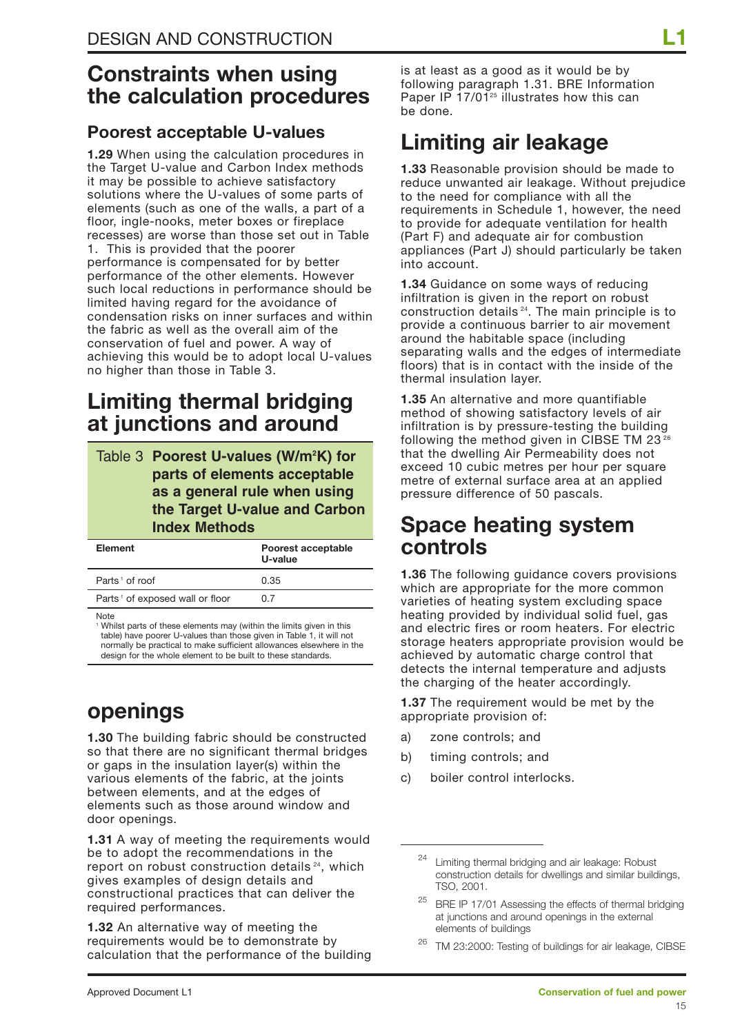## **Constraints when using the calculation procedures**

## **Poorest acceptable U-values**

**1.29** When using the calculation procedures in the Target U-value and Carbon Index methods it may be possible to achieve satisfactory solutions where the U-values of some parts of elements (such as one of the walls, a part of a floor, ingle-nooks, meter boxes or fireplace recesses) are worse than those set out in Table 1. This is provided that the poorer performance is compensated for by better performance of the other elements. However such local reductions in performance should be limited having regard for the avoidance of condensation risks on inner surfaces and within the fabric as well as the overall aim of the conservation of fuel and power. A way of achieving this would be to adopt local U-values no higher than those in Table 3.

## **Limiting thermal bridging at junctions and around**

| Table 3 Poorest U-values (W/m <sup>2</sup> K) for |
|---------------------------------------------------|
| parts of elements acceptable                      |
| as a general rule when using                      |
| the Target U-value and Carbon                     |
| <b>Index Methods</b>                              |

| <b>Element</b>                              | Poorest acceptable<br>U-value |
|---------------------------------------------|-------------------------------|
| Parts <sup>1</sup> of roof                  | 0.35                          |
| Parts <sup>1</sup> of exposed wall or floor | 0.7                           |
| $\cdots$                                    |                               |

**Note** 

<sup>1</sup> Whilst parts of these elements may (within the limits given in this table) have poorer U-values than those given in Table 1, it will not normally be practical to make sufficient allowances elsewhere in the design for the whole element to be built to these standards.

## **openings**

**1.30** The building fabric should be constructed so that there are no significant thermal bridges or gaps in the insulation layer(s) within the various elements of the fabric, at the joints between elements, and at the edges of elements such as those around window and door openings.

**1.31** A way of meeting the requirements would be to adopt the recommendations in the report on robust construction details<sup>24</sup>, which gives examples of design details and constructional practices that can deliver the required performances.

**1.32** An alternative way of meeting the requirements would be to demonstrate by calculation that the performance of the building is at least as a good as it would be by following paragraph 1.31. BRE Information Paper IP  $17/01^{25}$  illustrates how this can be done.

## **Limiting air leakage**

**1.33** Reasonable provision should be made to reduce unwanted air leakage. Without prejudice to the need for compliance with all the requirements in Schedule 1, however, the need to provide for adequate ventilation for health (Part F) and adequate air for combustion appliances (Part J) should particularly be taken into account.

**1.34** Guidance on some ways of reducing infiltration is given in the report on robust construction details 24. The main principle is to provide a continuous barrier to air movement around the habitable space (including separating walls and the edges of intermediate floors) that is in contact with the inside of the thermal insulation layer.

**1.35** An alternative and more quantifiable method of showing satisfactory levels of air infiltration is by pressure-testing the building following the method given in CIBSE TM 23<sup>26</sup> that the dwelling Air Permeability does not exceed 10 cubic metres per hour per square metre of external surface area at an applied pressure difference of 50 pascals.

## **Space heating system controls**

**1.36** The following guidance covers provisions which are appropriate for the more common varieties of heating system excluding space heating provided by individual solid fuel, gas and electric fires or room heaters. For electric storage heaters appropriate provision would be achieved by automatic charge control that detects the internal temperature and adjusts the charging of the heater accordingly.

**1.37** The requirement would be met by the appropriate provision of:

- a) zone controls; and
- b) timing controls; and
- c) boiler control interlocks.

Limiting thermal bridging and air leakage: Robust construction details for dwellings and similar buildings, TSO, 2001.

BRE IP 17/01 Assessing the effects of thermal bridging at junctions and around openings in the external elements of buildings

<sup>&</sup>lt;sup>26</sup> TM 23:2000: Testing of buildings for air leakage, CIBSE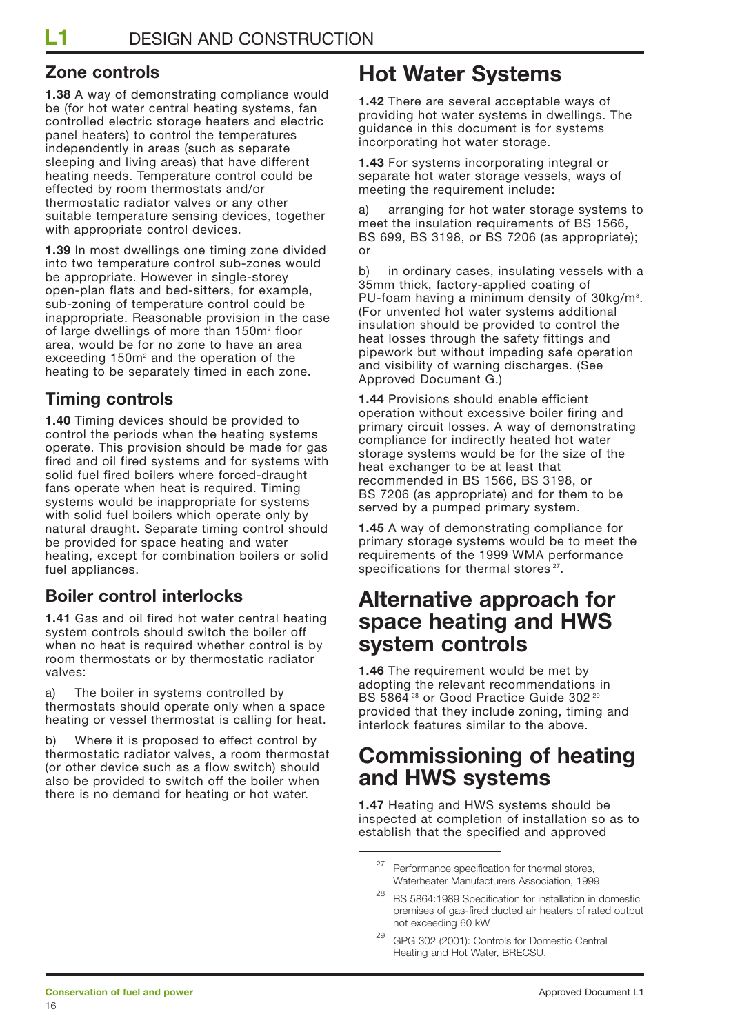## **Zone controls**

**1.38** A way of demonstrating compliance would be (for hot water central heating systems, fan controlled electric storage heaters and electric panel heaters) to control the temperatures independently in areas (such as separate sleeping and living areas) that have different heating needs. Temperature control could be effected by room thermostats and/or thermostatic radiator valves or any other suitable temperature sensing devices, together with appropriate control devices.

**1.39** In most dwellings one timing zone divided into two temperature control sub-zones would be appropriate. However in single-storey open-plan flats and bed-sitters, for example, sub-zoning of temperature control could be inappropriate. Reasonable provision in the case of large dwellings of more than 150m<sup>2</sup> floor area, would be for no zone to have an area exceeding 150m<sup>2</sup> and the operation of the heating to be separately timed in each zone.

## **Timing controls**

**1.40** Timing devices should be provided to control the periods when the heating systems operate. This provision should be made for gas fired and oil fired systems and for systems with solid fuel fired boilers where forced-draught fans operate when heat is required. Timing systems would be inappropriate for systems with solid fuel boilers which operate only by natural draught. Separate timing control should be provided for space heating and water heating, except for combination boilers or solid fuel appliances.

## **Boiler control interlocks**

**1.41** Gas and oil fired hot water central heating system controls should switch the boiler off when no heat is required whether control is by room thermostats or by thermostatic radiator valves:

a) The boiler in systems controlled by thermostats should operate only when a space heating or vessel thermostat is calling for heat.

b) Where it is proposed to effect control by thermostatic radiator valves, a room thermostat (or other device such as a flow switch) should also be provided to switch off the boiler when there is no demand for heating or hot water.

## **Hot Water Systems**

**1.42** There are several acceptable ways of providing hot water systems in dwellings. The guidance in this document is for systems incorporating hot water storage.

**1.43** For systems incorporating integral or separate hot water storage vessels, ways of meeting the requirement include:

a) arranging for hot water storage systems to meet the insulation requirements of BS 1566. BS 699, BS 3198, or BS 7206 (as appropriate); or

b) in ordinary cases, insulating vessels with a 35mm thick, factory-applied coating of PU-foam having a minimum density of 30kg/m<sup>3</sup>. (For unvented hot water systems additional insulation should be provided to control the heat losses through the safety fittings and pipework but without impeding safe operation and visibility of warning discharges. (See Approved Document G.)

**1.44** Provisions should enable efficient operation without excessive boiler firing and primary circuit losses. A way of demonstrating compliance for indirectly heated hot water storage systems would be for the size of the heat exchanger to be at least that recommended in BS 1566, BS 3198, or BS 7206 (as appropriate) and for them to be served by a pumped primary system.

**1.45** A way of demonstrating compliance for primary storage systems would be to meet the requirements of the 1999 WMA performance specifications for thermal stores<sup>27</sup>.

## **Alternative approach for space heating and HWS system controls**

**1.46** The requirement would be met by adopting the relevant recommendations in BS 5864<sup>28</sup> or Good Practice Guide 302<sup>29</sup> provided that they include zoning, timing and interlock features similar to the above.

## **Commissioning of heating and HWS systems**

**1.47** Heating and HWS systems should be inspected at completion of installation so as to establish that the specified and approved

GPG 302 (2001): Controls for Domestic Central Heating and Hot Water, BRECSU.

 $27$  Performance specification for thermal stores, Waterheater Manufacturers Association, 1999

<sup>28</sup> BS 5864:1989 Specification for installation in domestic premises of gas-fired ducted air heaters of rated output not exceeding 60 kW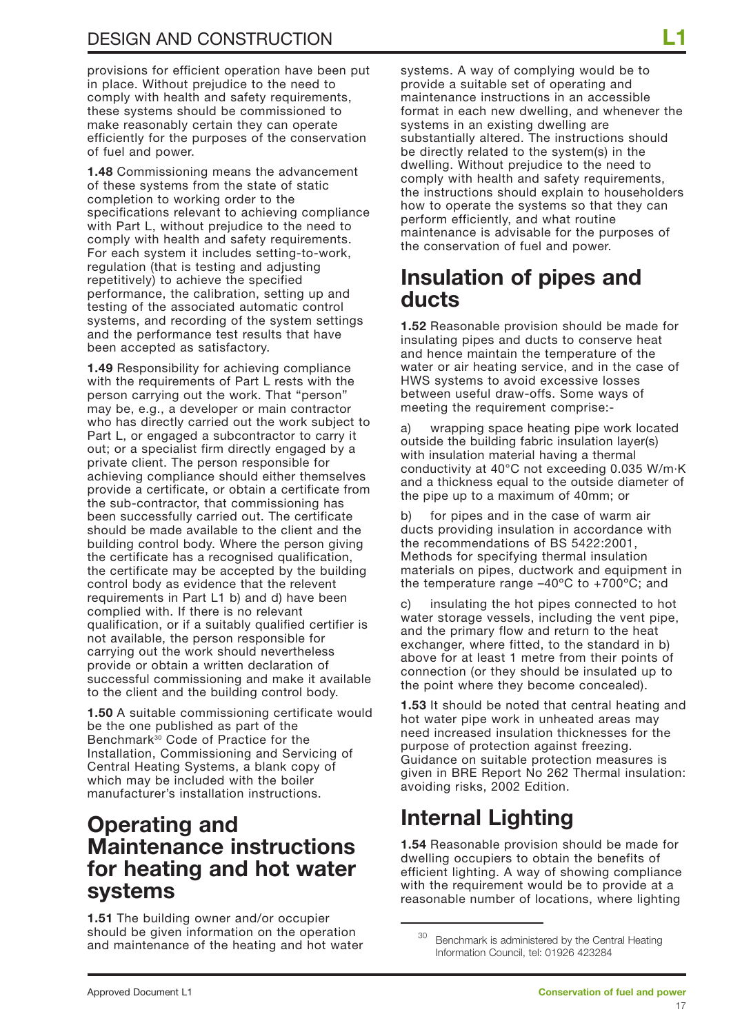provisions for efficient operation have been put in place. Without prejudice to the need to comply with health and safety requirements, these systems should be commissioned to make reasonably certain they can operate efficiently for the purposes of the conservation of fuel and power.

**1.48** Commissioning means the advancement of these systems from the state of static completion to working order to the specifications relevant to achieving compliance with Part L, without prejudice to the need to comply with health and safety requirements. For each system it includes setting-to-work, regulation (that is testing and adjusting repetitively) to achieve the specified performance, the calibration, setting up and testing of the associated automatic control systems, and recording of the system settings and the performance test results that have been accepted as satisfactory.

**1.49** Responsibility for achieving compliance with the requirements of Part L rests with the person carrying out the work. That "person" may be, e.g., a developer or main contractor who has directly carried out the work subject to Part L, or engaged a subcontractor to carry it out; or a specialist firm directly engaged by a private client. The person responsible for achieving compliance should either themselves provide a certificate, or obtain a certificate from the sub-contractor, that commissioning has been successfully carried out. The certificate should be made available to the client and the building control body. Where the person giving the certificate has a recognised qualification, the certificate may be accepted by the building control body as evidence that the relevent requirements in Part L1 b) and d) have been complied with. If there is no relevant qualification, or if a suitably qualified certifier is not available, the person responsible for carrying out the work should nevertheless provide or obtain a written declaration of successful commissioning and make it available to the client and the building control body.

**1.50** A suitable commissioning certificate would be the one published as part of the Benchmark<sup>30</sup> Code of Practice for the Installation, Commissioning and Servicing of Central Heating Systems, a blank copy of which may be included with the boiler manufacturer's installation instructions.

## **Operating and Maintenance instructions for heating and hot water systems**

**1.51** The building owner and/or occupier should be given information on the operation and maintenance of the heating and hot water

systems. A way of complying would be to provide a suitable set of operating and maintenance instructions in an accessible format in each new dwelling, and whenever the systems in an existing dwelling are substantially altered. The instructions should be directly related to the system(s) in the dwelling. Without prejudice to the need to comply with health and safety requirements, the instructions should explain to householders how to operate the systems so that they can perform efficiently, and what routine maintenance is advisable for the purposes of the conservation of fuel and power.

## **Insulation of pipes and ducts**

**1.52** Reasonable provision should be made for insulating pipes and ducts to conserve heat and hence maintain the temperature of the water or air heating service, and in the case of HWS systems to avoid excessive losses between useful draw-offs. Some ways of meeting the requirement comprise:-

a) wrapping space heating pipe work located outside the building fabric insulation layer(s) with insulation material having a thermal conductivity at 40°C not exceeding 0.035 W/m·K and a thickness equal to the outside diameter of the pipe up to a maximum of 40mm; or

b) for pipes and in the case of warm air ducts providing insulation in accordance with the recommendations of BS 5422:2001, Methods for specifying thermal insulation materials on pipes, ductwork and equipment in the temperature range –40ºC to +700ºC; and

c) insulating the hot pipes connected to hot water storage vessels, including the vent pipe, and the primary flow and return to the heat exchanger, where fitted, to the standard in b) above for at least 1 metre from their points of connection (or they should be insulated up to the point where they become concealed).

**1.53** It should be noted that central heating and hot water pipe work in unheated areas may need increased insulation thicknesses for the purpose of protection against freezing. Guidance on suitable protection measures is given in BRE Report No 262 Thermal insulation: avoiding risks, 2002 Edition.

## **Internal Lighting**

**1.54** Reasonable provision should be made for dwelling occupiers to obtain the benefits of efficient lighting. A way of showing compliance with the requirement would be to provide at a reasonable number of locations, where lighting

Benchmark is administered by the Central Heating Information Council, tel: 01926 423284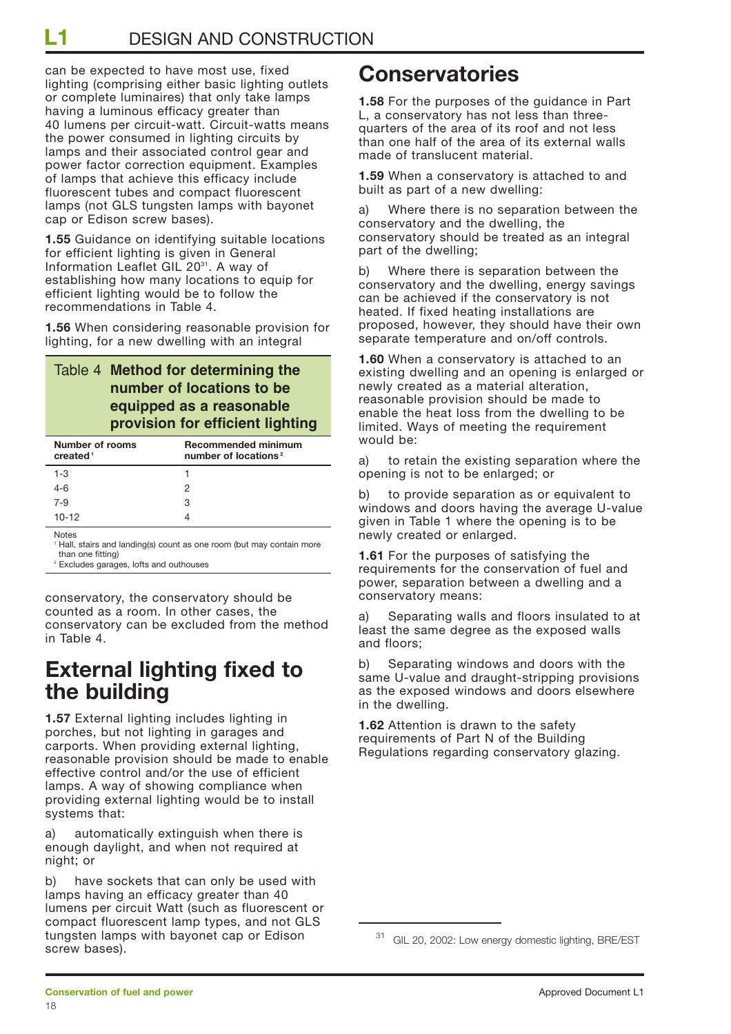**L1** DESIGN AND CONSTRUCTION

can be expected to have most use, fixed lighting (comprising either basic lighting outlets or complete luminaires) that only take lamps having a luminous efficacy greater than 40 lumens per circuit-watt. Circuit-watts means the power consumed in lighting circuits by lamps and their associated control gear and power factor correction equipment. Examples of lamps that achieve this efficacy include fluorescent tubes and compact fluorescent lamps (not GLS tungsten lamps with bayonet cap or Edison screw bases).

**1.55** Guidance on identifying suitable locations for efficient lighting is given in General Information Leaflet GIL 20<sup>31</sup>. A way of establishing how many locations to equip for efficient lighting would be to follow the recommendations in Table 4.

**1.56** When considering reasonable provision for lighting, for a new dwelling with an integral

### Table 4 **Method for determining the number of locations to be equipped as a reasonable provision for efficient lighting**

| Number of rooms<br>created <sup>1</sup> | <b>Recommended minimum</b><br>number of locations <sup>2</sup> |
|-----------------------------------------|----------------------------------------------------------------|
| $1 - 3$                                 |                                                                |
| $4 - 6$                                 | 2                                                              |
| $7 - 9$                                 | 3                                                              |
| $10-12$                                 | Δ                                                              |

Notes

Hall, stairs and landing(s) count as one room (but may contain more than one fitting)

<sup>2</sup> Excludes garages, lofts and outhouses

conservatory, the conservatory should be counted as a room. In other cases, the conservatory can be excluded from the method in Table 4.

## **External lighting fixed to the building**

**1.57** External lighting includes lighting in porches, but not lighting in garages and carports. When providing external lighting, reasonable provision should be made to enable effective control and/or the use of efficient lamps. A way of showing compliance when providing external lighting would be to install systems that:

a) automatically extinguish when there is enough daylight, and when not required at night; or

b) have sockets that can only be used with lamps having an efficacy greater than 40 lumens per circuit Watt (such as fluorescent or compact fluorescent lamp types, and not GLS tungsten lamps with bayonet cap or Edison screw bases).

## **Conservatories**

**1.58** For the purposes of the guidance in Part L, a conservatory has not less than threequarters of the area of its roof and not less than one half of the area of its external walls made of translucent material.

**1.59** When a conservatory is attached to and built as part of a new dwelling:

a) Where there is no separation between the conservatory and the dwelling, the conservatory should be treated as an integral part of the dwelling;

b) Where there is separation between the conservatory and the dwelling, energy savings can be achieved if the conservatory is not heated. If fixed heating installations are proposed, however, they should have their own separate temperature and on/off controls.

**1.60** When a conservatory is attached to an existing dwelling and an opening is enlarged or newly created as a material alteration, reasonable provision should be made to enable the heat loss from the dwelling to be limited. Ways of meeting the requirement would be:

a) to retain the existing separation where the opening is not to be enlarged; or

b) to provide separation as or equivalent to windows and doors having the average U-value given in Table 1 where the opening is to be newly created or enlarged.

**1.61** For the purposes of satisfying the requirements for the conservation of fuel and power, separation between a dwelling and a conservatory means:

a) Separating walls and floors insulated to at least the same degree as the exposed walls and floors;

b) Separating windows and doors with the same U-value and draught-stripping provisions as the exposed windows and doors elsewhere in the dwelling.

**1.62** Attention is drawn to the safety requirements of Part N of the Building Regulations regarding conservatory glazing.

<sup>31</sup> GIL 20, 2002: Low energy domestic lighting, BRE/EST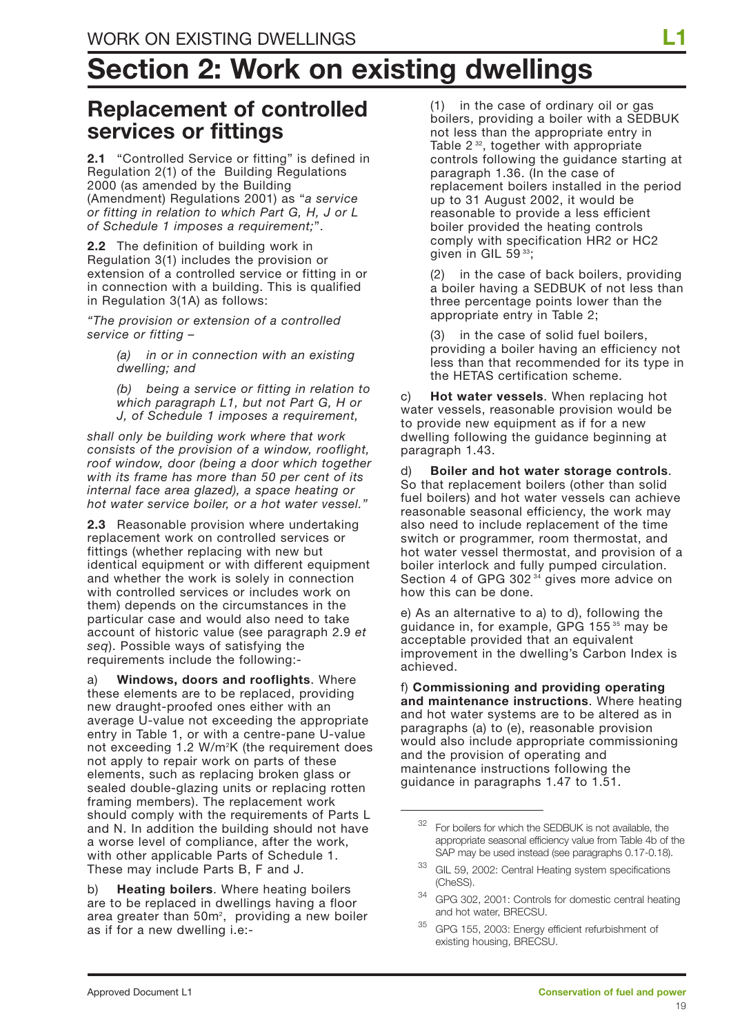# **Section 2: Work on existing dwellings**

## **Replacement of controlled services or fittings**

**2.1** "Controlled Service or fitting" is defined in Regulation 2(1) of the Building Regulations 2000 (as amended by the Building (Amendment) Regulations 2001) as "*a service or fitting in relation to which Part G, H, J or L of Schedule 1 imposes a requirement;*".

**2.2** The definition of building work in Regulation 3(1) includes the provision or extension of a controlled service or fitting in or in connection with a building. This is qualified in Regulation 3(1A) as follows:

*"The provision or extension of a controlled service or fitting –* 

> *(a) in or in connection with an existing dwelling; and*

*(b) being a service or fitting in relation to which paragraph L1, but not Part G, H or J, of Schedule 1 imposes a requirement,*

*shall only be building work where that work consists of the provision of a window, rooflight, roof window, door (being a door which together with its frame has more than 50 per cent of its internal face area glazed), a space heating or hot water service boiler, or a hot water vessel."*

**2.3** Reasonable provision where undertaking replacement work on controlled services or fittings (whether replacing with new but identical equipment or with different equipment and whether the work is solely in connection with controlled services or includes work on them) depends on the circumstances in the particular case and would also need to take account of historic value (see paragraph 2.9 *et seq*). Possible ways of satisfying the requirements include the following:-

a) **Windows, doors and rooflights**. Where these elements are to be replaced, providing new draught-proofed ones either with an average U-value not exceeding the appropriate entry in Table 1, or with a centre-pane U-value not exceeding 1.2 W/m<sup>2</sup>K (the requirement does not apply to repair work on parts of these elements, such as replacing broken glass or sealed double-glazing units or replacing rotten framing members). The replacement work should comply with the requirements of Parts L and N. In addition the building should not have a worse level of compliance, after the work, with other applicable Parts of Schedule 1. These may include Parts B, F and J.

b) **Heating boilers**. Where heating boilers are to be replaced in dwellings having a floor area greater than  $50<sup>m²</sup>$ , providing a new boiler as if for a new dwelling i.e:-

(1) in the case of ordinary oil or gas boilers, providing a boiler with a SEDBUK not less than the appropriate entry in Table 2<sup>32</sup>, together with appropriate controls following the guidance starting at paragraph 1.36. (In the case of replacement boilers installed in the period up to 31 August 2002, it would be reasonable to provide a less efficient boiler provided the heating controls comply with specification HR2 or HC2 given in GIL 59<sup>33</sup>;

(2) in the case of back boilers, providing a boiler having a SEDBUK of not less than three percentage points lower than the appropriate entry in Table 2;

(3) in the case of solid fuel boilers, providing a boiler having an efficiency not less than that recommended for its type in the HETAS certification scheme.

c) **Hot water vessels**. When replacing hot water vessels, reasonable provision would be to provide new equipment as if for a new dwelling following the guidance beginning at paragraph 1.43.

d) **Boiler and hot water storage controls**. So that replacement boilers (other than solid fuel boilers) and hot water vessels can achieve reasonable seasonal efficiency, the work may also need to include replacement of the time switch or programmer, room thermostat, and hot water vessel thermostat, and provision of a boiler interlock and fully pumped circulation. Section 4 of GPG 302 <sup>34</sup> gives more advice on how this can be done.

e) As an alternative to a) to d), following the guidance in, for example, GPG 155 <sup>35</sup> may be acceptable provided that an equivalent improvement in the dwelling's Carbon Index is achieved.

f) **Commissioning and providing operating and maintenance instructions**. Where heating and hot water systems are to be altered as in paragraphs (a) to (e), reasonable provision would also include appropriate commissioning and the provision of operating and maintenance instructions following the guidance in paragraphs 1.47 to 1.51.

<sup>&</sup>lt;sup>32</sup> For boilers for which the SEDBUK is not available, the appropriate seasonal efficiency value from Table 4b of the SAP may be used instead (see paragraphs 0.17-0.18).

<sup>33</sup> GIL 59, 2002: Central Heating system specifications (CheSS).

<sup>34</sup> GPG 302, 2001: Controls for domestic central heating and hot water, BRECSU.

<sup>35</sup> GPG 155, 2003: Energy efficient refurbishment of existing housing, BRECSU.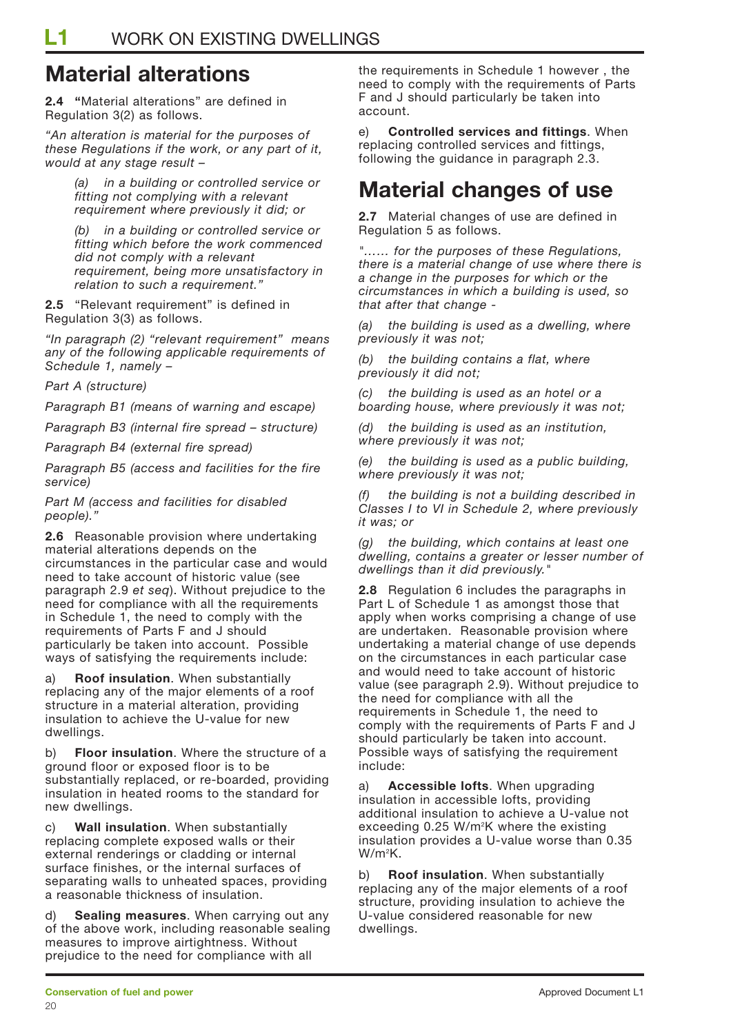## **Material alterations**

**2.4 "**Material alterations" are defined in Regulation 3(2) as follows.

*"An alteration is material for the purposes of these Regulations if the work, or any part of it, would at any stage result –*

> *(a) in a building or controlled service or fitting not complying with a relevant requirement where previously it did; or*

*(b) in a building or controlled service or fitting which before the work commenced did not comply with a relevant requirement, being more unsatisfactory in relation to such a requirement."*

**2.5** "Relevant requirement" is defined in Regulation 3(3) as follows.

*"In paragraph (2) "relevant requirement" means any of the following applicable requirements of Schedule 1, namely –*

*Part A (structure)*

*Paragraph B1 (means of warning and escape)*

*Paragraph B3 (internal fire spread – structure)*

*Paragraph B4 (external fire spread)*

*Paragraph B5 (access and facilities for the fire service)*

*Part M (access and facilities for disabled people)."*

**2.6** Reasonable provision where undertaking material alterations depends on the circumstances in the particular case and would need to take account of historic value (see paragraph 2.9 *et seq*). Without prejudice to the need for compliance with all the requirements in Schedule 1, the need to comply with the requirements of Parts F and J should particularly be taken into account. Possible ways of satisfying the requirements include:

**Roof insulation.** When substantially replacing any of the major elements of a roof structure in a material alteration, providing insulation to achieve the U-value for new dwellings.

b) **Floor insulation**. Where the structure of a ground floor or exposed floor is to be substantially replaced, or re-boarded, providing insulation in heated rooms to the standard for new dwellings.

c) **Wall insulation**. When substantially replacing complete exposed walls or their external renderings or cladding or internal surface finishes, or the internal surfaces of separating walls to unheated spaces, providing a reasonable thickness of insulation.

d) **Sealing measures**. When carrying out any of the above work, including reasonable sealing measures to improve airtightness. Without prejudice to the need for compliance with all

the requirements in Schedule 1 however , the need to comply with the requirements of Parts F and J should particularly be taken into account.

e) **Controlled services and fittings**. When replacing controlled services and fittings, following the guidance in paragraph 2.3.

## **Material changes of use**

**2.7** Material changes of use are defined in Regulation 5 as follows.

*"…… for the purposes of these Regulations, there is a material change of use where there is a change in the purposes for which or the circumstances in which a building is used, so that after that change -*

*(a) the building is used as a dwelling, where previously it was not;*

*(b) the building contains a flat, where previously it did not;*

*(c) the building is used as an hotel or a boarding house, where previously it was not;*

*(d) the building is used as an institution, where previously it was not;*

*(e) the building is used as a public building, where previously it was not;*

*(f) the building is not a building described in Classes I to VI in Schedule 2, where previously it was; or*

*(g) the building, which contains at least one dwelling, contains a greater or lesser number of dwellings than it did previously."*

**2.8** Regulation 6 includes the paragraphs in Part L of Schedule 1 as amongst those that apply when works comprising a change of use are undertaken. Reasonable provision where undertaking a material change of use depends on the circumstances in each particular case and would need to take account of historic value (see paragraph 2.9). Without prejudice to the need for compliance with all the requirements in Schedule 1, the need to comply with the requirements of Parts F and J should particularly be taken into account. Possible ways of satisfying the requirement include:

a) **Accessible lofts**. When upgrading insulation in accessible lofts, providing additional insulation to achieve a U-value not exceeding 0.25 W/m<sup>2</sup>K where the existing insulation provides a U-value worse than 0.35 W/m2 K.

b) **Roof insulation**. When substantially replacing any of the major elements of a roof structure, providing insulation to achieve the U-value considered reasonable for new dwellings.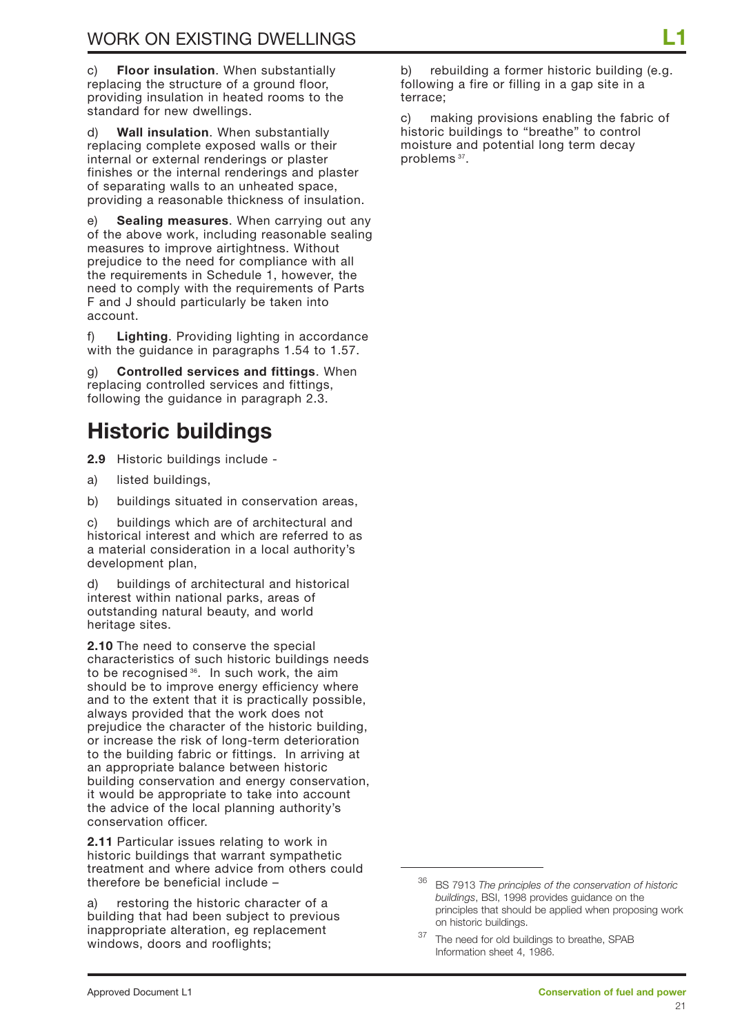c) **Floor insulation**. When substantially replacing the structure of a ground floor, providing insulation in heated rooms to the standard for new dwellings.

d) **Wall insulation**. When substantially replacing complete exposed walls or their internal or external renderings or plaster finishes or the internal renderings and plaster of separating walls to an unheated space, providing a reasonable thickness of insulation.

e) **Sealing measures**. When carrying out any of the above work, including reasonable sealing measures to improve airtightness. Without prejudice to the need for compliance with all the requirements in Schedule 1, however, the need to comply with the requirements of Parts F and J should particularly be taken into account.

f) **Lighting**. Providing lighting in accordance with the guidance in paragraphs 1.54 to 1.57.

g) **Controlled services and fittings**. When replacing controlled services and fittings, following the guidance in paragraph 2.3.

## **Historic buildings**

**2.9** Historic buildings include -

- a) listed buildings,
- b) buildings situated in conservation areas,

c) buildings which are of architectural and historical interest and which are referred to as a material consideration in a local authority's development plan,

d) buildings of architectural and historical interest within national parks, areas of outstanding natural beauty, and world heritage sites.

**2.10** The need to conserve the special characteristics of such historic buildings needs to be recognised<sup>36</sup>. In such work, the aim should be to improve energy efficiency where and to the extent that it is practically possible, always provided that the work does not prejudice the character of the historic building, or increase the risk of long-term deterioration to the building fabric or fittings. In arriving at an appropriate balance between historic building conservation and energy conservation, it would be appropriate to take into account the advice of the local planning authority's conservation officer.

**2.11** Particular issues relating to work in historic buildings that warrant sympathetic treatment and where advice from others could therefore be beneficial include –

a) restoring the historic character of a building that had been subject to previous inappropriate alteration, eg replacement windows, doors and rooflights;

b) rebuilding a former historic building (e.g. following a fire or filling in a gap site in a terrace;

c) making provisions enabling the fabric of historic buildings to "breathe" to control moisture and potential long term decay problems 37.

<sup>36</sup> BS 7913 *The principles of the conservation of historic buildings*, BSI, 1998 provides guidance on the principles that should be applied when proposing work on historic buildings.

<sup>&</sup>lt;sup>37</sup> The need for old buildings to breathe, SPAB Information sheet 4, 1986.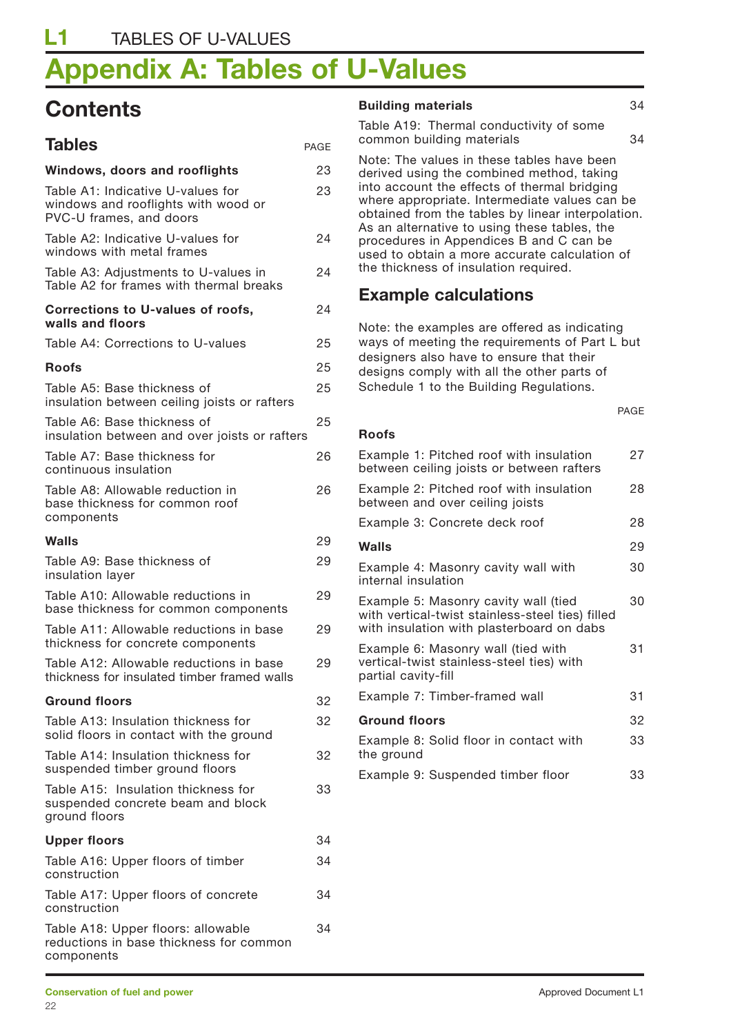# **Appendix A: Tables of U-Values**

## **Contents**

| <b>Tables</b>                                                                                       | <b>PAGE</b> |
|-----------------------------------------------------------------------------------------------------|-------------|
| Windows, doors and rooflights                                                                       | 23          |
| Table A1: Indicative U-values for<br>windows and rooflights with wood or<br>PVC-U frames, and doors | 23          |
| Table A2: Indicative U-values for<br>windows with metal frames                                      | 24          |
| Table A3: Adjustments to U-values in<br>Table A2 for frames with thermal breaks                     | 24          |
| <b>Corrections to U-values of roofs,</b><br>walls and floors                                        | 24          |
| Table A4: Corrections to U-values                                                                   | 25          |
| <b>Roofs</b>                                                                                        | 25          |
| Table A5: Base thickness of<br>insulation between ceiling joists or rafters                         | 25          |
| Table A6: Base thickness of<br>insulation between and over joists or rafters                        | 25          |
| Table A7: Base thickness for<br>continuous insulation                                               | 26          |
| Table A8: Allowable reduction in<br>base thickness for common roof<br>components                    | 26          |
| Walls                                                                                               | 29          |
| Table A9: Base thickness of<br>insulation layer                                                     | 29          |
| Table A10: Allowable reductions in<br>base thickness for common components                          | 29          |
| Table A11: Allowable reductions in base<br>thickness for concrete components                        | 29          |
| Table A12: Allowable reductions in base<br>thickness for insulated timber framed walls              | 29          |
| <b>Ground floors</b>                                                                                | 32          |
| Table A13: Insulation thickness for<br>solid floors in contact with the ground                      | 32          |
| Table A14: Insulation thickness for<br>suspended timber ground floors                               | 32          |
| Table A15: Insulation thickness for<br>suspended concrete beam and block<br>ground floors           | 33          |
| <b>Upper floors</b>                                                                                 | 34          |
| Table A16: Upper floors of timber<br>construction                                                   | 34          |
| Table A17: Upper floors of concrete<br>construction                                                 | 34          |
| Table A18: Upper floors: allowable<br>reductions in base thickness for common<br>components         | 34          |

#### **Building materials** 34

Table A19: Thermal conductivity of some common building materials 34

Note: The values in these tables have been derived using the combined method, taking into account the effects of thermal bridging where appropriate. Intermediate values can be obtained from the tables by linear interpolation. As an alternative to using these tables, the procedures in Appendices B and C can be used to obtain a more accurate calculation of the thickness of insulation required.

### **Example calculations**

Note: the examples are offered as indicating ways of meeting the requirements of Part L but designers also have to ensure that their designs comply with all the other parts of Schedule 1 to the Building Regulations.

PAGE

#### **Roofs**

| Example 1: Pitched roof with insulation<br>between ceiling joists or between rafters                                                  | 27 |
|---------------------------------------------------------------------------------------------------------------------------------------|----|
| Example 2: Pitched roof with insulation<br>between and over ceiling joists                                                            | 28 |
| Example 3: Concrete deck roof                                                                                                         | 28 |
| Walls                                                                                                                                 | 29 |
| Example 4: Masonry cavity wall with<br>internal insulation                                                                            | 30 |
| Example 5: Masonry cavity wall (tied<br>with vertical-twist stainless-steel ties) filled<br>with insulation with plasterboard on dabs | 30 |
| Example 6: Masonry wall (tied with<br>vertical-twist stainless-steel ties) with<br>partial cavity-fill                                | 31 |
| Example 7: Timber-framed wall                                                                                                         | 31 |
| <b>Ground floors</b>                                                                                                                  | 32 |
| Example 8: Solid floor in contact with<br>the ground                                                                                  | 33 |
| Example 9: Suspended timber floor                                                                                                     | 33 |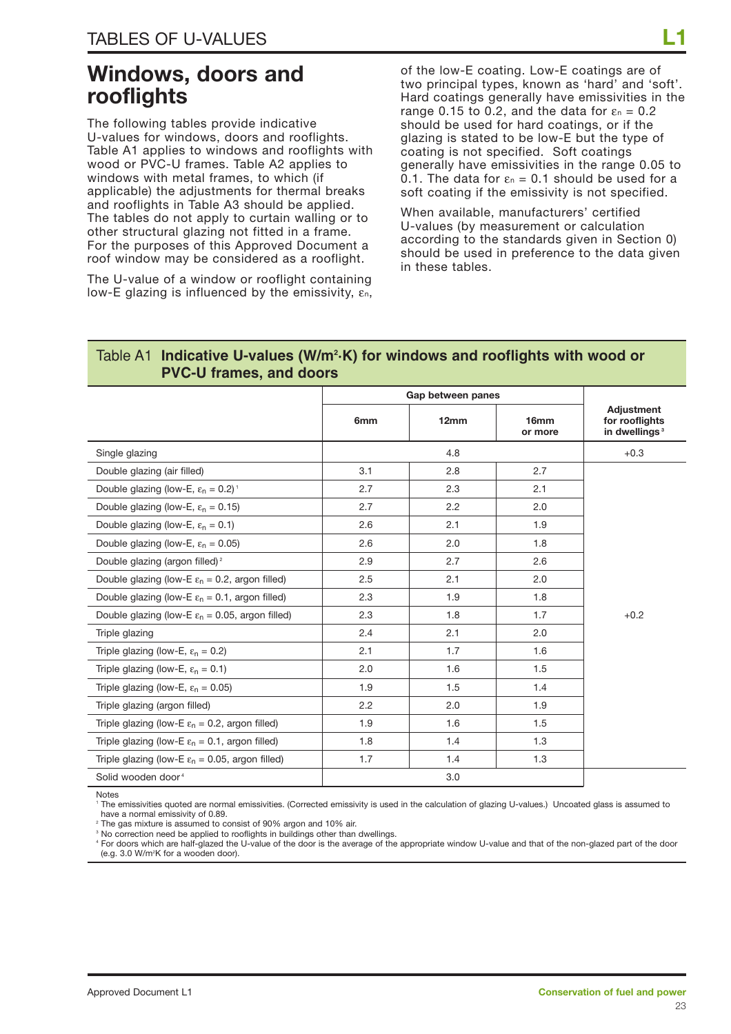## **Windows, doors and rooflights**

The following tables provide indicative U-values for windows, doors and rooflights. Table A1 applies to windows and rooflights with wood or PVC-U frames. Table A2 applies to windows with metal frames, to which (if applicable) the adjustments for thermal breaks and rooflights in Table A3 should be applied. The tables do not apply to curtain walling or to other structural glazing not fitted in a frame. For the purposes of this Approved Document a roof window may be considered as a rooflight.

The U-value of a window or rooflight containing low-E glazing is influenced by the emissivity, εn,

of the low-E coating. Low-E coatings are of two principal types, known as 'hard' and 'soft'. Hard coatings generally have emissivities in the range 0.15 to 0.2, and the data for  $\varepsilon_n = 0.2$ should be used for hard coatings, or if the glazing is stated to be low-E but the type of coating is not specified. Soft coatings generally have emissivities in the range 0.05 to 0.1. The data for  $\varepsilon_n = 0.1$  should be used for a soft coating if the emissivity is not specified.

When available, manufacturers' certified U-values (by measurement or calculation according to the standards given in Section 0) should be used in preference to the data given in these tables.

#### Table A1 Indicative U-values (W/m<sup>2</sup>·K) for windows and rooflights with wood or **PVC-U frames, and doors**

|                                                             |     | Gap between panes |                             |                                                           |  |  |
|-------------------------------------------------------------|-----|-------------------|-----------------------------|-----------------------------------------------------------|--|--|
|                                                             | 6mm | 12mm              | 16 <sub>mm</sub><br>or more | Adjustment<br>for rooflights<br>in dwellings <sup>3</sup> |  |  |
| Single glazing                                              |     | 4.8               |                             | $+0.3$                                                    |  |  |
| Double glazing (air filled)                                 | 3.1 | 2.8               | 2.7                         |                                                           |  |  |
| Double glazing (low-E, $\varepsilon_n = 0.2$ ) <sup>1</sup> | 2.7 | 2.3               | 2.1                         |                                                           |  |  |
| Double glazing (low-E, $\varepsilon_n = 0.15$ )             | 2.7 | 2.2               | 2.0                         |                                                           |  |  |
| Double glazing (low-E, $\varepsilon_n = 0.1$ )              | 2.6 | 2.1               | 1.9                         |                                                           |  |  |
| Double glazing (low-E, $\varepsilon_n = 0.05$ )             | 2.6 | 2.0               | 1.8                         |                                                           |  |  |
| Double glazing (argon filled) <sup>2</sup>                  | 2.9 | 2.7               | 2.6                         |                                                           |  |  |
| Double glazing (low-E $\varepsilon_n = 0.2$ , argon filled) | 2.5 | 2.1               | 2.0                         |                                                           |  |  |
| Double glazing (low-E $\varepsilon_n = 0.1$ , argon filled) | 2.3 | 1.9               | 1.8                         |                                                           |  |  |
| Double glazing (low-E $\varepsilon_n$ = 0.05, argon filled) | 2.3 | 1.8               | 1.7                         | $+0.2$                                                    |  |  |
| Triple glazing                                              | 2.4 | 2.1               | 2.0                         |                                                           |  |  |
| Triple glazing (low-E, $\varepsilon_n = 0.2$ )              | 2.1 | 1.7               | 1.6                         |                                                           |  |  |
| Triple glazing (low-E, $\varepsilon_n = 0.1$ )              | 2.0 | 1.6               | 1.5                         |                                                           |  |  |
| Triple glazing (low-E, $\varepsilon_n = 0.05$ )             | 1.9 | 1.5               | 1.4                         |                                                           |  |  |
| Triple glazing (argon filled)                               | 2.2 | 2.0               | 1.9                         |                                                           |  |  |
| Triple glazing (low-E $\varepsilon_n$ = 0.2, argon filled)  | 1.9 | 1.6               | 1.5                         |                                                           |  |  |
| Triple glazing (low-E $\varepsilon_n = 0.1$ , argon filled) | 1.8 | 1.4               | 1.3                         |                                                           |  |  |
| Triple glazing (low-E $\varepsilon_n$ = 0.05, argon filled) | 1.7 | 1.4               | 1.3                         |                                                           |  |  |
| Solid wooden door <sup>4</sup>                              |     | 3.0               |                             |                                                           |  |  |

Notes

<sup>1</sup> The emissivities quoted are normal emissivities. (Corrected emissivity is used in the calculation of glazing U-values.) Uncoated glass is assumed to have a normal emissivity of 0.89.

<sup>2</sup> The gas mixture is assumed to consist of 90% argon and 10% air.

<sup>3</sup> No correction need be applied to rooflights in buildings other than dwellings.

<sup>4</sup> For doors which are half-glazed the U-value of the door is the average of the appropriate window U-value and that of the non-glazed part of the door (e.g. 3.0 W/m2 K for a wooden door).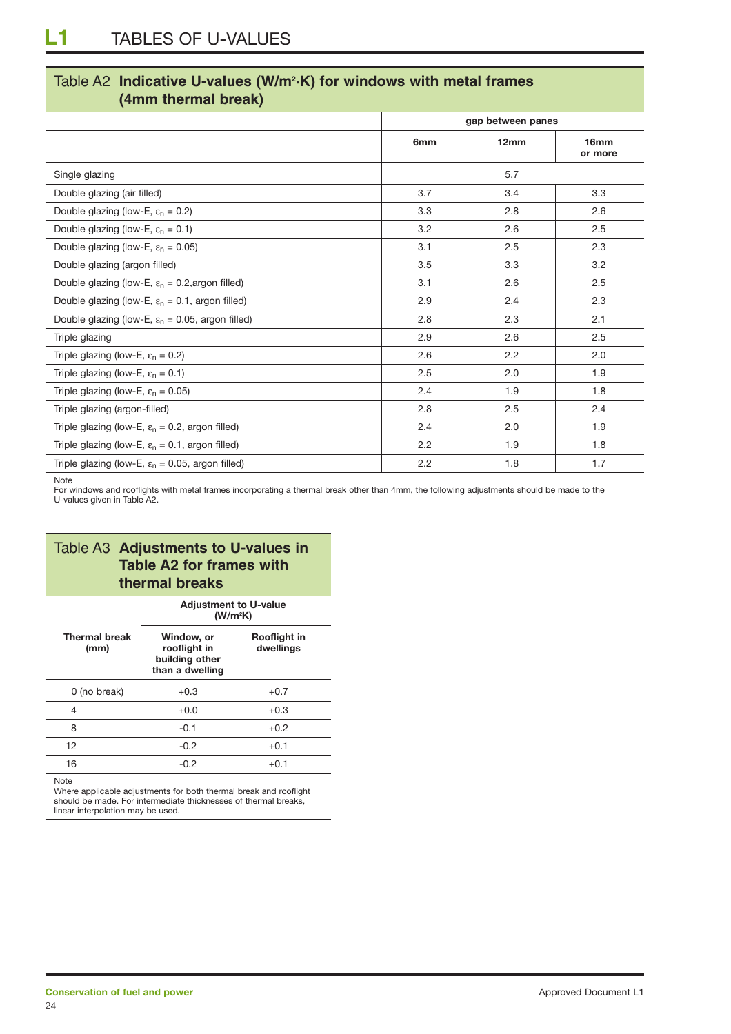### Table A2 **Indicative U-values (W/m2 ·K) for windows with metal frames (4mm thermal break)**

|                                                              | gap between panes |      |                 |  |  |
|--------------------------------------------------------------|-------------------|------|-----------------|--|--|
|                                                              | 6mm               | 12mm | 16mm<br>or more |  |  |
| Single glazing                                               |                   | 5.7  |                 |  |  |
| Double glazing (air filled)                                  | 3.7               | 3.4  | 3.3             |  |  |
| Double glazing (low-E, $\varepsilon_n = 0.2$ )               | 3.3               | 2.8  | 2.6             |  |  |
| Double glazing (low-E, $\varepsilon_n = 0.1$ )               | 3.2               | 2.6  | 2.5             |  |  |
| Double glazing (low-E, $\varepsilon_n = 0.05$ )              | 3.1               | 2.5  | 2.3             |  |  |
| Double glazing (argon filled)                                | 3.5               | 3.3  | 3.2             |  |  |
| Double glazing (low-E, $\varepsilon_n$ = 0.2, argon filled)  | 3.1               | 2.6  | 2.5             |  |  |
| Double glazing (low-E, $\varepsilon_n = 0.1$ , argon filled) | 2.9               | 2.4  | 2.3             |  |  |
| Double glazing (low-E, $\varepsilon_n$ = 0.05, argon filled) | 2.8               | 2.3  | 2.1             |  |  |
| Triple glazing                                               | 2.9               | 2.6  | 2.5             |  |  |
| Triple glazing (low-E, $\varepsilon_n = 0.2$ )               | 2.6               | 2.2  | 2.0             |  |  |
| Triple glazing (low-E, $\varepsilon_n = 0.1$ )               | 2.5               | 2.0  | 1.9             |  |  |
| Triple glazing (low-E, $\varepsilon_n = 0.05$ )              | 2.4               | 1.9  | 1.8             |  |  |
| Triple glazing (argon-filled)                                | 2.8               | 2.5  | 2.4             |  |  |
| Triple glazing (low-E, $\varepsilon_n$ = 0.2, argon filled)  | 2.4               | 2.0  | 1.9             |  |  |
| Triple glazing (low-E, $\varepsilon_n = 0.1$ , argon filled) | 2.2               | 1.9  | 1.8             |  |  |
| Triple glazing (low-E, $\varepsilon_n$ = 0.05, argon filled) | 2.2               | 1.8  | 1.7             |  |  |

**Note** 

For windows and rooflights with metal frames incorporating a thermal break other than 4mm, the following adjustments should be made to the U-values given in Table A2.

### Table A3 **Adjustments to U-values in Table A2 for frames with thermal breaks**

|                              | <b>Adjustment to U-value</b><br>(W/m <sup>2</sup> K)            |                           |  |  |  |
|------------------------------|-----------------------------------------------------------------|---------------------------|--|--|--|
| <b>Thermal break</b><br>(mm) | Window, or<br>rooflight in<br>building other<br>than a dwelling | Rooflight in<br>dwellings |  |  |  |
| 0 (no break)                 | $+0.3$                                                          | $+0.7$                    |  |  |  |
| 4                            | $+0.0$                                                          | $+0.3$                    |  |  |  |
| 8                            | $-0.1$                                                          | $+0.2$                    |  |  |  |
| 12                           | $-0.2$                                                          | $+0.1$                    |  |  |  |
| 16                           | $-0.2$                                                          | $+0.1$                    |  |  |  |

Note

Where applicable adjustments for both thermal break and rooflight should be made. For intermediate thicknesses of thermal breaks, linear interpolation may be used.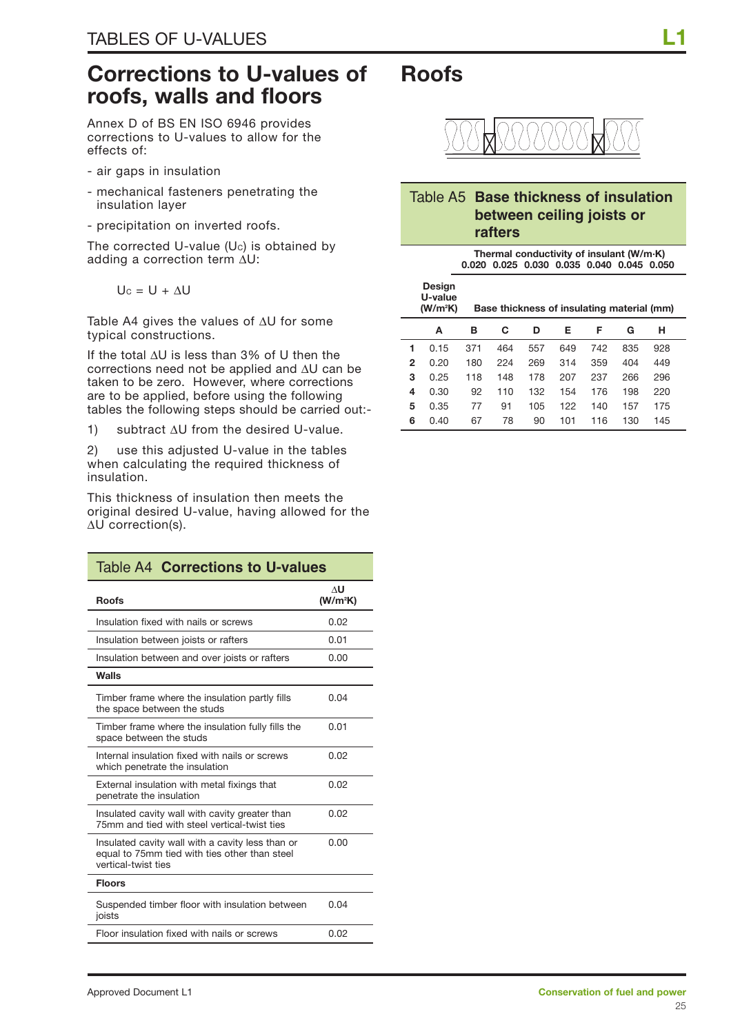## **Corrections to U-values of roofs, walls and floors**

Annex D of BS EN ISO 6946 provides corrections to U-values to allow for the effects of:

- air gaps in insulation
- mechanical fasteners penetrating the insulation layer
- precipitation on inverted roofs.

The corrected U-value  $(U_c)$  is obtained by adding a correction term ∆U:

$$
U_c = U + \Delta U
$$

Table A4 gives the values of ∆U for some typical constructions.

If the total ∆U is less than 3% of U then the corrections need not be applied and ∆U can be taken to be zero. However, where corrections are to be applied, before using the following tables the following steps should be carried out:-

1) subtract ∆U from the desired U-value.

2) use this adjusted U-value in the tables when calculating the required thickness of insulation.

This thickness of insulation then meets the original desired U-value, having allowed for the ∆U correction(s).

| Table A4 Corrections to U-values                                                                                         |                                     |  |  |  |  |  |
|--------------------------------------------------------------------------------------------------------------------------|-------------------------------------|--|--|--|--|--|
| <b>Roofs</b>                                                                                                             | $\Lambda$ U<br>(W/m <sup>2</sup> K) |  |  |  |  |  |
| Insulation fixed with nails or screws                                                                                    | 0.02                                |  |  |  |  |  |
| Insulation between joists or rafters                                                                                     | 0.01                                |  |  |  |  |  |
| Insulation between and over joists or rafters                                                                            | 0.00                                |  |  |  |  |  |
| Walls                                                                                                                    |                                     |  |  |  |  |  |
| Timber frame where the insulation partly fills<br>the space between the studs                                            | 0.04                                |  |  |  |  |  |
| Timber frame where the insulation fully fills the<br>space between the studs                                             | 0.01                                |  |  |  |  |  |
| Internal insulation fixed with nails or screws<br>which penetrate the insulation                                         | 0.02                                |  |  |  |  |  |
| External insulation with metal fixings that<br>penetrate the insulation                                                  | 0.02                                |  |  |  |  |  |
| Insulated cavity wall with cavity greater than<br>75mm and tied with steel vertical-twist ties                           | 0.02                                |  |  |  |  |  |
| Insulated cavity wall with a cavity less than or<br>equal to 75mm tied with ties other than steel<br>vertical-twist ties | 0.00                                |  |  |  |  |  |
| <b>Floors</b>                                                                                                            |                                     |  |  |  |  |  |
| Suspended timber floor with insulation between<br>joists                                                                 | 0.04                                |  |  |  |  |  |
| Floor insulation fixed with nails or screws                                                                              | 0.02                                |  |  |  |  |  |



#### Table A5 **Base thickness of insulation between ceiling joists or rafters**

**Thermal conductivity of insulant (W/m·K) 0.020 0.025 0.030 0.035 0.040 0.045 0.050**

|   | Design<br>U-value<br>(W/m <sup>2</sup> K) |     | Base thickness of insulating material (mm) |     |     |     |     |     |
|---|-------------------------------------------|-----|--------------------------------------------|-----|-----|-----|-----|-----|
|   | A                                         | в   | C                                          | D   | Е   | F   | G   | н   |
| 1 | 0.15                                      | 371 | 464                                        | 557 | 649 | 742 | 835 | 928 |
|   | 2<br>0.20                                 | 180 | 224                                        | 269 | 314 | 359 | 404 | 449 |
| 3 | 0.25                                      | 118 | 148                                        | 178 | 207 | 237 | 266 | 296 |
| 4 | 0.30                                      | 92  | 110                                        | 132 | 154 | 176 | 198 | 220 |
| 5 | 0.35                                      | 77  | 91                                         | 105 | 122 | 140 | 157 | 175 |
| 6 | 0.40                                      | 67  | 78                                         | 90  | 101 | 116 | 130 | 145 |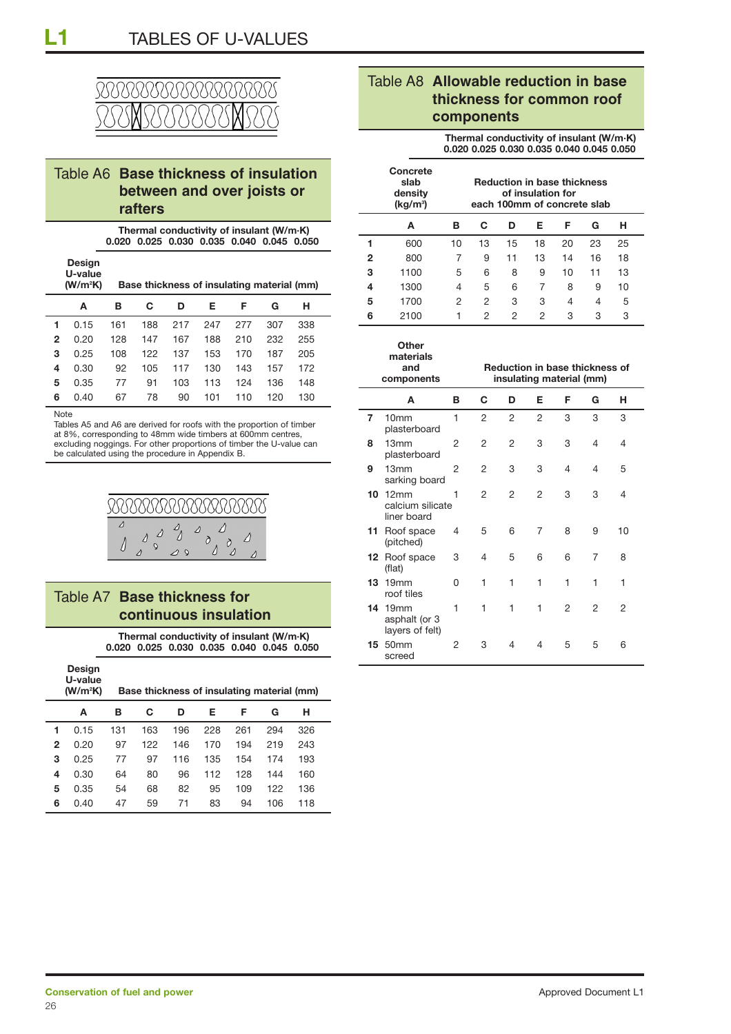

### Table A6 **Base thickness of insulation between and over joists or rafters**

**Thermal conductivity of insulant (W/m·K) 0.020 0.025 0.030 0.035 0.040 0.045 0.050**

|   | Design<br>U-value<br>(W/m <sup>2</sup> K) |     |     |     |     |     | Base thickness of insulating material (mm) |     |
|---|-------------------------------------------|-----|-----|-----|-----|-----|--------------------------------------------|-----|
|   | A                                         | в   | C   | D   | Е.  | Е   | G                                          | н   |
|   | 0.15                                      | 161 | 188 | 217 | 247 | 277 | 307                                        | 338 |
| 2 | <u>በ 2በ</u>                               | 128 | 147 | 167 | 188 | 210 | 232                                        | 255 |

 0.25 108 122 137 153 170 187 205 0.30 92 105 117 130 143 157 172 0.35 77 91 103 113 124 136 148 0.40 67 78 90 101 110 120 130

**Note** 

Tables A5 and A6 are derived for roofs with the proportion of timber at 8%, corresponding to 48mm wide timbers at 600mm centres, excluding noggings. For other proportions of timber the U-value can be calculated using the procedure in Appendix B.



#### Table A7 **Base thickness for continuous insulation**

**Thermal conductivity of insulant (W/m·K) 0.020 0.025 0.030 0.035 0.040 0.045 0.050**

|   | Design<br>U-value<br>(W/m <sup>2</sup> K) |     | Base thickness of insulating material (mm) |     |     |     |     |     |  |
|---|-------------------------------------------|-----|--------------------------------------------|-----|-----|-----|-----|-----|--|
|   | А                                         | в   | C                                          | D   | Е   | Е   | G   | н   |  |
|   | 0.15                                      | 131 | 163                                        | 196 | 228 | 261 | 294 | 326 |  |
| 2 | በ 2በ                                      | 97  | 122.                                       | 146 | 170 | 194 | 219 | 243 |  |

 0.25 77 97 116 135 154 174 193 0.30 64 80 96 112 128 144 160 0.35 54 68 82 95 109 122 136 0.40 47 59 71 83 94 106 118

|    |                      |                      |   | 1100   | 5 | 6 8 9 10 11 13 |  |  |
|----|----------------------|----------------------|---|--------|---|----------------|--|--|
|    |                      | ıg material (mm)     | 4 | 1300   |   | 4 5 6 7 8 9 10 |  |  |
| E. | G                    |                      |   | 5 1700 |   | 2 2 3 3 4 4 5  |  |  |
| -- | $\sim$ $\sim$ $\sim$ | $\sim$ $\sim$ $\sim$ |   | 2100   |   | 1 2 2 2 3 3 3  |  |  |

**Concrete**

**(kg/m3**

|    | Other<br>materials<br>and<br>components                        | <b>Reduction in base thickness of</b><br>insulating material (mm) |                |              |                |   |                |    |  |
|----|----------------------------------------------------------------|-------------------------------------------------------------------|----------------|--------------|----------------|---|----------------|----|--|
|    | A                                                              | в                                                                 | C              | D            | Е              | F | G              | н  |  |
| 7  | 10 <sub>mm</sub><br>plasterboard                               | 1                                                                 | 2              | 2            | 2              | 3 | 3              | 3  |  |
| 8  | 13mm<br>plasterboard                                           | 2                                                                 | $\overline{2}$ | 2            | 3              | 3 | $\overline{4}$ | 4  |  |
| 9  | 13mm<br>sarking board                                          | 2                                                                 | 2              | 3            | 3              | 4 | $\overline{4}$ | 5  |  |
| 10 | 12mm<br>calcium silicate<br>liner board                        | 1                                                                 | 2              | 2            | 2              | 3 | 3              | 4  |  |
|    | 11 Roof space<br>(pitched)                                     | 4                                                                 | 5              | 6            | 7              | 8 | 9              | 10 |  |
|    | 12 Roof space<br>(flat)                                        | 3                                                                 | 4              | 5            | 6              | 6 | $\overline{7}$ | 8  |  |
|    | <b>13</b> 19mm<br>roof tiles                                   | 0                                                                 | 1              | $\mathbf{1}$ | 1              | 1 | 1              | 1  |  |
|    | <b>14</b> 19 <sub>mm</sub><br>asphalt (or 3<br>layers of felt) | 1                                                                 | 1              | $\mathbf{1}$ | 1              | 2 | 2              | 2  |  |
| 15 | 50 <sub>mm</sub><br>screed                                     | 2                                                                 | 3              | 4            | $\overline{4}$ | 5 | 5              | 6  |  |

### Table A8 **Allowable reduction in base thickness for common roof components**

**slab Reduction in base thickness** 

**1** 600 10 13 15 18 20 23 25 **2** 800 7 9 11 13 14 16 18

**A BCDEFGH**

**Thermal conductivity of insulant (W/m·K) 0.020 0.025 0.030 0.035 0.040 0.045 0.050**

**density** of insulation for

**) each 100mm of concrete slab**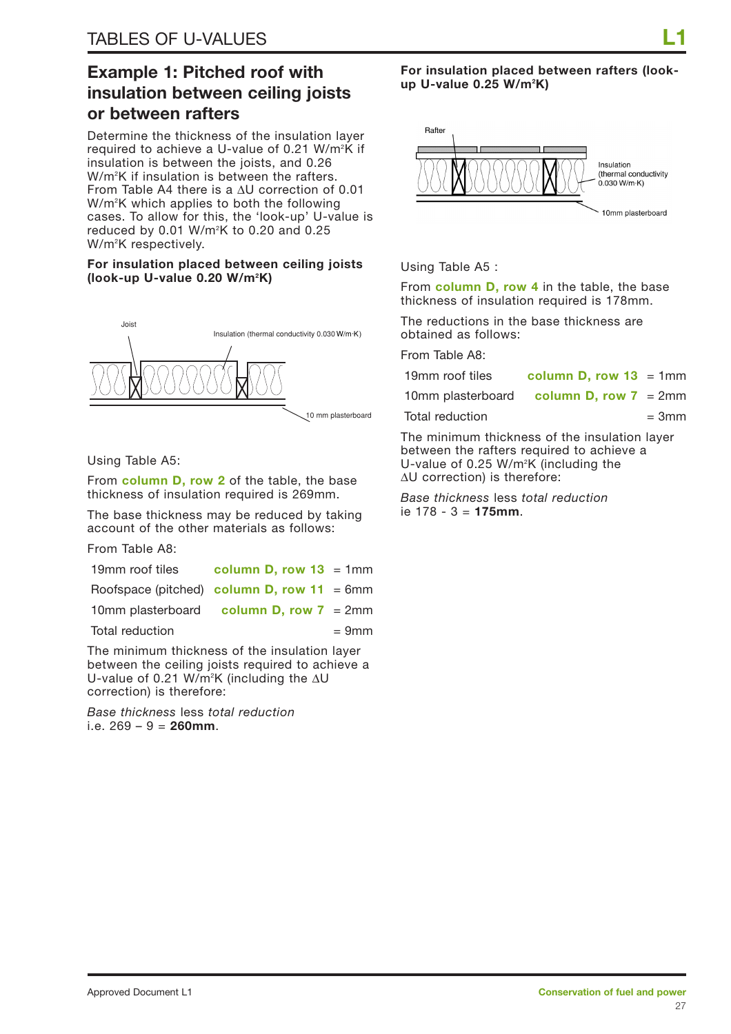## **Example 1: Pitched roof with insulation between ceiling joists or between rafters**

Determine the thickness of the insulation layer required to achieve a U-value of 0.21 W/m<sup>2</sup>K if insulation is between the joists, and 0.26 W/m2 K if insulation is between the rafters. From Table A4 there is a ∆U correction of 0.01 W/m2 K which applies to both the following cases. To allow for this, the 'look-up' U-value is reduced by 0.01  $W/m^2K$  to 0.20 and 0.25 W/m2 K respectively.

#### **For insulation placed between ceiling joists (look-up U-value 0.20 W/m2 K)**



#### Using Table A5:

From **column D, row 2** of the table, the base thickness of insulation required is 269mm.

The base thickness may be reduced by taking account of the other materials as follows:

From Table A8:

| 19mm roof tiles                            | column D, row $13 = 1$ mm |          |
|--------------------------------------------|---------------------------|----------|
| Roofspace (pitched) column D, row 11 = 6mm |                           |          |
| 10mm plasterboard column D, row $7 = 2$ mm |                           |          |
| Total reduction                            |                           | $= 9$ mm |

The minimum thickness of the insulation layer between the ceiling joists required to achieve a U-value of 0.21 W/m<sup>2</sup>K (including the ∆U correction) is therefore:

*Base thickness* less *total reduction* i.e. 269 – 9 = **260mm**.

**For insulation placed between rafters (lookup U-value 0.25 W/m2 K)**



Using Table A5 :

From **column D, row 4** in the table, the base thickness of insulation required is 178mm.

The reductions in the base thickness are obtained as follows:

From Table A8:

| 19mm roof tiles   | column D, row $13 = 1$ mm |  |
|-------------------|---------------------------|--|
| 10mm plasterboard | column D, row $7 = 2$ mm  |  |

Total reduction  $= 3 \text{mm}$ 

The minimum thickness of the insulation layer between the rafters required to achieve a U-value of 0.25 W/m2 K (including the ∆U correction) is therefore:

*Base thickness* less *total reduction* ie 178 - 3 = **175mm**.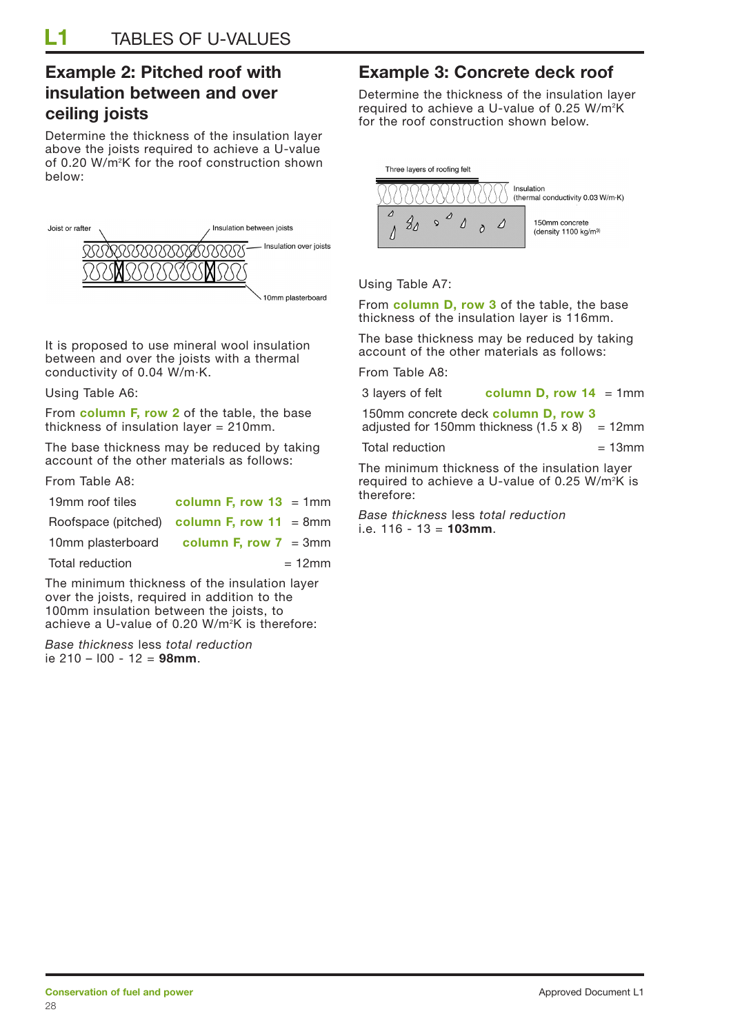## **Example 2: Pitched roof with insulation between and over ceiling joists**

Determine the thickness of the insulation layer above the joists required to achieve a U-value of 0.20 W/m2 K for the roof construction shown below:



It is proposed to use mineral wool insulation between and over the joists with a thermal conductivity of 0.04 W/m·K.

Using Table A6:

From **column F, row 2** of the table, the base thickness of insulation layer = 210mm.

The base thickness may be reduced by taking account of the other materials as follows:

From Table A8:

| 19mm roof tiles | column F, row $13 = 1$ mm                     |
|-----------------|-----------------------------------------------|
|                 | Roofspace (pitched) column F, row $11 = 8$ mm |
|                 | 10mm plasterboard column $F$ , row $T = 3$ mm |
| Total reduction | $= 12$ mm                                     |

The minimum thickness of the insulation layer over the joists, required in addition to the 100mm insulation between the joists, to achieve a U-value of 0.20 W/m2 K is therefore:

*Base thickness* less *total reduction* ie 210 – l00 - 12 = **98mm**.

## **Example 3: Concrete deck roof**

Determine the thickness of the insulation layer required to achieve a U-value of 0.25 W/m<sup>2</sup>K for the roof construction shown below.



Using Table A7:

From **column D, row 3** of the table, the base thickness of the insulation layer is 116mm.

The base thickness may be reduced by taking account of the other materials as follows:

From Table A8:

| 3 layers of felt | column D, row $14 = 1$ mm |
|------------------|---------------------------|
|------------------|---------------------------|

| 150mm concrete deck column D, row 3                  |  |
|------------------------------------------------------|--|
| adjusted for 150mm thickness $(1.5 \times 8)$ = 12mm |  |

Total reduction  $= 13$ mm

The minimum thickness of the insulation layer required to achieve a U-value of 0.25 W/m<sup>2</sup>K is therefore:

*Base thickness* less *total reduction*  i.e. 116 - 13 = **103mm**.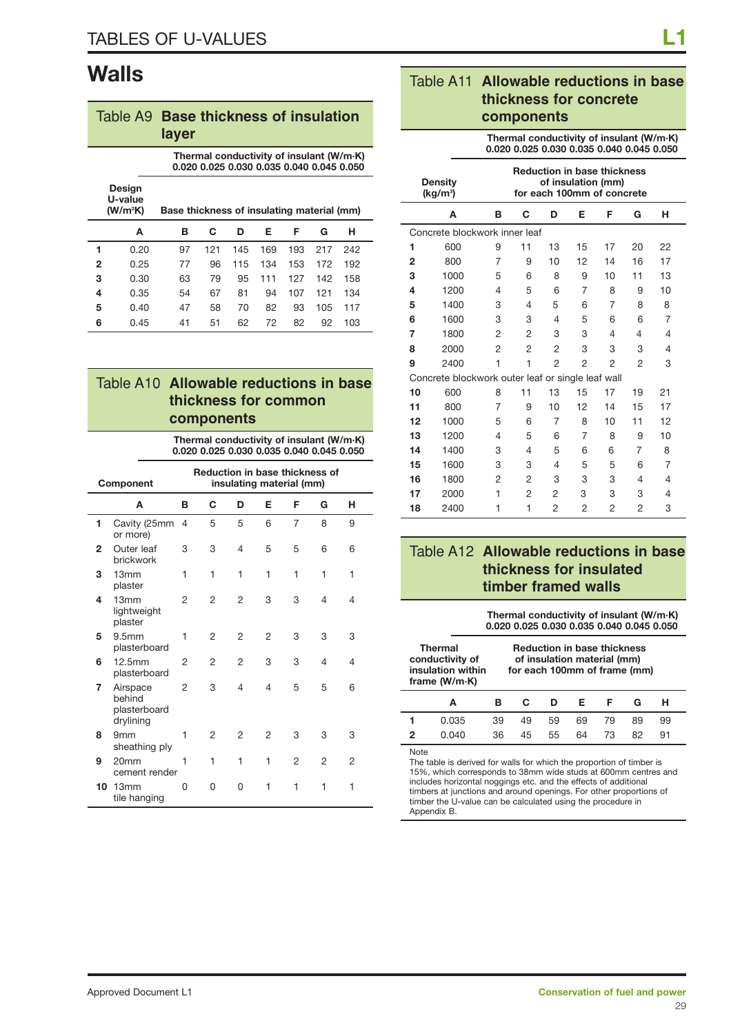## **Walls**

|   | Table A9 Base thickness of insulation                                                   | layer |     |     |     |     |     |     |
|---|-----------------------------------------------------------------------------------------|-------|-----|-----|-----|-----|-----|-----|
|   | Thermal conductivity of insulant (W/m·K)<br>0.020 0.025 0.030 0.035 0.040 0.045 0.050   |       |     |     |     |     |     |     |
|   | Design<br>U-value<br>(W/m <sup>2</sup> K)<br>Base thickness of insulating material (mm) |       |     |     |     |     |     |     |
|   | A                                                                                       | в     | C   | D   | Е   | F   | G   | н   |
| 1 | 0.20                                                                                    | 97    | 121 | 145 | 169 | 193 | 217 | 242 |
| 2 | 0.25                                                                                    | 77    | 96  | 115 | 134 | 153 | 172 | 192 |
| 3 | 0.30                                                                                    | 63    | 79  | 95  | 111 | 127 | 142 | 158 |
| 4 | 0.35                                                                                    | 54    | 67  | 81  | 94  | 107 | 121 | 134 |
| 5 | 0.40                                                                                    | 47    | 58  | 70  | 82  | 93  | 105 | 117 |
| 6 | 0.45                                                                                    | 41    | 51  | 62  | 72  | 82  | 92  | 103 |

| Table A10 Allowable reductions in base |
|----------------------------------------|
| thickness for common                   |
| components                             |

| Thermal conductivity of insulant (W/m·K)<br>0.020 0.025 0.030 0.035 0.040 0.045 0.050 |                                                                                |   |                |                |                |                |                |                |
|---------------------------------------------------------------------------------------|--------------------------------------------------------------------------------|---|----------------|----------------|----------------|----------------|----------------|----------------|
|                                                                                       | <b>Reduction in base thickness of</b><br>insulating material (mm)<br>Component |   |                |                |                |                |                |                |
|                                                                                       | A                                                                              | в | C              | D              | Е              | F              | G              | н              |
| 1                                                                                     | Cavity (25mm<br>or more)                                                       | 4 | 5              | 5              | 6              | $\overline{7}$ | 8              | 9              |
| $\mathbf{2}$                                                                          | Outer leaf<br>brickwork                                                        | 3 | 3              | $\overline{4}$ | 5              | 5              | 6              | 6              |
| 3                                                                                     | 13mm<br>plaster                                                                | 1 | 1              | 1              | 1              | 1              | 1              | 1              |
| 4                                                                                     | 13mm<br>lightweight<br>plaster                                                 | 2 | $\overline{2}$ | $\overline{2}$ | 3              | 3              | 4              | $\overline{4}$ |
| 5                                                                                     | 9.5 <sub>mm</sub><br>plasterboard                                              | 1 | $\overline{2}$ | 2              | $\mathfrak{p}$ | 3              | 3              | 3              |
| 6                                                                                     | 12.5mm<br>plasterboard                                                         | 2 | $\overline{2}$ | $\overline{2}$ | 3              | 3              | $\overline{4}$ | 4              |
| 7                                                                                     | Airspace<br>behind<br>plasterboard<br>drylining                                | 2 | 3              | $\overline{4}$ | 4              | 5              | 5              | 6              |
| 8                                                                                     | 9 <sub>mm</sub><br>sheathing ply                                               | 1 | 2              | 2              | $\overline{2}$ | 3              | 3              | 3              |
| 9                                                                                     | 20mm<br>cement render                                                          | 1 | 1              | 1              | 1              | 2              | $\overline{2}$ | 2              |
| 10                                                                                    | 13mm<br>tile hanging                                                           | O | <sup>0</sup>   | O              | 1              | 1              | 1              | 1              |

### Table A11 **Allowable reductions in base thickness for concrete components**

**Thermal conductivity of insulant (W/m·K) 0.020 0.025 0.030 0.035 0.040 0.045 0.050**

|                | <b>Density</b><br>$(kq/m^3)$                      | <b>Reduction in base thickness</b><br>of insulation (mm)<br>for each 100mm of concrete |                |                |                |                |    |    |  |
|----------------|---------------------------------------------------|----------------------------------------------------------------------------------------|----------------|----------------|----------------|----------------|----|----|--|
|                | A                                                 | в                                                                                      | C              | D              | Е              | F              | G  | н  |  |
|                | Concrete blockwork inner leaf                     |                                                                                        |                |                |                |                |    |    |  |
| 1              | 600                                               | 9                                                                                      | 11             | 13             | 15             | 17             | 20 | 22 |  |
| $\overline{2}$ | 800                                               | 7                                                                                      | 9              | 10             | 12             | 14             | 16 | 17 |  |
| 3              | 1000                                              | 5                                                                                      | 6              | 8              | 9              | 10             | 11 | 13 |  |
| 4              | 1200                                              | 4                                                                                      | 5              | 6              | 7              | 8              | 9  | 10 |  |
| 5              | 1400                                              | 3                                                                                      | 4              | 5              | 6              | 7              | 8  | 8  |  |
| 6              | 1600                                              | 3                                                                                      | 3              | 4              | 5              | 6              | 6  | 7  |  |
| 7              | 1800                                              | 2                                                                                      | 2              | 3              | 3              | 4              | 4  | 4  |  |
| 8              | 2000                                              | $\overline{2}$                                                                         | $\overline{2}$ | $\overline{2}$ | 3              | 3              | 3  | 4  |  |
| 9              | 2400                                              | 1                                                                                      | 1              | $\overline{2}$ | $\overline{2}$ | $\overline{2}$ | 2  | З  |  |
|                | Concrete blockwork outer leaf or single leaf wall |                                                                                        |                |                |                |                |    |    |  |
| 10             | 600                                               | 8                                                                                      | 11             | 13             | 15             | 17             | 19 | 21 |  |
| 11             | 800                                               | 7                                                                                      | 9              | 10             | 12             | 14             | 15 | 17 |  |
| 12             | 1000                                              | 5                                                                                      | 6              | 7              | 8              | 10             | 11 | 12 |  |
| 13             | 1200                                              | 4                                                                                      | 5              | 6              | 7              | 8              | 9  | 10 |  |
| 14             | 1400                                              | 3                                                                                      | 4              | 5              | 6              | 6              | 7  | 8  |  |
| 15             | 1600                                              | 3                                                                                      | 3              | 4              | 5              | 5              | 6  | 7  |  |
| 16             | 1800                                              | 2                                                                                      | 2              | 3              | 3              | 3              | 4  | 4  |  |
| 17             | 2000                                              | 1                                                                                      | 2              | 2              | 3              | 3              | 3  | 4  |  |
| 18             | 2400                                              | 1                                                                                      | 1              | $\overline{2}$ | $\overline{2}$ | $\overline{2}$ | 2  | 3  |  |

### Table A12 **Allowable reductions in base thickness for insulated timber framed walls**

**Thermal conductivity of insulant (W/m·K) 0.020 0.025 0.030 0.035 0.040 0.045 0.050**

|   | Thermal<br>conductivity of<br>insulation within<br>frame $(W/m·K)$ |     | <b>Reduction in base thickness</b><br>of insulation material (mm)<br>for each 100mm of frame (mm) |    |    |    |    |    |
|---|--------------------------------------------------------------------|-----|---------------------------------------------------------------------------------------------------|----|----|----|----|----|
|   | A                                                                  |     | С                                                                                                 | ח  | F. | Е  | G  | н  |
|   | 0.035                                                              | 39  | 49                                                                                                | 59 | 69 | 79 | 89 | 99 |
| 2 | 0.040                                                              | 36. | 45                                                                                                | 55 | 64 | 73 | 82 | 91 |

Note

The table is derived for walls for which the proportion of timber is 15%, which corresponds to 38mm wide studs at 600mm centres and includes horizontal noggings etc. and the effects of additional timbers at junctions and around openings. For other proportions of timber the U-value can be calculated using the procedure in Appendix B.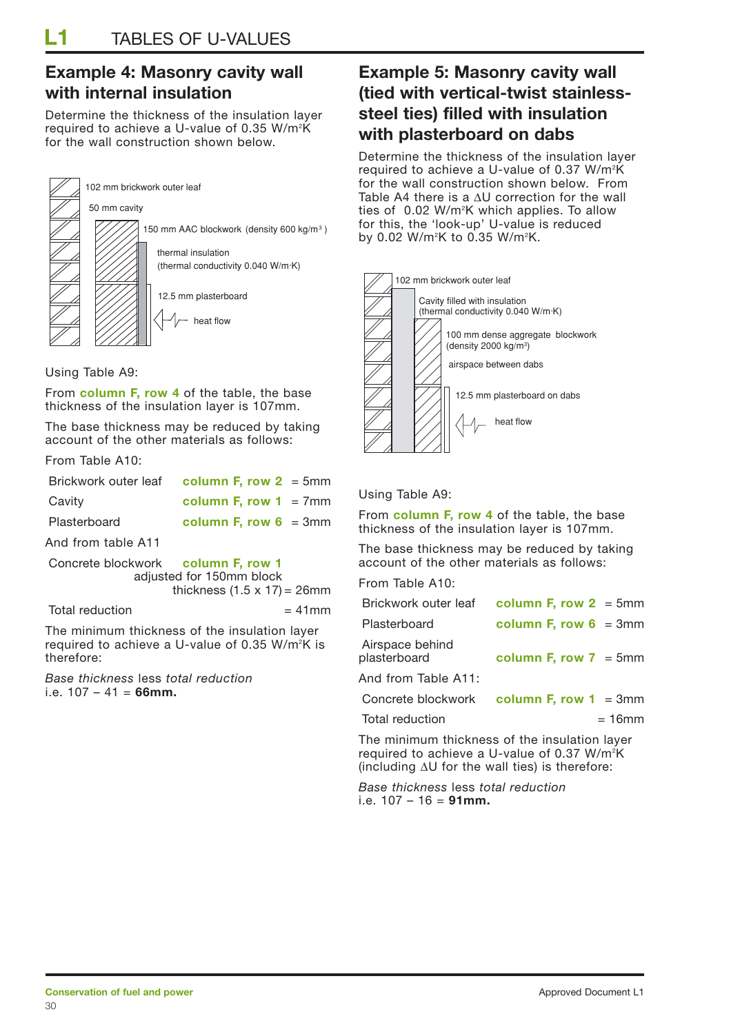## **Example 4: Masonry cavity wall with internal insulation**

Determine the thickness of the insulation layer required to achieve a U-value of 0.35 W/m2 K for the wall construction shown below.



Using Table A9:

From **column F, row 4** of the table, the base thickness of the insulation layer is 107mm.

The base thickness may be reduced by taking account of the other materials as follows:

From Table A10:

|                    | Brickwork outer leaf column F, row $2 = 5$ mm |
|--------------------|-----------------------------------------------|
| Cavity             | column F, row $1 = 7$ mm                      |
| Plasterboard       | column F, row $6 = 3$ mm                      |
| And from table A11 |                                               |

Concrete blockwork **column F, row 1** adjusted for 150mm block thickness  $(1.5 \times 17) = 26$ mm

 $Total reduction = 41mm$ 

The minimum thickness of the insulation layer required to achieve a U-value of 0.35 W/m2 K is therefore:

*Base thickness* less *total reduction*  i.e. 107 – 41 = **66mm.**

## **Example 5: Masonry cavity wall (tied with vertical-twist stainlesssteel ties) filled with insulation with plasterboard on dabs**

Determine the thickness of the insulation layer required to achieve a U-value of 0.37 W/m<sup>2</sup>K for the wall construction shown below. From Table A4 there is a ∆U correction for the wall ties of 0.02 W/m2 K which applies. To allow for this, the 'look-up' U-value is reduced by 0.02 W/m2 K to 0.35 W/m2 K.



#### Using Table A9:

From **column F, row 4** of the table, the base thickness of the insulation layer is 107mm.

The base thickness may be reduced by taking account of the other materials as follows:

From Table A10:

| Brickwork outer leaf            | column F, row $2 = 5$ mm                       |
|---------------------------------|------------------------------------------------|
| Plasterboard                    | column F, row $6 = 3$ mm                       |
| Airspace behind<br>plasterboard | column F, row $7 = 5$ mm                       |
| And from Table A11:             |                                                |
|                                 | Concrete blockwork column $F$ , row $1 = 3$ mm |
| Total reduction                 | = 16mm                                         |

The minimum thickness of the insulation layer required to achieve a U-value of 0.37 W/m<sup>2</sup>K (including ∆U for the wall ties) is therefore:

*Base thickness* less *total reduction*  i.e. 107 – 16 = **91mm.**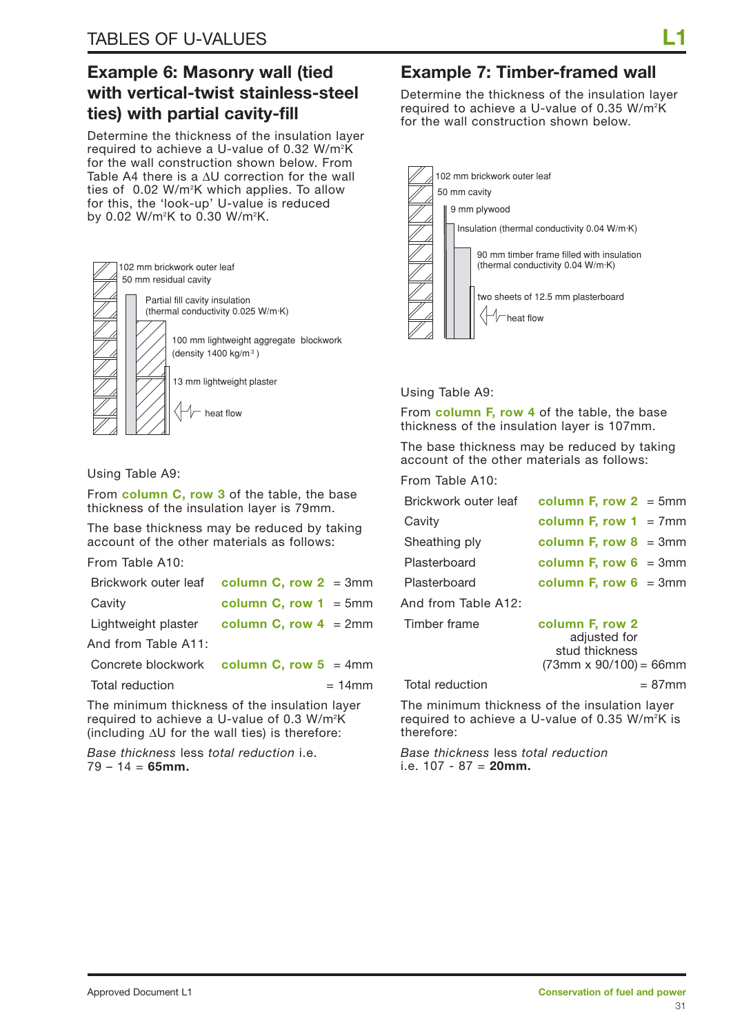## **Example 6: Masonry wall (tied with vertical-twist stainless-steel ties) with partial cavity-fill**

Determine the thickness of the insulation layer required to achieve a U-value of 0.32 W/m<sup>2</sup>K for the wall construction shown below. From Table A4 there is a ∆U correction for the wall ties of 0.02 W/m2 K which applies. To allow for this, the 'look-up' U-value is reduced by 0.02 W/m2 K to 0.30 W/m2 K.



Using Table A9:

From **column C, row 3** of the table, the base thickness of the insulation layer is 79mm.

The base thickness may be reduced by taking account of the other materials as follows:

From Table A10:

| Brickwork outer leaf column C, row $2 = 3$ mm |                          |  |
|-----------------------------------------------|--------------------------|--|
| Cavity                                        | column C, row $1 = 5$ mm |  |
| Lightweight plaster                           | column C, row $4 = 2$ mm |  |
| And from Table A11:                           |                          |  |
| Concrete blockwork column C, row $5 = 4$ mm   |                          |  |
|                                               |                          |  |

 $Total reduction = 14mm$ 

The minimum thickness of the insulation layer required to achieve a U-value of 0.3 W/m<sup>2</sup>K (including ∆U for the wall ties) is therefore:

*Base thickness* less *total reduction* i.e. 79 – 14 = **65mm.**

## **Example 7: Timber-framed wall**

Determine the thickness of the insulation layer required to achieve a U-value of 0.35 W/m2 K for the wall construction shown below.



#### Using Table A9:

From **column F, row 4** of the table, the base thickness of the insulation layer is 107mm.

The base thickness may be reduced by taking account of the other materials as follows:

From Table A10:

| Brickwork outer leaf | column F, row $2 = 5$ mm                                                           |           |
|----------------------|------------------------------------------------------------------------------------|-----------|
| Cavity               | column F, row $1 = 7$ mm                                                           |           |
| Sheathing ply        | column F, row $8 = 3$ mm                                                           |           |
| Plasterboard         | column F, row $6 = 3$ mm                                                           |           |
| Plasterboard         | column F, row $6 = 3$ mm                                                           |           |
| And from Table A12:  |                                                                                    |           |
| Timber frame         | column F, row 2<br>adjusted for<br>stud thickness<br>$(73mm \times 90/100) = 66mm$ |           |
|                      |                                                                                    |           |
| Total reduction      |                                                                                    | $= 87$ mm |

The minimum thickness of the insulation layer required to achieve a U-value of 0.35 W/m<sup>2</sup>K is therefore:

*Base thickness* less *total reduction* i.e. 107 - 87 = **20mm.**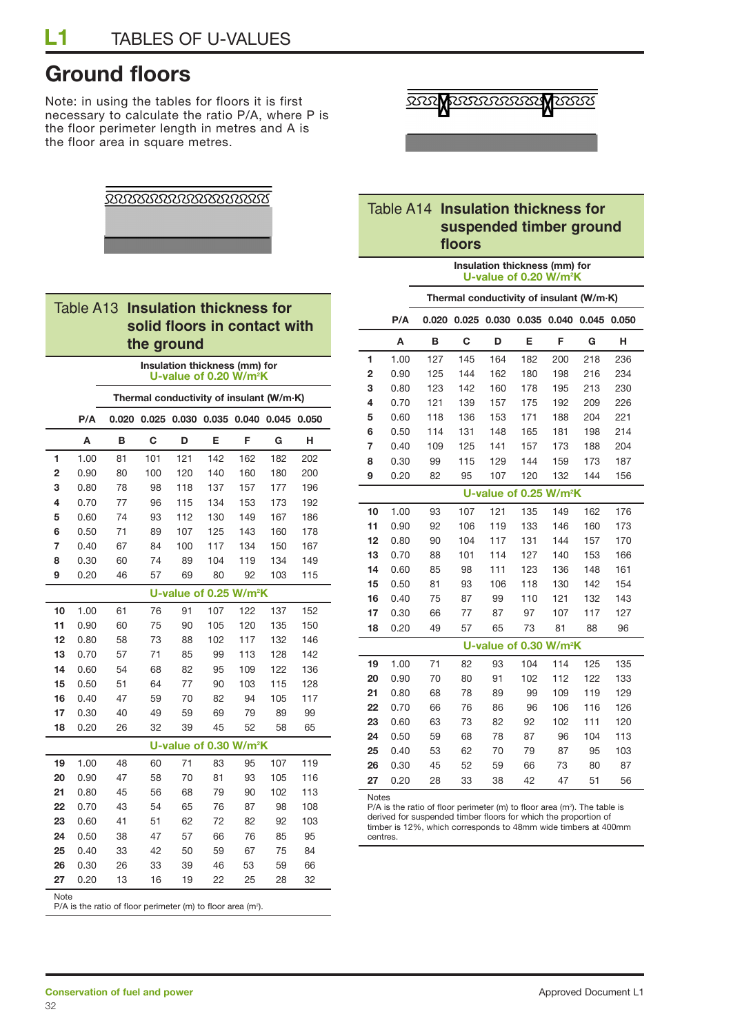## **Ground floors**

Note: in using the tables for floors it is first necessary to calculate the ratio P/A, where P is the floor perimeter length in metres and A is the floor area in square metres.



#### Table A14 **Insulation thickness for suspended timber ground floors**

#### **Insulation thickness (mm) for U-value of 0.20 W/m2 K**

| ior      |                | Thermal conductivity of insulant (W/m·K) |                |      |                                                                                                                                   |     |                                    |     |     |                                     |     |
|----------|----------------|------------------------------------------|----------------|------|-----------------------------------------------------------------------------------------------------------------------------------|-----|------------------------------------|-----|-----|-------------------------------------|-----|
|          | t with         |                                          |                | P/A  | 0.020                                                                                                                             |     |                                    |     |     | 0.025 0.030 0.035 0.040 0.045 0.050 |     |
|          |                |                                          |                | A    | в                                                                                                                                 | С   | D                                  | Е   | F   | G                                   | н   |
|          |                |                                          | 1              | 1.00 | 127                                                                                                                               | 145 | 164                                | 182 | 200 | 218                                 | 236 |
|          |                |                                          | $\overline{2}$ | 0.90 | 125                                                                                                                               | 144 | 162                                | 180 | 198 | 216                                 | 234 |
|          |                |                                          | 3              | 0.80 | 123                                                                                                                               | 142 | 160                                | 178 | 195 | 213                                 | 230 |
| V/m·K)   |                |                                          | 4              | 0.70 | 121                                                                                                                               | 139 | 157                                | 175 | 192 | 209                                 | 226 |
|          | 045 0.050      |                                          | 5              | 0.60 | 118                                                                                                                               | 136 | 153                                | 171 | 188 | 204                                 | 221 |
| G        | н              |                                          | 6              | 0.50 | 114                                                                                                                               | 131 | 148                                | 165 | 181 | 198                                 | 214 |
|          |                |                                          | 7              | 0.40 | 109                                                                                                                               | 125 | 141                                | 157 | 173 | 188                                 | 204 |
| 82       | 202            |                                          | 8              | 0.30 | 99                                                                                                                                | 115 | 129                                | 144 | 159 | 173                                 | 187 |
| 80       | 200            |                                          | 9              | 0.20 | 82                                                                                                                                | 95  | 107                                | 120 | 132 | 144                                 | 156 |
| 77<br>73 | 196<br>192     |                                          |                |      |                                                                                                                                   |     | U-value of 0.25 W/m <sup>2</sup> K |     |     |                                     |     |
| 67       | 186            |                                          | 10             | 1.00 | 93                                                                                                                                | 107 | 121                                | 135 | 149 | 162                                 | 176 |
| 60       | 178            |                                          | 11             | 0.90 | 92                                                                                                                                | 106 | 119                                | 133 | 146 | 160                                 | 173 |
| 50       | 167            |                                          | 12             | 0.80 | 90                                                                                                                                | 104 | 117                                | 131 | 144 | 157                                 | 170 |
| 34       | 149            |                                          | 13             | 0.70 | 88                                                                                                                                | 101 | 114                                | 127 | 140 | 153                                 | 166 |
| 03       | 115            |                                          | 14             | 0.60 | 85                                                                                                                                | 98  | 111                                | 123 | 136 | 148                                 | 161 |
|          |                |                                          | 15             | 0.50 | 81                                                                                                                                | 93  | 106                                | 118 | 130 | 142                                 | 154 |
|          |                |                                          | 16             | 0.40 | 75                                                                                                                                | 87  | 99                                 | 110 | 121 | 132                                 | 143 |
| 37       | 152            |                                          | 17             | 0.30 | 66                                                                                                                                | 77  | 87                                 | 97  | 107 | 117                                 | 127 |
| 35       | 150            |                                          | 18             | 0.20 | 49                                                                                                                                | 57  | 65                                 | 73  | 81  | 88                                  | 96  |
| 32       | 146            |                                          |                |      |                                                                                                                                   |     | U-value of 0.30 W/m <sup>2</sup> K |     |     |                                     |     |
| 28       | 142            |                                          | 19             | 1.00 | 71                                                                                                                                | 82  | 93                                 | 104 | 114 | 125                                 | 135 |
| 22       | 136            |                                          | 20             | 0.90 | 70                                                                                                                                | 80  | 91                                 | 102 | 112 | 122                                 | 133 |
| 15       | 128            |                                          | 21             | 0.80 | 68                                                                                                                                | 78  | 89                                 | 99  | 109 | 119                                 | 129 |
| 05       | 117            |                                          | 22             | 0.70 | 66                                                                                                                                | 76  | 86                                 | 96  | 106 | 116                                 | 126 |
| 89       | 99             |                                          | 23             | 0.60 | 63                                                                                                                                | 73  | 82                                 | 92  | 102 | 111                                 | 120 |
| 58       | 65             |                                          | 24             | 0.50 | 59                                                                                                                                | 68  | 78                                 | 87  | 96  | 104                                 | 113 |
|          |                |                                          | 25             | 0.40 | 53                                                                                                                                | 62  | 70                                 | 79  | 87  | 95                                  | 103 |
| 07       | 119            |                                          | 26             | 0.30 | 45                                                                                                                                | 52  | 59                                 | 66  | 73  | 80                                  | 87  |
| 05       | 116            |                                          | 27             | 0.20 | 28                                                                                                                                | 33  | 38                                 | 42  | 47  | 51                                  | 56  |
| 02       | 113            |                                          | Notes          |      |                                                                                                                                   |     |                                    |     |     |                                     |     |
| 98       | 108            |                                          |                |      | $P/A$ is the ratio of floor perimeter (m) to floor area (m <sup>2</sup> ). The table is                                           |     |                                    |     |     |                                     |     |
| 92       | 103            |                                          |                |      | derived for suspended timber floors for which the proportion of<br>timber is 12%, which corresponds to 48mm wide timbers at 400mm |     |                                    |     |     |                                     |     |
| 85       | 95             |                                          | centres.       |      |                                                                                                                                   |     |                                    |     |     |                                     |     |
| 75       | O <sub>A</sub> |                                          |                |      |                                                                                                                                   |     |                                    |     |     |                                     |     |

<u> XXXXXXXXXXXXXXXXX</u>

#### **Table A13 Insulation thickness for** solid floors in contac **the ground**

|      |      | Insulation thickness (mm) for<br>U-value of 0.20 W/m <sup>2</sup> K      |     |                                           |     |     |     |     |
|------|------|--------------------------------------------------------------------------|-----|-------------------------------------------|-----|-----|-----|-----|
|      |      | Thermal conductivity of insulant (W/m·K)                                 |     |                                           |     |     |     |     |
|      | P/A  |                                                                          |     | 0.020 0.025 0.030 0.035 0.040 0.045 0.050 |     |     |     |     |
|      | A    | В                                                                        | C   | D                                         | E   | F   | G   | н   |
| 1    | 1.00 | 81                                                                       | 101 | 121                                       | 142 | 162 | 182 | 202 |
| 2    | 0.90 | 80                                                                       | 100 | 120                                       | 140 | 160 | 180 | 200 |
| 3    | 0.80 | 78                                                                       | 98  | 118                                       | 137 | 157 | 177 | 196 |
| 4    | 0.70 | 77                                                                       | 96  | 115                                       | 134 | 153 | 173 | 192 |
| 5    | 0.60 | 74                                                                       | 93  | 112                                       | 130 | 149 | 167 | 186 |
| 6    | 0.50 | 71                                                                       | 89  | 107                                       | 125 | 143 | 160 | 178 |
| 7    | 0.40 | 67                                                                       | 84  | 100                                       | 117 | 134 | 150 | 167 |
| 8    | 0.30 | 60                                                                       | 74  | 89                                        | 104 | 119 | 134 | 149 |
| 9    | 0.20 | 46                                                                       | 57  | 69                                        | 80  | 92  | 103 | 115 |
|      |      |                                                                          |     | U-value of 0.25 W/m <sup>2</sup> K        |     |     |     |     |
| 10   | 1.00 | 61                                                                       | 76  | 91                                        | 107 | 122 | 137 | 152 |
| 11   | 0.90 | 60                                                                       | 75  | 90                                        | 105 | 120 | 135 | 150 |
| 12   | 0.80 | 58                                                                       | 73  | 88                                        | 102 | 117 | 132 | 146 |
| 13   | 0.70 | 57                                                                       | 71  | 85                                        | 99  | 113 | 128 | 142 |
| 14   | 0.60 | 54                                                                       | 68  | 82                                        | 95  | 109 | 122 | 136 |
| 15   | 0.50 | 51                                                                       | 64  | 77                                        | 90  | 103 | 115 | 128 |
| 16   | 0.40 | 47                                                                       | 59  | 70                                        | 82  | 94  | 105 | 117 |
| 17   | 0.30 | 40                                                                       | 49  | 59                                        | 69  | 79  | 89  | 99  |
| 18   | 0.20 | 26                                                                       | 32  | 39                                        | 45  | 52  | 58  | 65  |
|      |      |                                                                          |     | U-value of 0.30 W/m <sup>2</sup> K        |     |     |     |     |
| 19   | 1.00 | 48                                                                       | 60  | 71                                        | 83  | 95  | 107 | 119 |
| 20   | 0.90 | 47                                                                       | 58  | 70                                        | 81  | 93  | 105 | 116 |
| 21   | 0.80 | 45                                                                       | 56  | 68                                        | 79  | 90  | 102 | 113 |
| 22   | 0.70 | 43                                                                       | 54  | 65                                        | 76  | 87  | 98  | 108 |
| 23   | 0.60 | 41                                                                       | 51  | 62                                        | 72  | 82  | 92  | 103 |
| 24   | 0.50 | 38                                                                       | 47  | 57                                        | 66  | 76  | 85  | 95  |
| 25   | 0.40 | 33                                                                       | 42  | 50                                        | 59  | 67  | 75  | 84  |
| 26   | 0.30 | 26                                                                       | 33  | 39                                        | 46  | 53  | 59  | 66  |
| 27   | 0.20 | 13                                                                       | 16  | 19                                        | 22  | 25  | 28  | 32  |
| Note |      | P/A is the ratio of floor perimeter (m) to floor area (m <sup>2</sup> ). |     |                                           |     |     |     |     |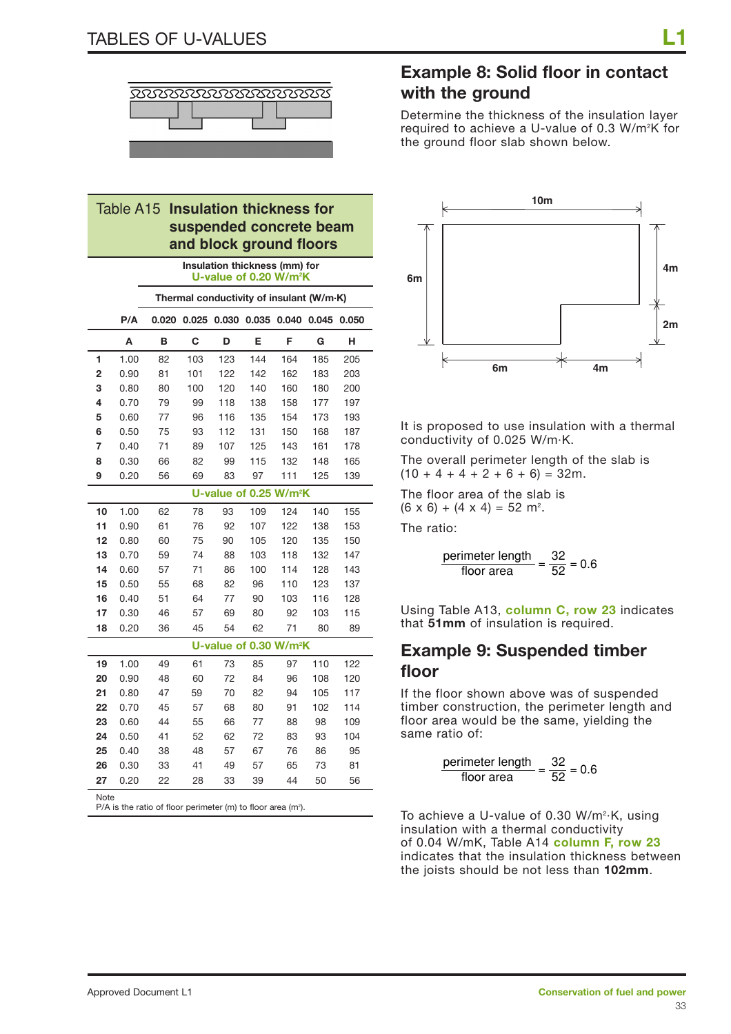

#### Table A15 **Insulation thickness for suspended concrete beam and block ground floors**

|      | Insulation thickness (mm) for<br>U-value of 0.20 W/m <sup>2</sup> K |                                                                         |       |     |     |                                    |       |       |  |
|------|---------------------------------------------------------------------|-------------------------------------------------------------------------|-------|-----|-----|------------------------------------|-------|-------|--|
|      |                                                                     | Thermal conductivity of insulant (W/m·K)                                |       |     |     |                                    |       |       |  |
|      | P/A                                                                 | 0.020                                                                   | 0.025 |     |     | 0.030 0.035 0.040                  | 0.045 | 0.050 |  |
|      | A                                                                   | в                                                                       | C     | D   | Е   | F                                  | G     | н     |  |
| 1    | 1.00                                                                | 82                                                                      | 103   | 123 | 144 | 164                                | 185   | 205   |  |
| 2    | 0.90                                                                | 81                                                                      | 101   | 122 | 142 | 162                                | 183   | 203   |  |
| 3    | 0.80                                                                | 80                                                                      | 100   | 120 | 140 | 160                                | 180   | 200   |  |
| 4    | 0.70                                                                | 79                                                                      | 99    | 118 | 138 | 158                                | 177   | 197   |  |
| 5    | 0.60                                                                | 77                                                                      | 96    | 116 | 135 | 154                                | 173   | 193   |  |
| 6    | 0.50                                                                | 75                                                                      | 93    | 112 | 131 | 150                                | 168   | 187   |  |
| 7    | 0.40                                                                | 71                                                                      | 89    | 107 | 125 | 143                                | 161   | 178   |  |
| 8    | 0.30                                                                | 66                                                                      | 82    | 99  | 115 | 132                                | 148   | 165   |  |
| 9    | 0.20                                                                | 56                                                                      | 69    | 83  | 97  | 111                                | 125   | 139   |  |
|      | U-value of 0.25 W/m <sup>2</sup> K                                  |                                                                         |       |     |     |                                    |       |       |  |
| 10   | 1.00                                                                | 62                                                                      | 78    | 93  | 109 | 124                                | 140   | 155   |  |
| 11   | 0.90                                                                | 61                                                                      | 76    | 92  | 107 | 122                                | 138   | 153   |  |
| 12   | 0.80                                                                | 60                                                                      | 75    | 90  | 105 | 120                                | 135   | 150   |  |
| 13   | 0.70                                                                | 59                                                                      | 74    | 88  | 103 | 118                                | 132   | 147   |  |
| 14   | 0.60                                                                | 57                                                                      | 71    | 86  | 100 | 114                                | 128   | 143   |  |
| 15   | 0.50                                                                | 55                                                                      | 68    | 82  | 96  | 110                                | 123   | 137   |  |
| 16   | 0.40                                                                | 51                                                                      | 64    | 77  | 90  | 103                                | 116   | 128   |  |
| 17   | 0.30                                                                | 46                                                                      | 57    | 69  | 80  | 92                                 | 103   | 115   |  |
| 18   | 0.20                                                                | 36                                                                      | 45    | 54  | 62  | 71                                 | 80    | 89    |  |
|      |                                                                     |                                                                         |       |     |     | U-value of 0.30 W/m <sup>2</sup> K |       |       |  |
| 19   | 1.00                                                                | 49                                                                      | 61    | 73  | 85  | 97                                 | 110   | 122   |  |
| 20   | 0.90                                                                | 48                                                                      | 60    | 72  | 84  | 96                                 | 108   | 120   |  |
| 21   | 0.80                                                                | 47                                                                      | 59    | 70  | 82  | 94                                 | 105   | 117   |  |
| 22   | 0.70                                                                | 45                                                                      | 57    | 68  | 80  | 91                                 | 102   | 114   |  |
| 23   | 0.60                                                                | 44                                                                      | 55    | 66  | 77  | 88                                 | 98    | 109   |  |
| 24   | 0.50                                                                | 41                                                                      | 52    | 62  | 72  | 83                                 | 93    | 104   |  |
| 25   | 0.40                                                                | 38                                                                      | 48    | 57  | 67  | 76                                 | 86    | 95    |  |
| 26   | 0.30                                                                | 33                                                                      | 41    | 49  | 57  | 65                                 | 73    | 81    |  |
| 27   | 0.20                                                                | 22                                                                      | 28    | 33  | 39  | 44                                 | 50    | 56    |  |
| Note |                                                                     | $D/\Lambda$ is the ratio of floor perimeter $(m)$ to floor area $(m^2)$ |       |     |     |                                    |       |       |  |

 $P/A$  is the ratio of floor perimeter (m) to floor area (m<sup>2</sup>).

## **Example 8: Solid floor in contact with the ground**

Determine the thickness of the insulation layer required to achieve a U-value of 0.3 W/m2 K for the ground floor slab shown below.



It is proposed to use insulation with a thermal conductivity of 0.025 W/m·K.

The overall perimeter length of the slab is  $(10 + 4 + 4 + 2 + 6 + 6) = 32m$ .

The floor area of the slab is  $(6 \times 6) + (4 \times 4) = 52$  m<sup>2</sup>.

The ratio:

$$
\frac{\text{perimeter length}}{\text{floor area}} = \frac{32}{52} = 0.6
$$

Using Table A13, **column C, row 23** indicates that **51mm** of insulation is required.

### **Example 9: Suspended timber floor**

If the floor shown above was of suspended timber construction, the perimeter length and floor area would be the same, yielding the same ratio of:

$$
\frac{\text{perimeter length}}{\text{floor area}} = \frac{32}{52} = 0.6
$$

To achieve a U-value of 0.30 W/m²·K, using insulation with a thermal conductivity of 0.04 W/mK, Table A14 **column F, row 23** indicates that the insulation thickness between the joists should be not less than **102mm**.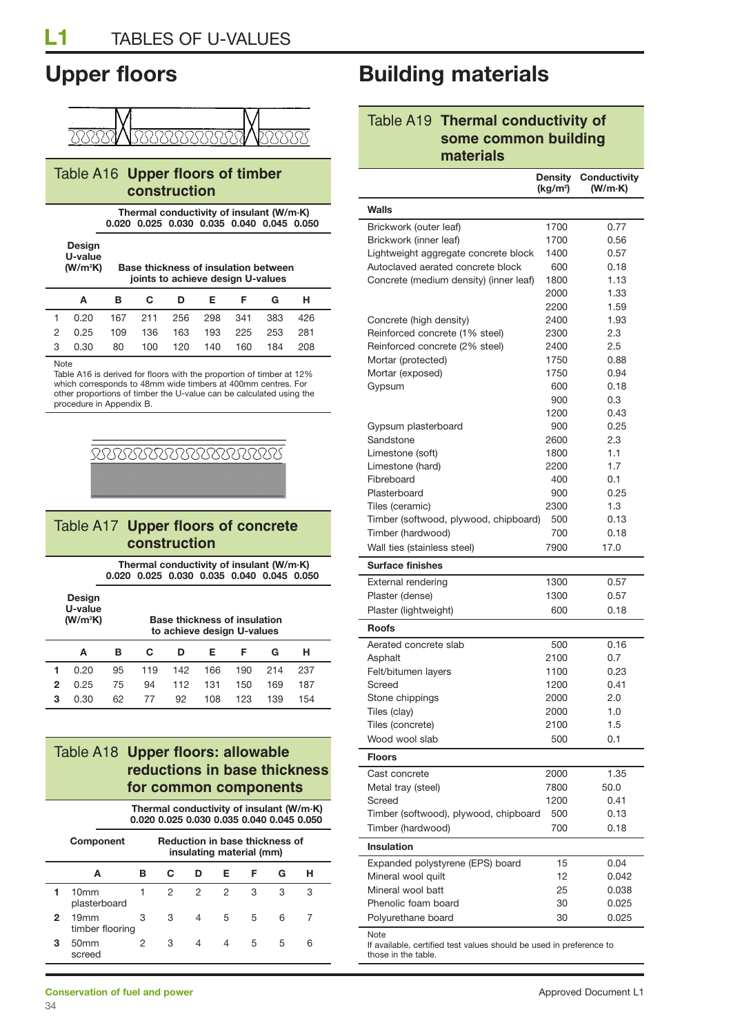

#### Table A16 **Upper floors of timber construction**

**Thermal conductivity of insulant (W/m·K) 0.020 0.025 0.030 0.035 0.040 0.045 0.050**

**Design U-value (W/m2 K) Base thickness of insulation between** 

**joints to achieve design U-values**

|   |                                           | A B C D E F G H |  |  |  |  |
|---|-------------------------------------------|-----------------|--|--|--|--|
|   | 1 0.20 167 211 256 298 341 383 426        |                 |  |  |  |  |
|   | 2 0.25 109 136 163 193 225 253 281        |                 |  |  |  |  |
|   | 3  0.30  80  100  120  140  160  184  208 |                 |  |  |  |  |
| . |                                           |                 |  |  |  |  |

#### Note

Table A16 is derived for floors with the proportion of timber at 12% which corresponds to 48mm wide timbers at 400mm centres. For other proportions of timber the U-value can be calculated using the procedure in Appendix B.

# **BOOD BOOD BOOD BOOD BOOT**

### Table A17 **Upper floors of concrete construction**

**Thermal conductivity of insulant (W/m·K) 0.020 0.025 0.030 0.035 0.040 0.045 0.050**

**Design U-value (W/m2**

**K) Base thickness of insulation to achieve design U-values**

|   |             | to acriteve design o-values |        |          |             |       |                     |     |  |
|---|-------------|-----------------------------|--------|----------|-------------|-------|---------------------|-----|--|
|   | A           | в.                          | C .    | <b>D</b> | Е.          | - F - | G                   | н   |  |
|   | $1 \t 0.20$ |                             | 95 119 |          |             |       | 142 166 190 214 237 |     |  |
|   | $2 \t 0.25$ | 75                          | 94     |          | 112 131 150 |       | 169                 | 187 |  |
| 3 | 0.30        | 62                          | 77     | 92       | 108         | 123   | 139                 | 154 |  |

### Table A18 **Upper floors: allowable reductions in base thickness for common components**

|   | Thermal conductivity of insulant (W/m·K)<br>0.020 0.025 0.030 0.035 0.040 0.045 0.050 |   |                                       |   |                          |   |   |   |
|---|---------------------------------------------------------------------------------------|---|---------------------------------------|---|--------------------------|---|---|---|
|   | <b>Component</b>                                                                      |   | <b>Reduction in base thickness of</b> |   | insulating material (mm) |   |   |   |
|   | A                                                                                     | в | C                                     | D | Е                        | F | G | н |
|   | 10 <sub>mm</sub><br>plasterboard                                                      | 1 | 2                                     | 2 | 2                        | З | 3 | З |
| 2 | 19mm<br>timber flooring                                                               | 3 | 3                                     | 4 | 5                        | 5 | 6 |   |
| з | 50 <sub>mm</sub><br>screed                                                            | 2 | 3                                     | 4 | 4                        | 5 | 5 | 6 |

## **Upper floors Building materials**

### Table A19 **Thermal conductivity of some common building materials**

|                                                                             | <b>Density</b><br>(kg/m <sup>2</sup> ) | <b>Conductivity</b><br>(W/m·K) |
|-----------------------------------------------------------------------------|----------------------------------------|--------------------------------|
| Walls                                                                       |                                        |                                |
| Brickwork (outer leaf)                                                      | 1700                                   | 0.77                           |
| Brickwork (inner leaf)                                                      | 1700                                   | 0.56                           |
| Lightweight aggregate concrete block                                        | 1400                                   | 0.57                           |
| Autoclaved aerated concrete block                                           | 600                                    | 0.18                           |
| Concrete (medium density) (inner leaf)                                      | 1800                                   | 1.13                           |
|                                                                             | 2000                                   | 1.33                           |
|                                                                             | 2200                                   | 1.59                           |
| Concrete (high density)                                                     | 2400                                   | 1.93                           |
| Reinforced concrete (1% steel)                                              | 2300                                   | 2.3                            |
| Reinforced concrete (2% steel)                                              | 2400                                   | 2.5                            |
| Mortar (protected)                                                          | 1750                                   | 0.88                           |
| Mortar (exposed)                                                            | 1750                                   | 0.94                           |
| Gypsum                                                                      | 600                                    | 0.18                           |
|                                                                             | 900                                    | 0.3                            |
|                                                                             | 1200                                   | 0.43                           |
| Gypsum plasterboard                                                         | 900                                    | 0.25                           |
| Sandstone                                                                   | 2600                                   | 2.3                            |
| Limestone (soft)                                                            | 1800                                   | 1.1                            |
| Limestone (hard)                                                            | 2200                                   | 1.7                            |
| Fibreboard                                                                  | 400                                    | 0.1                            |
| Plasterboard                                                                | 900                                    | 0.25                           |
| Tiles (ceramic)                                                             | 2300                                   | 1.3                            |
| Timber (softwood, plywood, chipboard)                                       | 500                                    | 0.13                           |
| Timber (hardwood)                                                           | 700                                    | 0.18                           |
| Wall ties (stainless steel)                                                 | 7900                                   | 17.0                           |
|                                                                             |                                        |                                |
| <b>Surface finishes</b>                                                     |                                        |                                |
| <b>External rendering</b>                                                   | 1300                                   | 0.57                           |
| Plaster (dense)                                                             | 1300                                   | 0.57                           |
| Plaster (lightweight)                                                       | 600                                    | 0.18                           |
| <b>Roofs</b>                                                                |                                        |                                |
| Aerated concrete slab                                                       | 500                                    | 0.16                           |
| Asphalt                                                                     | 2100                                   | 0.7                            |
| Felt/bitumen layers                                                         | 1100                                   | 0.23                           |
| Screed                                                                      | 1200                                   | 0.41                           |
| Stone chippings                                                             | 2000                                   | 2.0                            |
| Tiles (clay)                                                                | 2000                                   | 1.0                            |
| Tiles (concrete)                                                            | 2100                                   | 1.5                            |
| Wood wool slab                                                              | 500                                    | 0.1                            |
| <b>Floors</b>                                                               |                                        |                                |
| Cast concrete                                                               | 2000                                   | 1.35                           |
| Metal tray (steel)                                                          | 7800                                   | 50.0                           |
| Screed                                                                      | 1200                                   | 0.41                           |
| Timber (softwood), plywood, chipboard                                       | 500                                    | 0.13                           |
| Timber (hardwood)                                                           | 700                                    | 0.18                           |
| Insulation                                                                  |                                        |                                |
| Expanded polystyrene (EPS) board                                            | 15                                     | 0.04                           |
| Mineral wool quilt                                                          | 12                                     | 0.042                          |
| Mineral wool batt                                                           | 25                                     | 0.038                          |
| Phenolic foam board                                                         | 30                                     | 0.025                          |
| Polyurethane board                                                          | 30                                     | 0.025                          |
|                                                                             |                                        |                                |
| Note<br>If available, certified test values should be used in preference to |                                        |                                |

those in the table.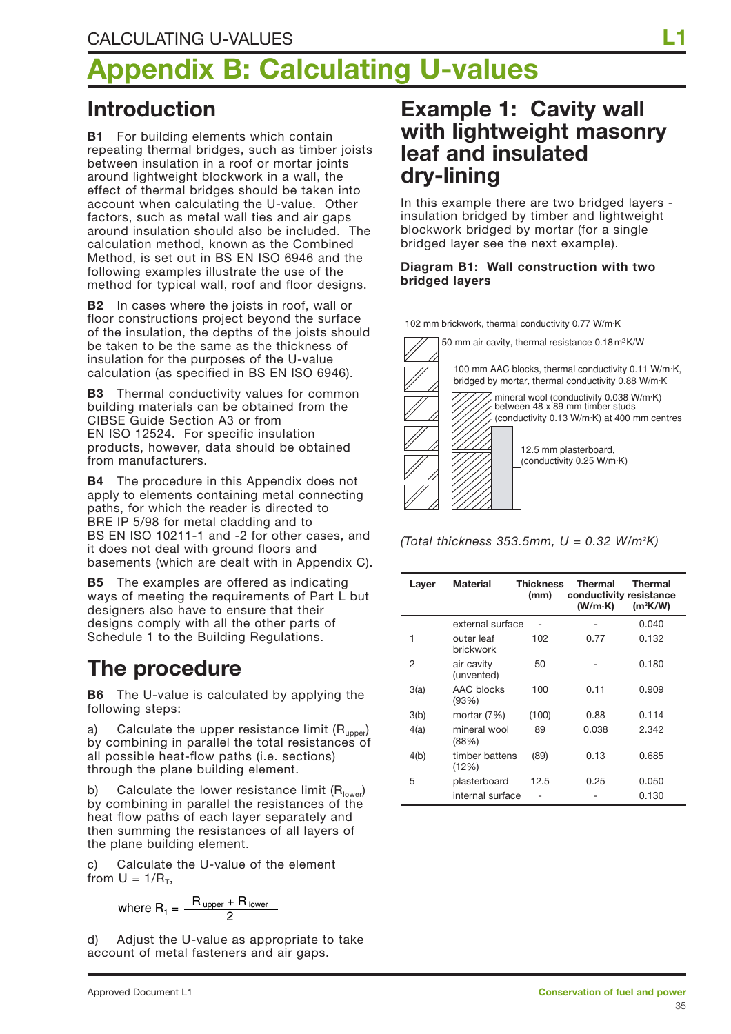# **Appendix B: Calculating U-values**

## **Introduction**

**B1** For building elements which contain repeating thermal bridges, such as timber joists between insulation in a roof or mortar joints around lightweight blockwork in a wall, the effect of thermal bridges should be taken into account when calculating the U-value. Other factors, such as metal wall ties and air gaps around insulation should also be included. The calculation method, known as the Combined Method, is set out in BS EN ISO 6946 and the following examples illustrate the use of the method for typical wall, roof and floor designs.

**B2** In cases where the joists in roof, wall or floor constructions project beyond the surface of the insulation, the depths of the joists should be taken to be the same as the thickness of insulation for the purposes of the U-value calculation (as specified in BS EN ISO 6946).

**B3** Thermal conductivity values for common building materials can be obtained from the CIBSE Guide Section A3 or from EN ISO 12524. For specific insulation products, however, data should be obtained from manufacturers.

**B4** The procedure in this Appendix does not apply to elements containing metal connecting paths, for which the reader is directed to BRE IP 5/98 for metal cladding and to BS EN ISO 10211-1 and -2 for other cases, and it does not deal with ground floors and basements (which are dealt with in Appendix C).

**B5** The examples are offered as indicating ways of meeting the requirements of Part L but designers also have to ensure that their designs comply with all the other parts of Schedule 1 to the Building Regulations.

## **The procedure**

**B6** The U-value is calculated by applying the following steps:

Calculate the upper resistance limit  $(R_{\text{unper}})$ by combining in parallel the total resistances of all possible heat-flow paths (i.e. sections) through the plane building element.

b) Calculate the lower resistance limit  $(R<sub>lower</sub>)$ by combining in parallel the resistances of the heat flow paths of each layer separately and then summing the resistances of all layers of the plane building element.

c) Calculate the U-value of the element from  $U = 1/R<sub>T</sub>$ ,

where 
$$
R_1 = \frac{R_{\text{ upper}} + R_{\text{ lower}}}{2}
$$

d) Adjust the U-value as appropriate to take account of metal fasteners and air gaps.

## **Example 1: Cavity wall with lightweight masonry leaf and insulated dry-lining**

In this example there are two bridged layers insulation bridged by timber and lightweight blockwork bridged by mortar (for a single bridged layer see the next example).

#### **Diagram B1: Wall construction with two bridged layers**

102 mm brickwork, thermal conductivity 0.77 W/m·K



*(Total thickness 353.5mm, U = 0.32 W/m2 K)* 

| Layer | Material                       | <b>Thickness</b><br>(mm) | <b>Thermal</b><br>conductivity resistance<br>(W/m·K) | Thermal<br>$(m^2K/W)$ |
|-------|--------------------------------|--------------------------|------------------------------------------------------|-----------------------|
|       | external surface               |                          |                                                      | 0.040                 |
| 1     | outer leaf<br><b>brickwork</b> | 102                      | 0.77                                                 | 0.132                 |
| 2     | air cavity<br>(unvented)       | 50                       |                                                      | 0.180                 |
| 3(a)  | AAC blocks<br>(93%)            | 100                      | 0.11                                                 | 0.909                 |
| 3(b)  | mortar (7%)                    | (100)                    | 0.88                                                 | 0.114                 |
| 4(a)  | mineral wool<br>(88%)          | 89                       | 0.038                                                | 2.342                 |
| 4(b)  | timber battens<br>(12%)        | (89)                     | 0.13                                                 | 0.685                 |
| 5     | plasterboard                   | 12.5                     | 0.25                                                 | 0.050                 |
|       | internal surface               |                          |                                                      | 0.130                 |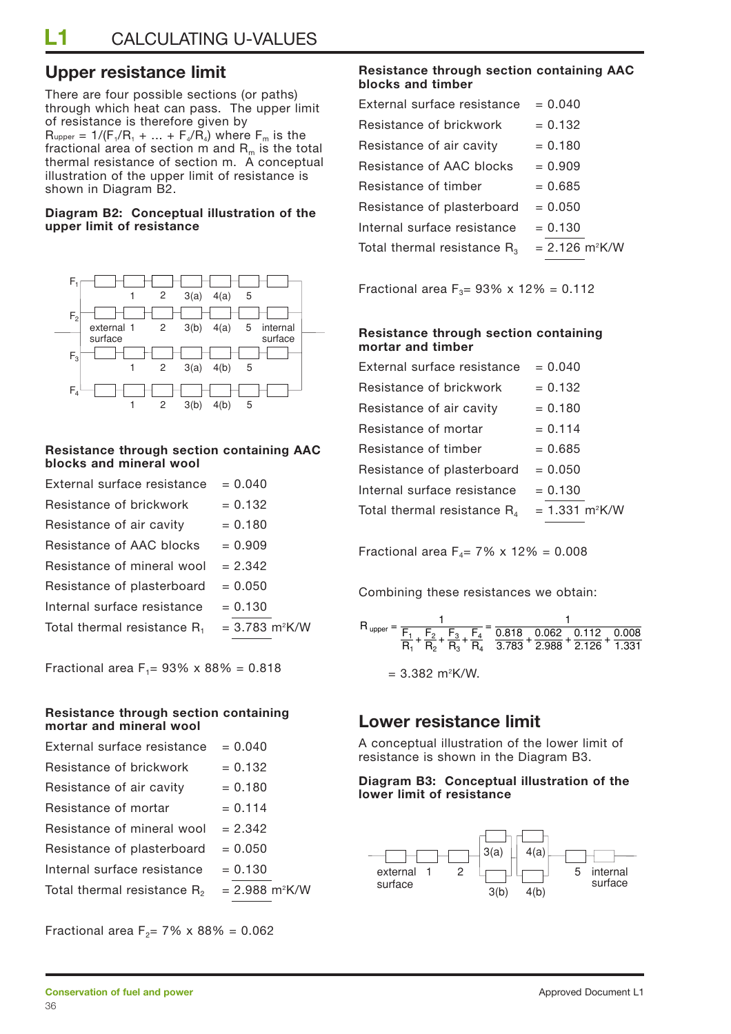### **Upper resistance limit**

There are four possible sections (or paths) through which heat can pass. The upper limit of resistance is therefore given by  $R_{upper} = 1/(F_1/R_1 + ... + F_4/R_4)$  where  $F_m$  is the fractional area of section  $m$  and  $R_m$  is the total thermal resistance of section m. A conceptual illustration of the upper limit of resistance is shown in Diagram B2.

#### **Diagram B2: Conceptual illustration of the upper limit of resistance**



#### **Resistance through section containing AAC blocks and mineral wool**

| External surface resistance    | $= 0.040$                    |
|--------------------------------|------------------------------|
| Resistance of brickwork        | $= 0.132$                    |
| Resistance of air cavity       | $= 0.180$                    |
| Resistance of AAC blocks       | $= 0.909$                    |
| Resistance of mineral wool     | $= 2.342$                    |
| Resistance of plasterboard     | $= 0.050$                    |
| Internal surface resistance    | $= 0.130$                    |
| Total thermal resistance $R_1$ | $= 3.783$ m <sup>2</sup> K/W |
|                                |                              |

Fractional area F<sub>1</sub>=  $93\% \times 88\% = 0.818$ 

#### **Resistance through section containing mortar and mineral wool**

| External surface resistance    | $= 0.040$                    |
|--------------------------------|------------------------------|
| Resistance of brickwork        | $= 0.132$                    |
| Resistance of air cavity       | $= 0.180$                    |
| Resistance of mortar           | $= 0.114$                    |
| Resistance of mineral wool     | $= 2.342$                    |
| Resistance of plasterboard     | $= 0.050$                    |
| Internal surface resistance    | $= 0.130$                    |
| Total thermal resistance $R_2$ | $= 2.988$ m <sup>2</sup> K/W |

Fractional area F<sub>2</sub>= 7% x 88% = 0.062

#### **Resistance through section containing AAC blocks and timber**

| External surface resistance      | $= 0.040$                    |
|----------------------------------|------------------------------|
| Resistance of brickwork          | $= 0.132$                    |
| Resistance of air cavity         | $= 0.180$                    |
| Resistance of AAC blocks         | $= 0.909$                    |
| Resistance of timber             | $= 0.685$                    |
| Resistance of plasterboard       | $= 0.050$                    |
| Internal surface resistance      | $= 0.130$                    |
| Total thermal resistance $R_{3}$ | $= 2.126$ m <sup>2</sup> K/W |
|                                  |                              |

Fractional area  $F_3 = 93\% \times 12\% = 0.112$ 

#### **Resistance through section containing mortar and timber**

| External surface resistance    | $= 0.040$                        |
|--------------------------------|----------------------------------|
| Resistance of brickwork        | $= 0.132$                        |
| Resistance of air cavity       | $= 0.180$                        |
| Resistance of mortar           | $= 0.114$                        |
| Resistance of timber           | $= 0.685$                        |
| Resistance of plasterboard     | $= 0.050$                        |
| Internal surface resistance    | $= 0.130$                        |
| Total thermal resistance $R_4$ | $= 1.331 \text{ m}^2 \text{K/W}$ |
|                                |                                  |

Fractional area  $F_4 = 7\% \times 12\% = 0.008$ 

Combining these resistances we obtain:

$$
R_{upper} = \frac{1}{\frac{F_1}{R_1} + \frac{F_2}{R_2} + \frac{F_3}{R_3} + \frac{F_4}{R_4}} = \frac{1}{\frac{0.818}{3.783} + \frac{0.062}{2.988} + \frac{0.112}{2.126} + \frac{0.008}{1.331}}
$$
  
= 3.382 m<sup>2</sup>K/W.

### **Lower resistance limit**

A conceptual illustration of the lower limit of resistance is shown in the Diagram B3.

#### **Diagram B3: Conceptual illustration of the lower limit of resistance**

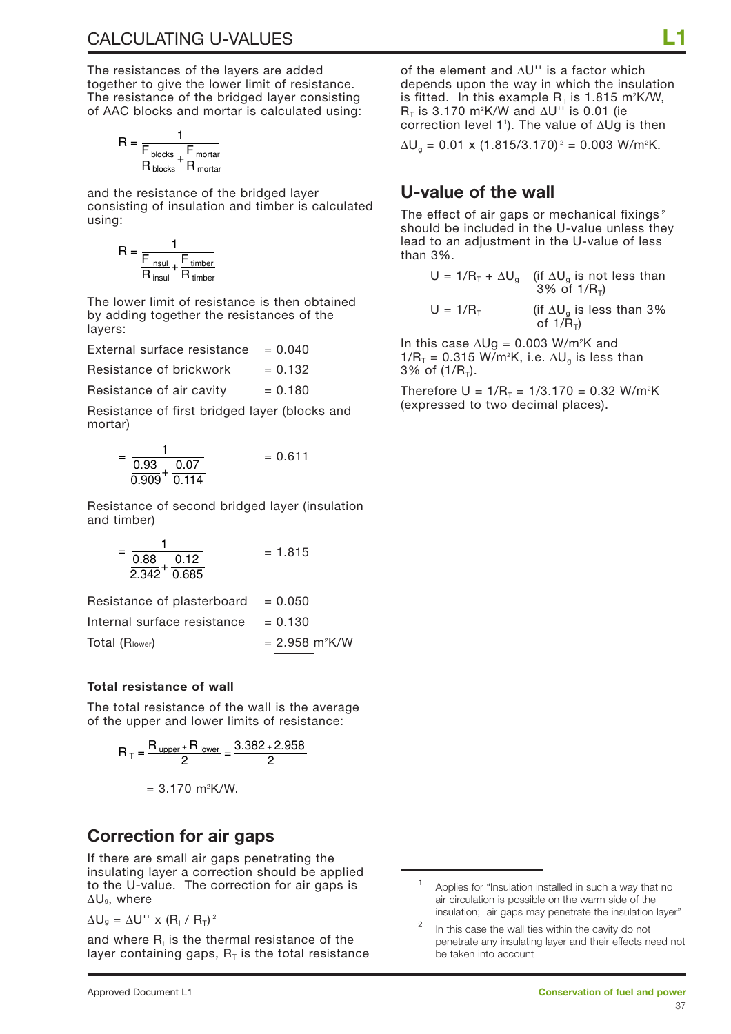The resistances of the layers are added together to give the lower limit of resistance. The resistance of the bridged layer consisting of AAC blocks and mortar is calculated using:

$$
R = \frac{1}{\frac{F_{blocks}}{R_{blocks} + \frac{F_{mortar}}{R_{mortar}}}}
$$

and the resistance of the bridged layer consisting of insulation and timber is calculated using:

$$
R = \frac{1}{\frac{F_{insul}}{R_{insul} + \frac{F_{timber}}{R_{timber}}}}
$$

The lower limit of resistance is then obtained by adding together the resistances of the layers:

External surface resistance  $= 0.040$ 

Resistance of brickwork  $= 0.132$ 

Resistance of air cavity  $= 0.180$ 

Resistance of first bridged layer (blocks and mortar)

$$
= \frac{1}{\frac{0.93}{0.909} + \frac{0.07}{0.114}} = 0.611
$$

Resistance of second bridged layer (insulation and timber)

$$
= \frac{1}{\frac{0.88}{2.342} + \frac{0.12}{0.685}} = 1.815
$$

| Resistance of plasterboard $= 0.050$ |                              |
|--------------------------------------|------------------------------|
| Internal surface resistance          | $= 0.130$                    |
| Total (Rlower)                       | $= 2.958$ m <sup>2</sup> K/W |

#### **Total resistance of wall**

The total resistance of the wall is the average of the upper and lower limits of resistance:

$$
R_T = \frac{R_{\text{ upper}} + R_{\text{ lower}}}{2} = \frac{3.382 + 2.958}{2}
$$

$$
= 3.170 \text{ m}^2 \text{K/W}.
$$

### **Correction for air gaps**

If there are small air gaps penetrating the insulating layer a correction should be applied to the U-value. The correction for air gaps is ∆Ug, where

 $\Delta U_g = \Delta U'' \times (R_1 / R_T)^2$ 

and where  $R<sub>i</sub>$  is the thermal resistance of the layer containing gaps,  $R<sub>T</sub>$  is the total resistance of the element and ∆U'' is a factor which depends upon the way in which the insulation is fitted. In this example R<sub>1</sub> is 1.815 m²K/W, R<sub>T</sub> is 3.170 m²K/W and ∆U'' is 0.01 (ie correction level 11 ). The value of ∆Ug is then

 $\Delta$ U<sub>g</sub> = 0.01 x (1.815/3.170)<sup>2</sup> = 0.003 W/m<sup>2</sup>K.

### **U-value of the wall**

The effect of air gaps or mechanical fixings<sup>2</sup> should be included in the U-value unless they lead to an adjustment in the U-value of less than 3%.

$$
U = 1/R_{T} + \Delta U_{g}
$$
 (if  $\Delta U_{g}$  is not less than 3% of 1/R<sub>T</sub>)

 $U = 1/R_T$  (if  $\Delta U_q$  is less than 3% of  $1/\tilde{R}_{\tau}$ )

In this case ∆Ug = 0.003 W/m2 K and 1/R $_{\textsf{\tiny{T}}}$  = 0.315 W/m²K, i.e.  $\Delta \mathsf{U}_{\textsf{\tiny{g}}}$  is less than  $3\%$  of  $(1/R_{\tau})$ .

Therefore U =  $1/R_T = 1/3.170 = 0.32$  W/m<sup>2</sup>K (expressed to two decimal places).

Applies for "Insulation installed in such a way that no air circulation is possible on the warm side of the insulation; air gaps may penetrate the insulation layer"

In this case the wall ties within the cavity do not penetrate any insulating layer and their effects need not be taken into account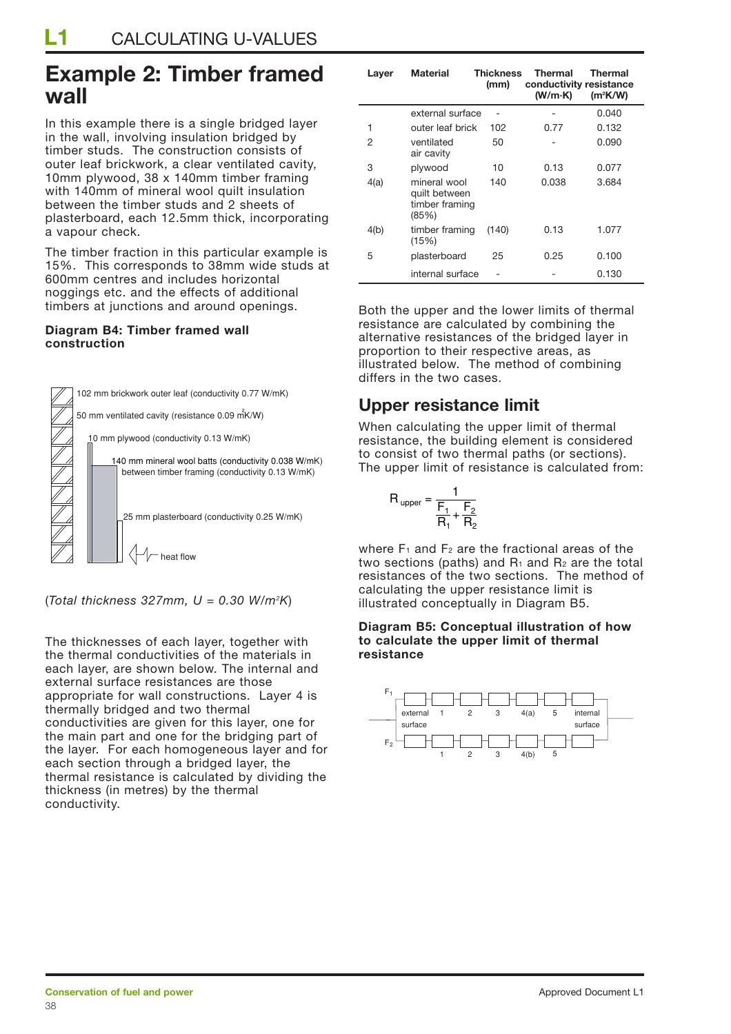## **Example 2: Timber framed wall**

In this example there is a single bridged layer in the wall, involving insulation bridged by timber studs. The construction consists of outer leaf brickwork, a clear ventilated cavity, 10mm plywood, 38 x 140mm timber framing with 140mm of mineral wool quilt insulation between the timber studs and 2 sheets of plasterboard, each 12.5mm thick, incorporating a vapour check.

The timber fraction in this particular example is 15%. This corresponds to 38mm wide studs at 600mm centres and includes horizontal noggings etc. and the effects of additional timbers at junctions and around openings.

#### **Diagram B4: Timber framed wall construction**



(*Total thickness 327mm, U = 0.30 W/m2 K*)

The thicknesses of each layer, together with the thermal conductivities of the materials in each layer, are shown below. The internal and external surface resistances are those appropriate for wall constructions. Layer 4 is thermally bridged and two thermal conductivities are given for this layer, one for the main part and one for the bridging part of the layer. For each homogeneous layer and for each section through a bridged layer, the thermal resistance is calculated by dividing the thickness (in metres) by the thermal conductivity.

| Layer | <b>Material</b>                                          | <b>Thickness</b><br>(mm) | <b>Thermal</b><br>conductivity resistance<br>(W/m·K) | <b>Thermal</b><br>$(m^2K/W)$ |
|-------|----------------------------------------------------------|--------------------------|------------------------------------------------------|------------------------------|
|       | external surface                                         |                          |                                                      | 0.040                        |
| 1     | outer leaf brick                                         | 102                      | 0.77                                                 | 0.132                        |
| 2     | ventilated<br>air cavity                                 | 50                       |                                                      | 0.090                        |
| 3     | plywood                                                  | 10                       | 0.13                                                 | 0.077                        |
| 4(a)  | mineral wool<br>quilt between<br>timber framing<br>(85%) | 140                      | 0.038                                                | 3.684                        |
| 4(b)  | timber framing<br>(15%)                                  | (140)                    | 0.13                                                 | 1.077                        |
| 5     | plasterboard                                             | 25                       | 0.25                                                 | 0.100                        |
|       | internal surface                                         |                          |                                                      | 0.130                        |

Both the upper and the lower limits of thermal resistance are calculated by combining the alternative resistances of the bridged layer in proportion to their respective areas, as illustrated below. The method of combining differs in the two cases.

## **Upper resistance limit**

When calculating the upper limit of thermal resistance, the building element is considered to consist of two thermal paths (or sections). The upper limit of resistance is calculated from:

$$
R_{upper} = \frac{1}{\frac{F_1}{R_1} + \frac{F_2}{R_2}}
$$

where  $F_1$  and  $F_2$  are the fractional areas of the two sections (paths) and  $R_1$  and  $R_2$  are the total resistances of the two sections. The method of calculating the upper resistance limit is illustrated conceptually in Diagram B5.

#### **Diagram B5: Conceptual illustration of how to calculate the upper limit of thermal resistance**

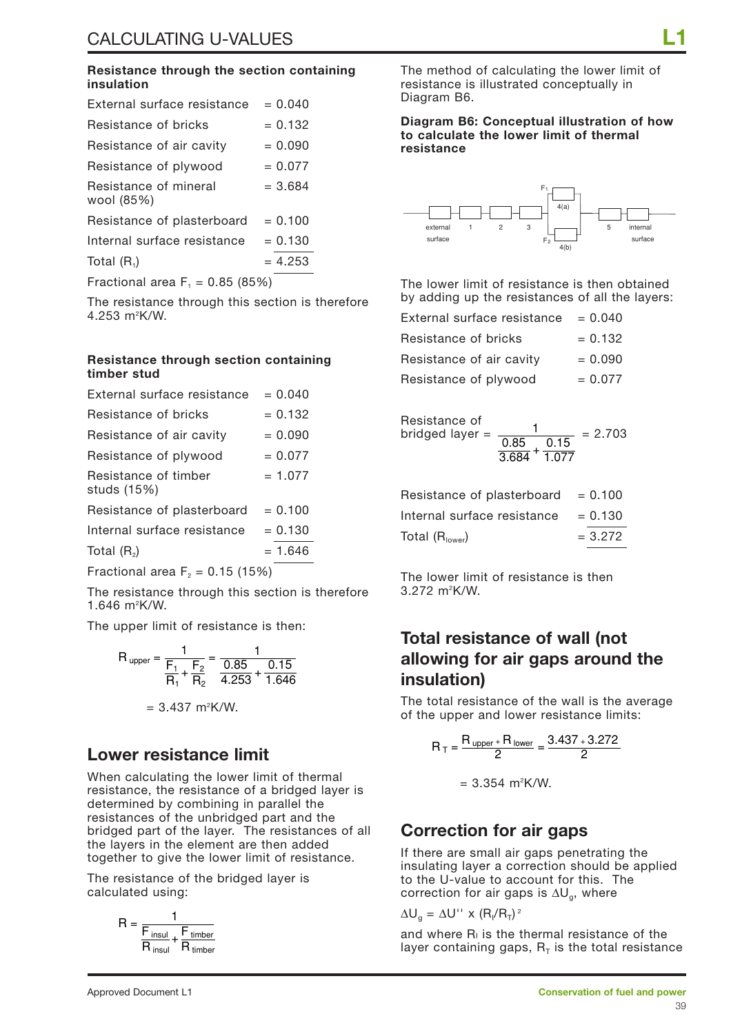#### **Resistance through the section containing insulation**

| External surface resistance         | $= 0.040$ |
|-------------------------------------|-----------|
| Resistance of bricks                | $= 0.132$ |
| Resistance of air cavity            | $= 0.090$ |
| Resistance of plywood               | $= 0.077$ |
| Resistance of mineral<br>wool (85%) | $= 3.684$ |
| Resistance of plasterboard          | $= 0.100$ |
| Internal surface resistance         | $= 0.130$ |
| Total $(R_1)$                       | $= 4.253$ |
| Fractional area $F_1 = 0.85$ (85%)  |           |

The resistance through this section is therefore 4.253 m2 K/W.

#### **Resistance through section containing timber stud**

| External surface resistance         | $= 0.040$ |
|-------------------------------------|-----------|
| Resistance of bricks                | $= 0.132$ |
| Resistance of air cavity            | $= 0.090$ |
| Resistance of plywood               | $= 0.077$ |
| Resistance of timber<br>studs (15%) | $= 1.077$ |
| Resistance of plasterboard          | $= 0.100$ |
| Internal surface resistance         | $= 0.130$ |
| Total $(R_2)$                       | $= 1.646$ |
|                                     |           |

Fractional area  $F<sub>2</sub> = 0.15$  (15%)

The resistance through this section is therefore 1.646 m2 K/W.

The upper limit of resistance is then:

$$
R_{upper} = \frac{1}{\frac{F_1}{R_1} + \frac{F_2}{R_2}} = \frac{1}{\frac{0.85}{4.253} + \frac{0.15}{1.646}}
$$

$$
= 3.437 \text{ m}^2 \text{K/W}.
$$

### **Lower resistance limit**

When calculating the lower limit of thermal resistance, the resistance of a bridged layer is determined by combining in parallel the resistances of the unbridged part and the bridged part of the layer. The resistances of all the layers in the element are then added together to give the lower limit of resistance.

The resistance of the bridged layer is calculated using:

$$
R = \frac{1}{\frac{F_{insul}}{R_{insul} + \frac{F_{timber}}{R_{timber}}}}
$$

The method of calculating the lower limit of resistance is illustrated conceptually in Diagram B6.

**Diagram B6: Conceptual illustration of how to calculate the lower limit of thermal resistance**



The lower limit of resistance is then obtained by adding up the resistances of all the layers:

| External surface resistance | $= 0.040$ |
|-----------------------------|-----------|
| Resistance of bricks        | $= 0.132$ |
| Resistance of air cavity    | $= 0.090$ |
| Resistance of plywood       | $= 0.077$ |

Resistance of  
bridged layer = 
$$
\frac{1}{\frac{0.85}{3.684} + \frac{0.15}{1.077}}
$$
 = 2.703

| Resistance of plasterboard  | $= 0.100$ |
|-----------------------------|-----------|
| Internal surface resistance | $= 0.130$ |
| Total $(Rlower)$            | $= 3.272$ |

The lower limit of resistance is then 3.272 m2 K/W.

### **Total resistance of wall (not allowing for air gaps around the insulation)**

The total resistance of the wall is the average of the upper and lower resistance limits:

$$
R_T = \frac{R_{\text{ upper}} + R_{\text{ lower}}}{2} = \frac{3.437 + 3.272}{2}
$$

 $= 3.354 \, \text{m}^2 \text{K/W}.$ 

### **Correction for air gaps**

If there are small air gaps penetrating the insulating layer a correction should be applied to the U-value to account for this. The correction for air gaps is  $\Delta U_{\alpha}$ , where

 $\Delta U_g = \Delta U''$  x  $(R_1/R_T)^2$ 

and where  $R<sub>1</sub>$  is the thermal resistance of the layer containing gaps,  $R<sub>T</sub>$  is the total resistance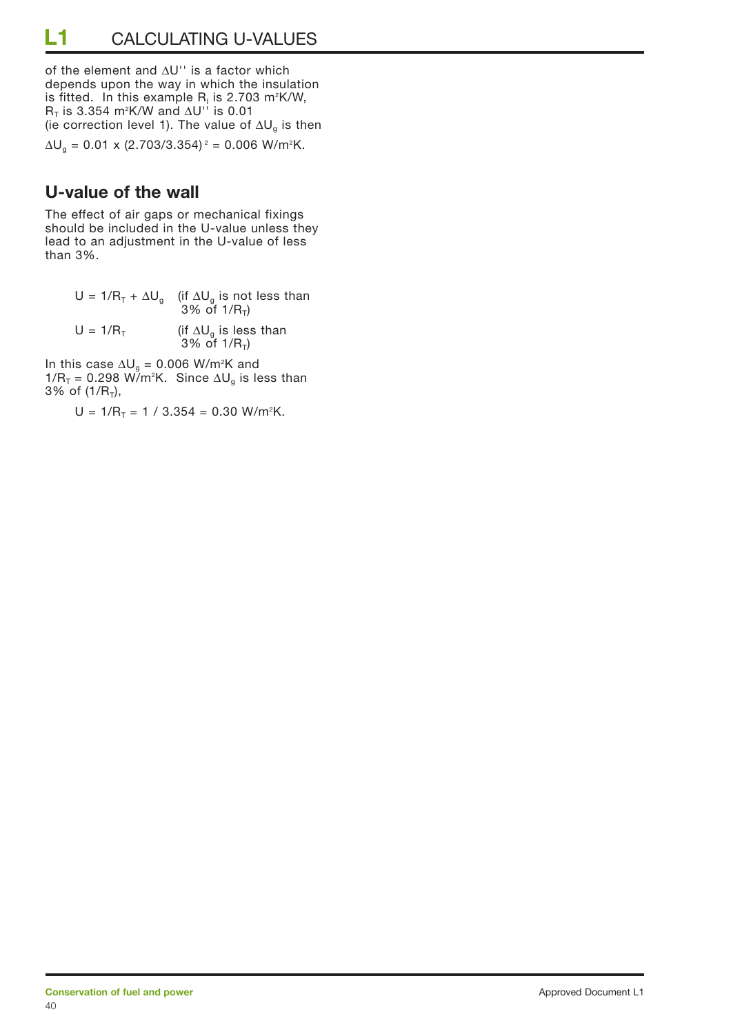of the element and ∆U'' is a factor which depends upon the way in which the insulation is fitted. In this example R<sub>i</sub> is 2.703 m²K/W, R<sub>⊺</sub> is 3.354 m²K/W and ∆U'' is 0.01 (ie correction level 1). The value of  $\Delta U_{g}$  is then

 $\Delta U_{\text{g}} = 0.01 \times (2.703/3.354)^2 = 0.006 \text{ W/m}^2\text{K}.$ 

## **U-value of the wall**

The effect of air gaps or mechanical fixings should be included in the U-value unless they lead to an adjustment in the U-value of less than 3%.

> U = 1/R<sub>T</sub> +  $\Delta U_g$  (if  $\Delta U_g$  is not less than 3% of 1/ $R_T$ )  $U = 1/R_T$  (if  $\Delta U_g$  is less than  $3%$  of  $1/R_{T}$ )

In this case  $\Delta U_g = 0.006$  W/m²K and 1/R<sub>T</sub> = 0.298 W/m<sup>2</sup>K. Since ∆U<sub>g</sub> is less than 3% of  $(1/R<sub>T</sub>)$ ,

 $U = 1/R_T = 1 / 3.354 = 0.30 W/m<sup>2</sup>K$ .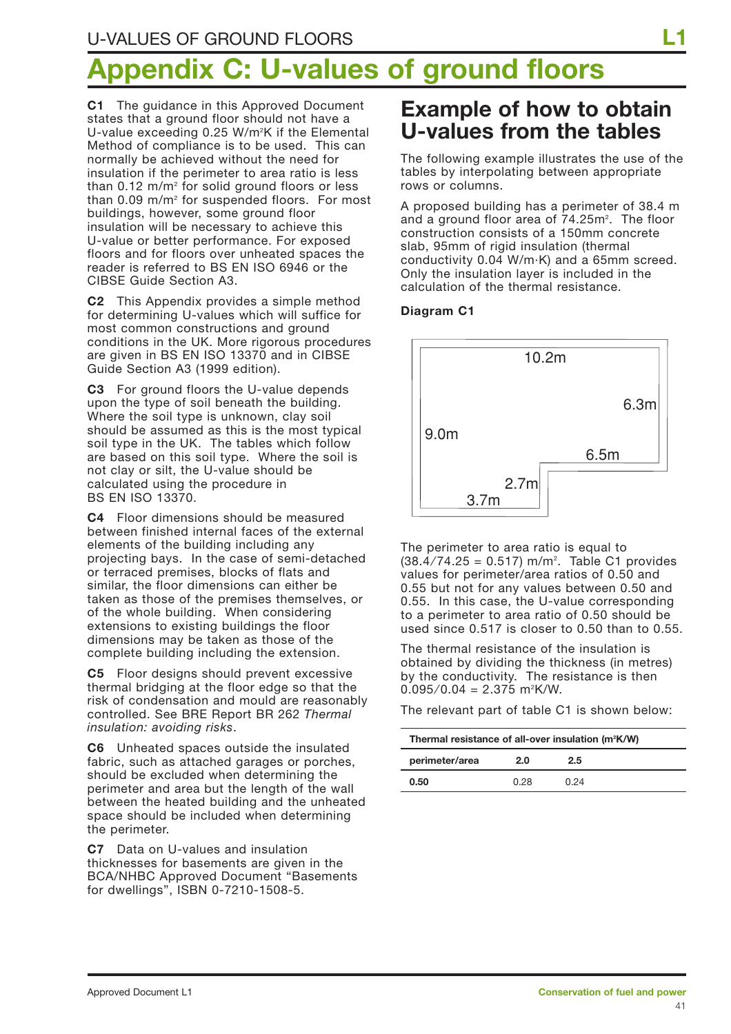# **Appendix C: U-values of ground floors**

**C1** The guidance in this Approved Document states that a ground floor should not have a U-value exceeding 0.25 W/m<sup>2</sup>K if the Elemental Method of compliance is to be used. This can normally be achieved without the need for insulation if the perimeter to area ratio is less than  $0.12$  m/m<sup>2</sup> for solid ground floors or less than 0.09 m/m<sup>2</sup> for suspended floors. For most buildings, however, some ground floor insulation will be necessary to achieve this U-value or better performance. For exposed floors and for floors over unheated spaces the reader is referred to BS EN ISO 6946 or the CIBSE Guide Section A3.

**C2** This Appendix provides a simple method for determining U-values which will suffice for most common constructions and ground conditions in the UK. More rigorous procedures are given in BS EN ISO 13370 and in CIBSE Guide Section A3 (1999 edition).

**C3** For ground floors the U-value depends upon the type of soil beneath the building. Where the soil type is unknown, clay soil should be assumed as this is the most typical soil type in the UK. The tables which follow are based on this soil type. Where the soil is not clay or silt, the U-value should be calculated using the procedure in BS EN ISO 13370.

**C4** Floor dimensions should be measured between finished internal faces of the external elements of the building including any projecting bays. In the case of semi-detached or terraced premises, blocks of flats and similar, the floor dimensions can either be taken as those of the premises themselves, or of the whole building. When considering extensions to existing buildings the floor dimensions may be taken as those of the complete building including the extension.

**C5** Floor designs should prevent excessive thermal bridging at the floor edge so that the risk of condensation and mould are reasonably controlled. See BRE Report BR 262 *Thermal insulation: avoiding risks*.

**C6** Unheated spaces outside the insulated fabric, such as attached garages or porches, should be excluded when determining the perimeter and area but the length of the wall between the heated building and the unheated space should be included when determining the perimeter.

**C7** Data on U-values and insulation thicknesses for basements are given in the BCA/NHBC Approved Document "Basements for dwellings", ISBN 0-7210-1508-5.

## **Example of how to obtain U-values from the tables**

The following example illustrates the use of the tables by interpolating between appropriate rows or columns.

A proposed building has a perimeter of 38.4 m and a ground floor area of 74.25m<sup>2</sup>. The floor construction consists of a 150mm concrete slab, 95mm of rigid insulation (thermal conductivity 0.04 W/m·K) and a 65mm screed. Only the insulation layer is included in the calculation of the thermal resistance.

#### **Diagram C1**



The perimeter to area ratio is equal to (38.4 ⁄ 74.25 = 0.517) m/m2 . Table C1 provides values for perimeter/area ratios of 0.50 and 0.55 but not for any values between 0.50 and 0.55. In this case, the U-value corresponding to a perimeter to area ratio of 0.50 should be used since 0.517 is closer to 0.50 than to 0.55.

The thermal resistance of the insulation is obtained by dividing the thickness (in metres) by the conductivity. The resistance is then  $0.095/0.04 = 2.375 \text{ m}^2\text{K/W}.$ 

The relevant part of table C1 is shown below:

| Thermal resistance of all-over insulation (m <sup>2</sup> K/W) |      |      |  |  |  |  |
|----------------------------------------------------------------|------|------|--|--|--|--|
| perimeter/area<br>2.5<br>2.0                                   |      |      |  |  |  |  |
| 0.50                                                           | 0.28 | በ 24 |  |  |  |  |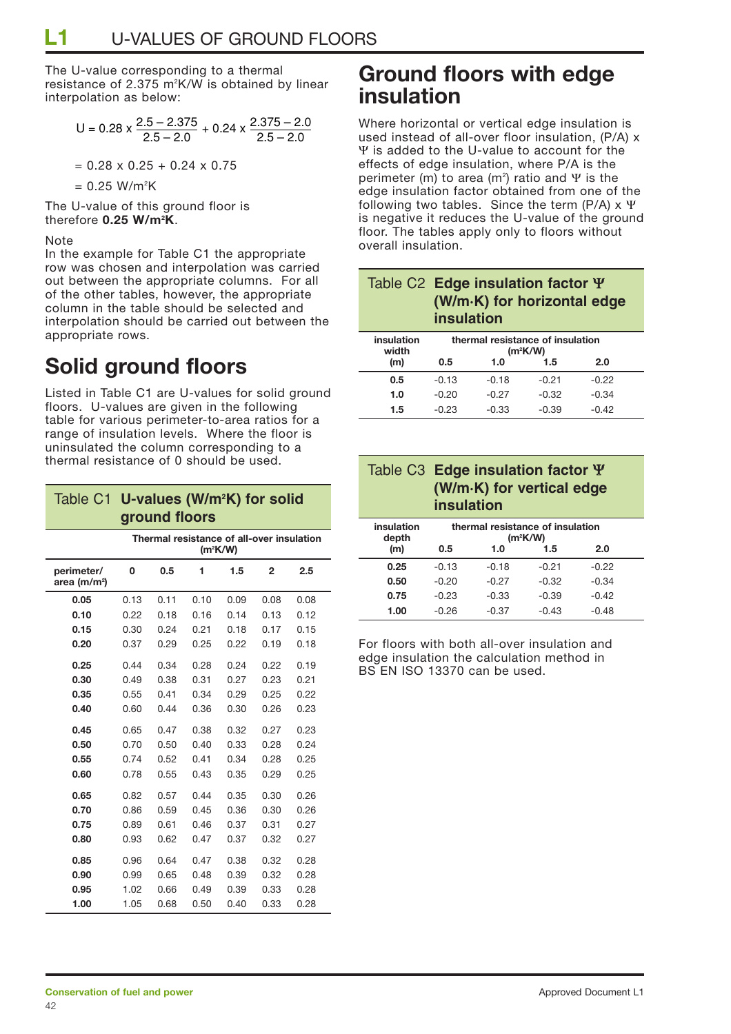The U-value corresponding to a thermal resistance of 2.375 m2 K/W is obtained by linear interpolation as below:

$$
U = 0.28 \times \frac{2.5 - 2.375}{2.5 - 2.0} + 0.24 \times \frac{2.375 - 2.0}{2.5 - 2.0}
$$

$$
= 0.28 \times 0.25 + 0.24 \times 0.75
$$

= 0.25 W/m2 K

The U-value of this ground floor is therefore **0.25 W/m2 K**.

#### **Note**

In the example for Table C1 the appropriate row was chosen and interpolation was carried out between the appropriate columns. For all of the other tables, however, the appropriate column in the table should be selected and interpolation should be carried out between the appropriate rows.

## **Solid ground floors**

Listed in Table C1 are U-values for solid ground floors. U-values are given in the following table for various perimeter-to-area ratios for a range of insulation levels. Where the floor is uninsulated the column corresponding to a thermal resistance of 0 should be used.

| Table C1                               | U-values (W/m <sup>2</sup> K) for solid                 |      |      |      |                |      |  |
|----------------------------------------|---------------------------------------------------------|------|------|------|----------------|------|--|
|                                        | ground floors                                           |      |      |      |                |      |  |
|                                        | Thermal resistance of all-over insulation<br>$(m^2K/W)$ |      |      |      |                |      |  |
| perimeter/<br>area (m/m <sup>2</sup> ) | 0                                                       | 0.5  | 1    | 1.5  | $\overline{2}$ | 2.5  |  |
| 0.05                                   | 0.13                                                    | 0.11 | 0.10 | 0.09 | 0.08           | 0.08 |  |
| 0.10                                   | 0.22                                                    | 0.18 | 0.16 | 0.14 | 0.13           | 0.12 |  |
| 0.15                                   | 0.30                                                    | 0.24 | 0.21 | 0.18 | 0.17           | 0.15 |  |
| 0.20                                   | 0.37                                                    | 0.29 | 0.25 | 0.22 | 0.19           | 0.18 |  |
| 0.25                                   | 0.44                                                    | 0.34 | 0.28 | 0.24 | 0.22           | 0.19 |  |
| 0.30                                   | 0.49                                                    | 0.38 | 0.31 | 0.27 | 0.23           | 0.21 |  |
| 0.35                                   | 0.55                                                    | 0.41 | 0.34 | 0.29 | 0.25           | 0.22 |  |
| 0.40                                   | 0.60                                                    | 0.44 | 0.36 | 0.30 | 0.26           | 0.23 |  |
| 0.45                                   | 0.65                                                    | 0.47 | 0.38 | 0.32 | 0.27           | 0.23 |  |
| 0.50                                   | 0.70                                                    | 0.50 | 0.40 | 0.33 | 0.28           | 0.24 |  |
| 0.55                                   | 0.74                                                    | 0.52 | 0.41 | 0.34 | 0.28           | 0.25 |  |
| 0.60                                   | 0.78                                                    | 0.55 | 0.43 | 0.35 | 0.29           | 0.25 |  |
| 0.65                                   | 0.82                                                    | 0.57 | 0.44 | 0.35 | 0.30           | 0.26 |  |
| 0.70                                   | 0.86                                                    | 0.59 | 0.45 | 0.36 | 0.30           | 0.26 |  |
| 0.75                                   | 0.89                                                    | 0.61 | 0.46 | 0.37 | 0.31           | 0.27 |  |
| 0.80                                   | 0.93                                                    | 0.62 | 0.47 | 0.37 | 0.32           | 0.27 |  |
| 0.85                                   | 0.96                                                    | 0.64 | 0.47 | 0.38 | 0.32           | 0.28 |  |
| 0.90                                   | 0.99                                                    | 0.65 | 0.48 | 0.39 | 0.32           | 0.28 |  |
| 0.95                                   | 1.02                                                    | 0.66 | 0.49 | 0.39 | 0.33           | 0.28 |  |
| 1.00                                   | 1.05                                                    | 0.68 | 0.50 | 0.40 | 0.33           | 0.28 |  |

## **Ground floors with edge insulation**

Where horizontal or vertical edge insulation is used instead of all-over floor insulation, (P/A) x Ψ is added to the U-value to account for the effects of edge insulation, where P/A is the perimeter (m) to area (m²) ratio and Ψ is the edge insulation factor obtained from one of the following two tables. Since the term (P/A) x Ψ is negative it reduces the U-value of the ground floor. The tables apply only to floors without overall insulation.

|                     | Table C2 Edge insulation factor $\Psi$<br>(W/m·K) for horizontal edge<br><b>insulation</b> |
|---------------------|--------------------------------------------------------------------------------------------|
| المستوقف والمستوردة | المتحالف المتحمل الأنجاح والمتحالة والمتحدث المتحدد والفراط                                |

| insulation<br>width | thermal resistance of insulation<br>$(m^2K/W)$ |         |         |         |  |
|---------------------|------------------------------------------------|---------|---------|---------|--|
| (m)                 | 0.5                                            | 1.0     | $1.5\,$ | 2.0     |  |
| 0.5                 | $-0.13$                                        | $-0.18$ | $-0.21$ | $-0.22$ |  |
| 1.0                 | $-0.20$                                        | $-0.27$ | $-0.32$ | $-0.34$ |  |
| 1.5                 | $-0.23$                                        | $-0.33$ | $-0.39$ | $-0.42$ |  |

| Table C3 Edge insulation factor $\Psi$         |
|------------------------------------------------|
| (W/m·K) for vertical edge<br><i>insulation</i> |

| insulation<br>depth | thermal resistance of insulation<br>$(m^2K/W)$ |         |         |         |
|---------------------|------------------------------------------------|---------|---------|---------|
| (m)                 | 0.5                                            | 1.0     | 1.5     | 2.0     |
| 0.25                | $-0.13$                                        | $-0.18$ | $-0.21$ | $-0.22$ |
| 0.50                | $-0.20$                                        | $-0.27$ | $-0.32$ | $-0.34$ |
| 0.75                | $-0.23$                                        | $-0.33$ | $-0.39$ | $-0.42$ |
| 1.00                | $-0.26$                                        | $-0.37$ | $-0.43$ | $-0.48$ |

For floors with both all-over insulation and edge insulation the calculation method in BS EN ISO 13370 can be used.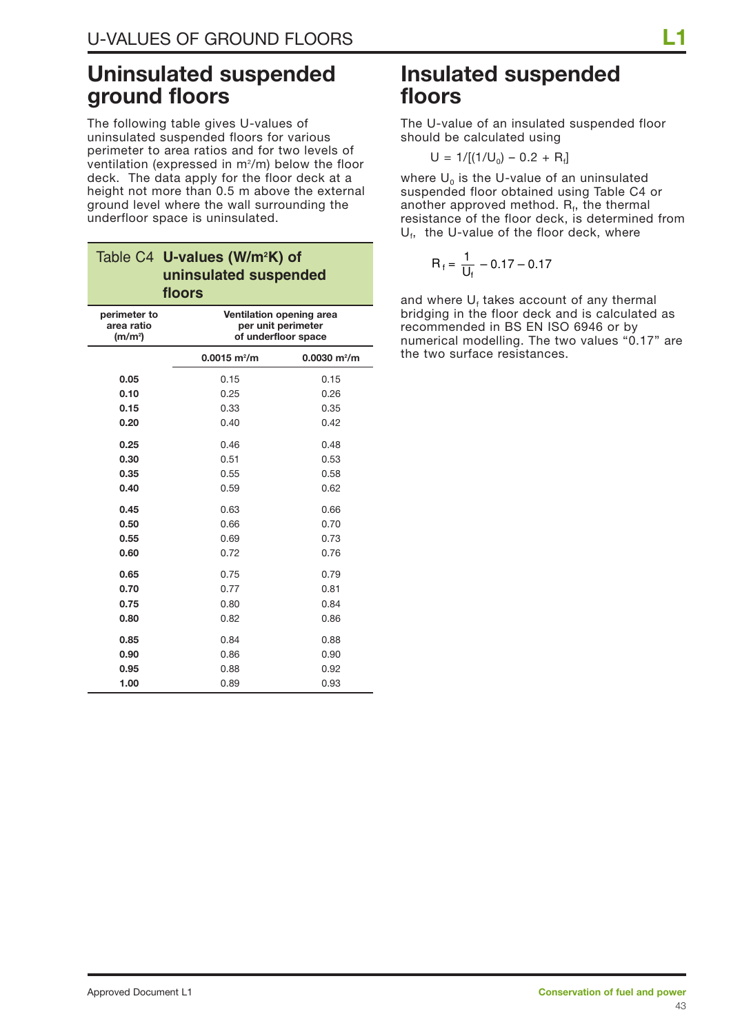## **Uninsulated suspended ground floors**

The following table gives U-values of uninsulated suspended floors for various perimeter to area ratios and for two levels of ventilation (expressed in  $m^2/m$ ) below the floor deck. The data apply for the floor deck at a height not more than 0.5 m above the external ground level where the wall surrounding the underfloor space is uninsulated.

|                                                   | Table C4 U-values (W/m <sup>2</sup> K) of<br>uninsulated suspended<br>floors |                                                                       |  |  |  |  |
|---------------------------------------------------|------------------------------------------------------------------------------|-----------------------------------------------------------------------|--|--|--|--|
| perimeter to<br>area ratio<br>(m/m <sup>2</sup> ) |                                                                              | Ventilation opening area<br>per unit perimeter<br>of underfloor space |  |  |  |  |
|                                                   | $0.0015$ m <sup>2</sup> /m                                                   | $0.0030$ m <sup>2</sup> /m                                            |  |  |  |  |
| 0.05                                              | 0.15                                                                         | 0.15                                                                  |  |  |  |  |
| 0.10                                              | 0.25                                                                         | 0.26                                                                  |  |  |  |  |
| 0.15                                              | 0.33                                                                         | 0.35                                                                  |  |  |  |  |
| 0.20                                              | 0.40                                                                         | 0.42                                                                  |  |  |  |  |
| 0.25                                              | 0.46                                                                         | 0.48                                                                  |  |  |  |  |
| 0.30                                              | 0.51                                                                         | 0.53                                                                  |  |  |  |  |
| 0.35                                              | 0.55                                                                         | 0.58                                                                  |  |  |  |  |
| 0.40                                              | 0.59                                                                         | 0.62                                                                  |  |  |  |  |
| 0.45                                              | 0.63                                                                         | 0.66                                                                  |  |  |  |  |
| 0.50                                              | 0.66                                                                         | 0.70                                                                  |  |  |  |  |
| 0.55                                              | 0.69                                                                         | 0.73                                                                  |  |  |  |  |
| 0.60                                              | 0.72                                                                         | 0.76                                                                  |  |  |  |  |
| 0.65                                              | 0.75                                                                         | 0.79                                                                  |  |  |  |  |
| 0.70                                              | 0.77                                                                         | 0.81                                                                  |  |  |  |  |
| 0.75                                              | 0.80                                                                         | 0.84                                                                  |  |  |  |  |
| 0.80                                              | 0.82                                                                         | 0.86                                                                  |  |  |  |  |
| 0.85                                              | 0.84                                                                         | 0.88                                                                  |  |  |  |  |
| 0.90                                              | 0.86                                                                         | 0.90                                                                  |  |  |  |  |
| 0.95                                              | 0.88                                                                         | 0.92                                                                  |  |  |  |  |
| 1.00                                              | 0.89                                                                         | 0.93                                                                  |  |  |  |  |

## **Insulated suspended floors**

The U-value of an insulated suspended floor should be calculated using

 $U = 1/[(1/U_0) - 0.2 + R_f]$ 

where  $U_0$  is the U-value of an uninsulated suspended floor obtained using Table C4 or another approved method.  $R_f$ , the thermal resistance of the floor deck, is determined from  $U_f$ , the U-value of the floor deck, where

$$
R_f = \frac{1}{U_f} - 0.17 - 0.17
$$

and where  $U_f$  takes account of any thermal bridging in the floor deck and is calculated as recommended in BS EN ISO 6946 or by numerical modelling. The two values "0.17" are the two surface resistances.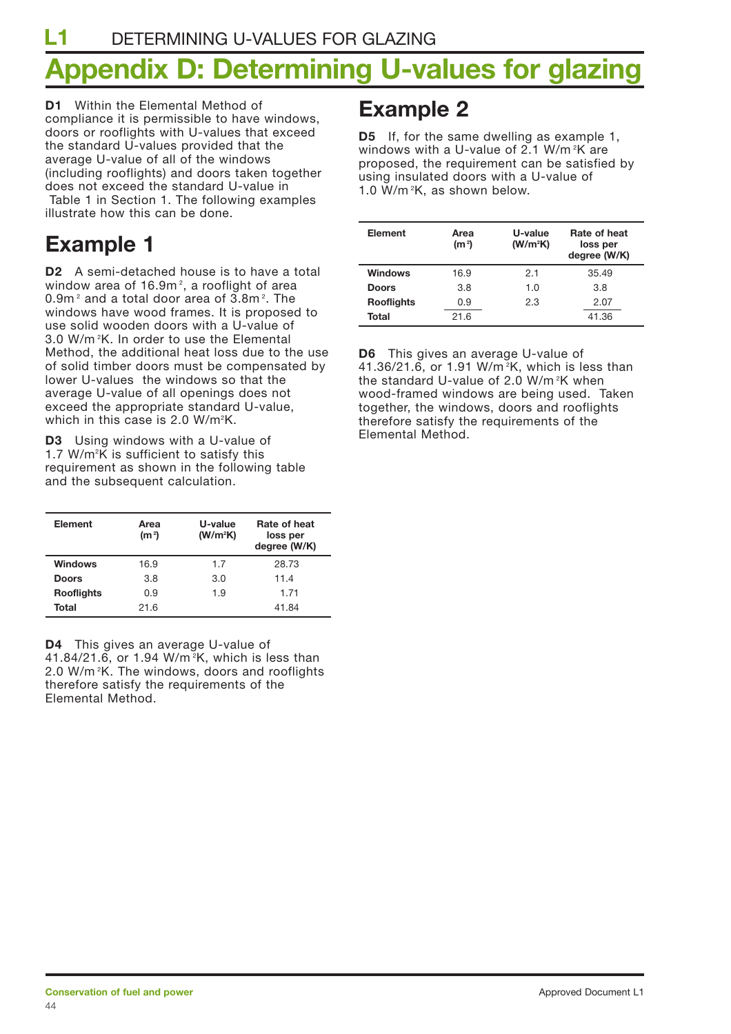# **Appendix D: Determining U-values for glazing**

**D1** Within the Elemental Method of compliance it is permissible to have windows, doors or rooflights with U-values that exceed the standard U-values provided that the average U-value of all of the windows (including rooflights) and doors taken together does not exceed the standard U-value in Table 1 in Section 1. The following examples illustrate how this can be done.

## **Example 1**

**D2** A semi-detached house is to have a total window area of 16.9m $^2$ , a rooflight of area 0.9m $^\text{2}$  and a total door area of 3.8m $^\text{2}$ . The windows have wood frames. It is proposed to use solid wooden doors with a U-value of 3.0 W/m <sup>2</sup> K. In order to use the Elemental Method, the additional heat loss due to the use of solid timber doors must be compensated by lower U-values the windows so that the average U-value of all openings does not exceed the appropriate standard U-value, which in this case is 2.0 W/m²K.

**D3** Using windows with a U-value of 1.7 W/m<sup>2</sup>K is sufficient to satisfy this requirement as shown in the following table and the subsequent calculation.

| Element           | Area<br>(m <sup>2</sup> ) | U-value<br>(W/m <sup>2</sup> K) | Rate of heat<br>loss per<br>degree (W/K) |
|-------------------|---------------------------|---------------------------------|------------------------------------------|
| <b>Windows</b>    | 16.9                      | 1.7                             | 28.73                                    |
| <b>Doors</b>      | 3.8                       | 3.0                             | 11.4                                     |
| <b>Rooflights</b> | 0.9                       | 1.9                             | 1.71                                     |
| Total             | 21.6                      |                                 | 41.84                                    |

**D4** This gives an average U-value of 41.84/21.6, or 1.94 W/m <sup>2</sup> K, which is less than 2.0 W/m<sup>2</sup>K. The windows, doors and rooflights therefore satisfy the requirements of the Elemental Method.

## **Example 2**

**D5** If, for the same dwelling as example 1, windows with a U-value of 2.1 W/m <sup>2</sup> K are proposed, the requirement can be satisfied by using insulated doors with a U-value of 1.0 W/m <sup>2</sup> K, as shown below.

| <b>Element</b>    | Area<br>(m <sup>2</sup> ) | U-value<br>(W/m <sup>2</sup> K) | Rate of heat<br>loss per<br>degree (W/K) |
|-------------------|---------------------------|---------------------------------|------------------------------------------|
| Windows           | 16.9                      | 2.1                             | 35.49                                    |
| <b>Doors</b>      | 3.8                       | 1.O                             | 3.8                                      |
| <b>Rooflights</b> | 0.9                       | 2.3                             | 2.07                                     |
| Total             | 21.6                      |                                 | 41.36                                    |

**D6** This gives an average U-value of 41.36/21.6, or 1.91 W/m <sup>2</sup> K, which is less than the standard U-value of 2.0 W/m <sup>2</sup> K when wood-framed windows are being used. Taken together, the windows, doors and rooflights therefore satisfy the requirements of the Elemental Method.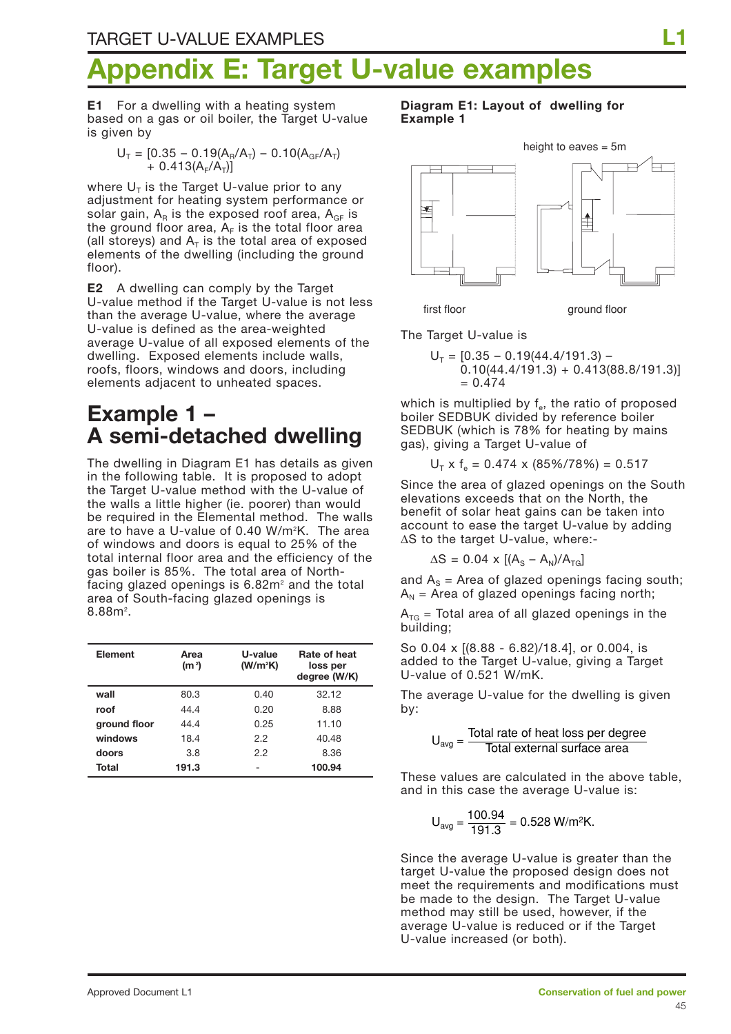# **Farget U-value examples**

**E1** For a dwelling with a heating system based on a gas or oil boiler, the Target U-value is given by

$$
U_{T} = [0.35 - 0.19(A_{R}/A_{T}) - 0.10(A_{GF}/A_{T}) + 0.413(A_{F}/A_{T})]
$$

where  $U_T$  is the Target U-value prior to any adjustment for heating system performance or solar gain,  $A_R$  is the exposed roof area,  $A_{GF}$  is the ground floor area,  $A_F$  is the total floor area (all storeys) and  $A_T$  is the total area of exposed elements of the dwelling (including the ground floor).

**E2** A dwelling can comply by the Target U-value method if the Target U-value is not less than the average U-value, where the average U-value is defined as the area-weighted average U-value of all exposed elements of the dwelling. Exposed elements include walls, roofs, floors, windows and doors, including elements adjacent to unheated spaces.

## **Example 1 – A semi-detached dwelling**

The dwelling in Diagram E1 has details as given in the following table. It is proposed to adopt the Target U-value method with the U-value of the walls a little higher (ie. poorer) than would be required in the Elemental method. The walls are to have a U-value of 0.40 W/m2 K. The area of windows and doors is equal to 25% of the total internal floor area and the efficiency of the gas boiler is 85%. The total area of Northfacing glazed openings is  $6.82<sup>m²</sup>$  and the total area of South-facing glazed openings is  $8.88<sup>2</sup>$ .

| <b>Element</b> | Area<br>(m <sup>2</sup> ) | U-value<br>(W/m <sup>2</sup> K) | Rate of heat<br>loss per<br>degree (W/K) |
|----------------|---------------------------|---------------------------------|------------------------------------------|
| wall           | 80.3                      | 0.40                            | 32.12                                    |
| roof           | 44.4                      | 0.20                            | 8.88                                     |
| ground floor   | 44.4                      | 0.25                            | 11.10                                    |
| windows        | 18.4                      | 2.2                             | 40.48                                    |
| doors          | 3.8                       | 2.2                             | 8.36                                     |
| Total          | 191.3                     |                                 | 100.94                                   |

**Diagram E1: Layout of dwelling for Example 1**



The Target U-value is

 $U_T = [0.35 - 0.19(44.4/191.3) 0.10(44.4/191.3) + 0.413(88.8/191.3)$  $= 0.474$ 

which is multiplied by  $f_e$ , the ratio of proposed boiler SEDBUK divided by reference boiler SEDBUK (which is 78% for heating by mains gas), giving a Target U-value of

$$
U_T \times f_e = 0.474 \times (85\%/78\%) = 0.517
$$

Since the area of glazed openings on the South elevations exceeds that on the North, the benefit of solar heat gains can be taken into account to ease the target U-value by adding ∆S to the target U-value, where:-

 $\Delta S = 0.04 \times [(A_s - A_N)/A_{TG}]$ 

and  $A_s$  = Area of glazed openings facing south;  $A_N$  = Area of glazed openings facing north;

 $A_{TG}$  = Total area of all glazed openings in the building;

So 0.04 x [(8.88 - 6.82)/18.4], or 0.004, is added to the Target U-value, giving a Target U-value of 0.521 W/mK.

The average U-value for the dwelling is given by:

 $U_{\text{avg}} = \frac{\text{Total rate of heat loss per degree}}{\text{Total external surface area}}$ 

These values are calculated in the above table, and in this case the average U-value is:

$$
U_{avg} = \frac{100.94}{191.3} = 0.528 \text{ W/m}^2 \text{K}.
$$

Since the average U-value is greater than the target U-value the proposed design does not meet the requirements and modifications must be made to the design. The Target U-value method may still be used, however, if the average U-value is reduced or if the Target U-value increased (or both).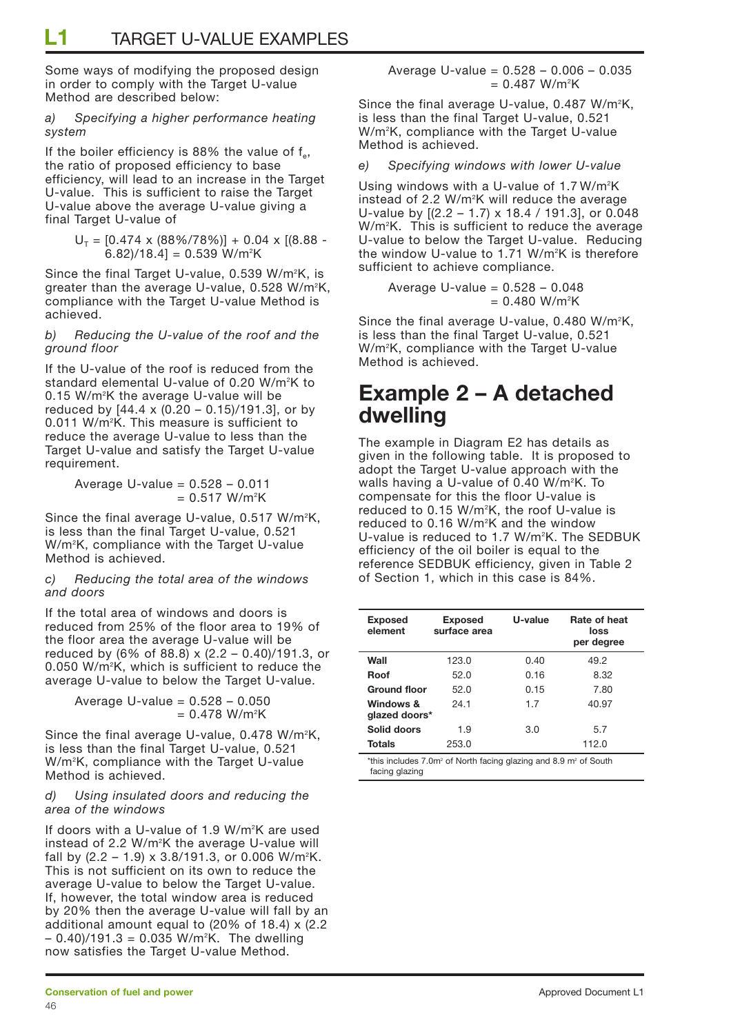Some ways of modifying the proposed design in order to comply with the Target U-value Method are described below:

#### *a) Specifying a higher performance heating system*

If the boiler efficiency is 88% the value of  $f_e$ , the ratio of proposed efficiency to base efficiency, will lead to an increase in the Target U-value. This is sufficient to raise the Target U-value above the average U-value giving a final Target U-value of

$$
U_T = [0.474 \times (88\%/78\%)] + 0.04 \times [(8.88 - 6.82)/18.4] = 0.539 W/m2K
$$

Since the final Target U-value, 0.539 W/m<sup>2</sup>K, is greater than the average U-value, 0.528 W/m2 K, compliance with the Target U-value Method is achieved.

#### *b) Reducing the U-value of the roof and the ground floor*

If the U-value of the roof is reduced from the standard elemental U-value of 0.20 W/m2 K to 0.15 W/m<sup>2</sup>K the average U-value will be reduced by  $[44.4 \times (0.20 - 0.15)/191.3]$ , or by 0.011 W/m2 K. This measure is sufficient to reduce the average U-value to less than the Target U-value and satisfy the Target U-value requirement.

> Average U-value =  $0.528 - 0.011$ = 0.517 W/m2 K

Since the final average U-value, 0.517 W/m<sup>2</sup>K, is less than the final Target U-value, 0.521 W/m2 K, compliance with the Target U-value Method is achieved.

#### *c) Reducing the total area of the windows and doors*

If the total area of windows and doors is reduced from 25% of the floor area to 19% of the floor area the average U-value will be reduced by (6% of 88.8) x (2.2 – 0.40)/191.3, or 0.050 W/m2 K, which is sufficient to reduce the average U-value to below the Target U-value.

> Average U-value =  $0.528 - 0.050$ = 0.478 W/m2 K

Since the final average U-value, 0.478 W/m<sup>2</sup>K, is less than the final Target U-value, 0.521 W/m2 K, compliance with the Target U-value Method is achieved.

#### *d) Using insulated doors and reducing the area of the windows*

If doors with a U-value of 1.9 W/m<sup>2</sup>K are used instead of 2.2 W/m<sup>2</sup>K the average U-value will fall by  $(2.2 - 1.9) \times 3.8/191.3$ , or 0.006 W/m<sup>2</sup>K. This is not sufficient on its own to reduce the average U-value to below the Target U-value. If, however, the total window area is reduced by 20% then the average U-value will fall by an additional amount equal to (20% of 18.4) x (2.2 – 0.40)/191.3 = 0.035 W/m2 K. The dwelling now satisfies the Target U-value Method.

Average U-value = 0.528 – 0.006 – 0.035 = 0.487 W/m2 K

Since the final average U-value,  $0.487$  W/m<sup>2</sup>K, is less than the final Target U-value, 0.521 W/m2 K, compliance with the Target U-value Method is achieved.

#### *e) Specifying windows with lower U-value*

Using windows with a U-value of 1.7 W/m<sup>2</sup>K instead of 2.2 W/m<sup>2</sup>K will reduce the average U-value by  $[(2.2 - 1.7) \times 18.4 / 191.3]$ , or 0.048 W/m2 K. This is sufficient to reduce the average U-value to below the Target U-value. Reducing the window U-value to 1.71 W/m²K is therefore sufficient to achieve compliance.

Average U-value =  $0.528 - 0.048$ = 0.480 W/m2 K

Since the final average U-value,  $0.480$  W/m<sup>2</sup>K, is less than the final Target U-value, 0.521 W/m2 K, compliance with the Target U-value Method is achieved.

## **Example 2 – A detached dwelling**

The example in Diagram E2 has details as given in the following table. It is proposed to adopt the Target U-value approach with the walls having a U-value of 0.40 W/m2 K. To compensate for this the floor U-value is reduced to 0.15 W/m2 K, the roof U-value is reduced to 0.16 W/m2 K and the window U-value is reduced to 1.7 W/m<sup>2</sup>K. The SEDBUK efficiency of the oil boiler is equal to the reference SEDBUK efficiency, given in Table 2 of Section 1, which in this case is 84%.

| <b>Exposed</b><br>element  | <b>Exposed</b><br>surface area | U-value | Rate of heat<br>loss<br>per degree |
|----------------------------|--------------------------------|---------|------------------------------------|
| Wall                       | 123.0                          | 0.40    | 49.2                               |
| Roof                       | 52.0                           | 0.16    | 8.32                               |
| <b>Ground floor</b>        | 52.0                           | 0.15    | 7.80                               |
| Windows &<br>glazed doors* | 24.1                           | 1.7     | 40.97                              |
| Solid doors                | 1.9                            | 3.0     | 5.7                                |
| Totals                     | 253.0                          |         | 112.0                              |

 $*$ this includes 7.0m<sup>2</sup> of North facing glazing and 8.9 m<sup>2</sup> of South facing glazing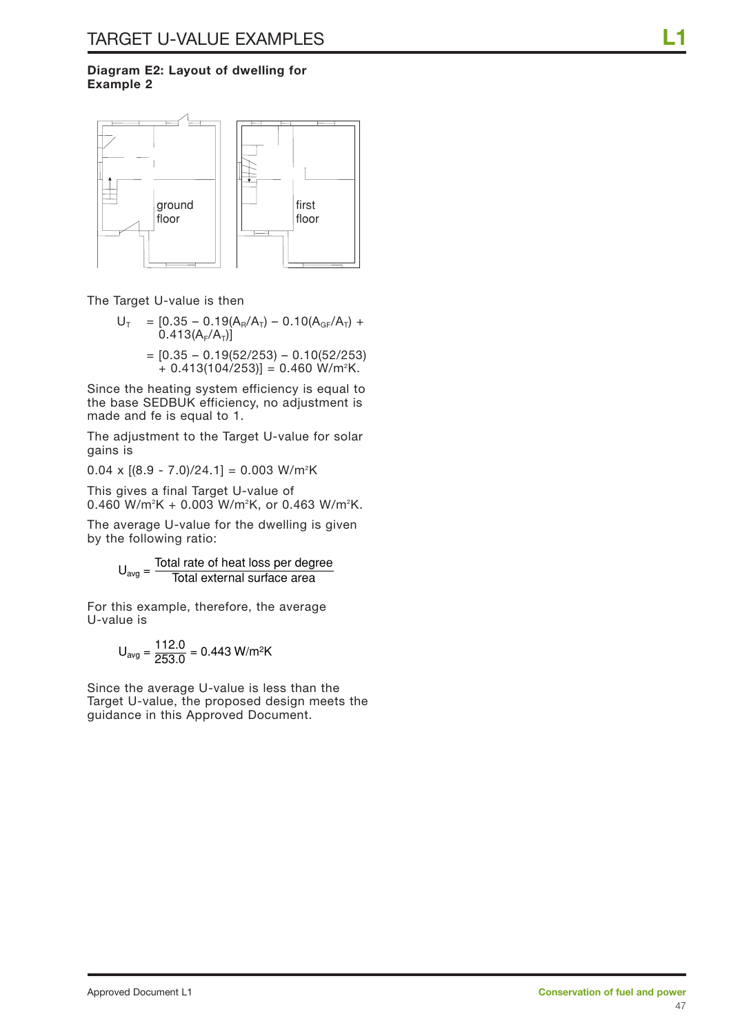#### **Diagram E2: Layout of dwelling for Example 2**



The Target U-value is then

- $U_T$  = [0.35 0.19(A<sub>R</sub>/A<sub>T</sub>) 0.10(A<sub>GF</sub>/A<sub>T</sub>) +  $0.413(A_F/A_T)$ 
	- $=$  [0.35 0.19(52/253) 0.10(52/253) + 0.413(104/253)] = 0.460 W/m2 K.

Since the heating system efficiency is equal to the base SEDBUK efficiency, no adjustment is made and fe is equal to 1.

The adjustment to the Target U-value for solar gains is

0.04 x [(8.9 - 7.0)/24.1] = 0.003 W/m2 K

This gives a final Target U-value of 0.460 W/m²K + 0.003 W/m²K, or 0.463 W/m²K.

The average U-value for the dwelling is given by the following ratio:

 $U_{\text{avg}} = \frac{\text{Total rate of heat loss per degree}}{\text{Total external surface area}}$ 

For this example, therefore, the average U-value is

$$
U_{avg} = \frac{112.0}{253.0} = 0.443 \text{ W/m}^2\text{K}
$$

Since the average U-value is less than the Target U-value, the proposed design meets the guidance in this Approved Document.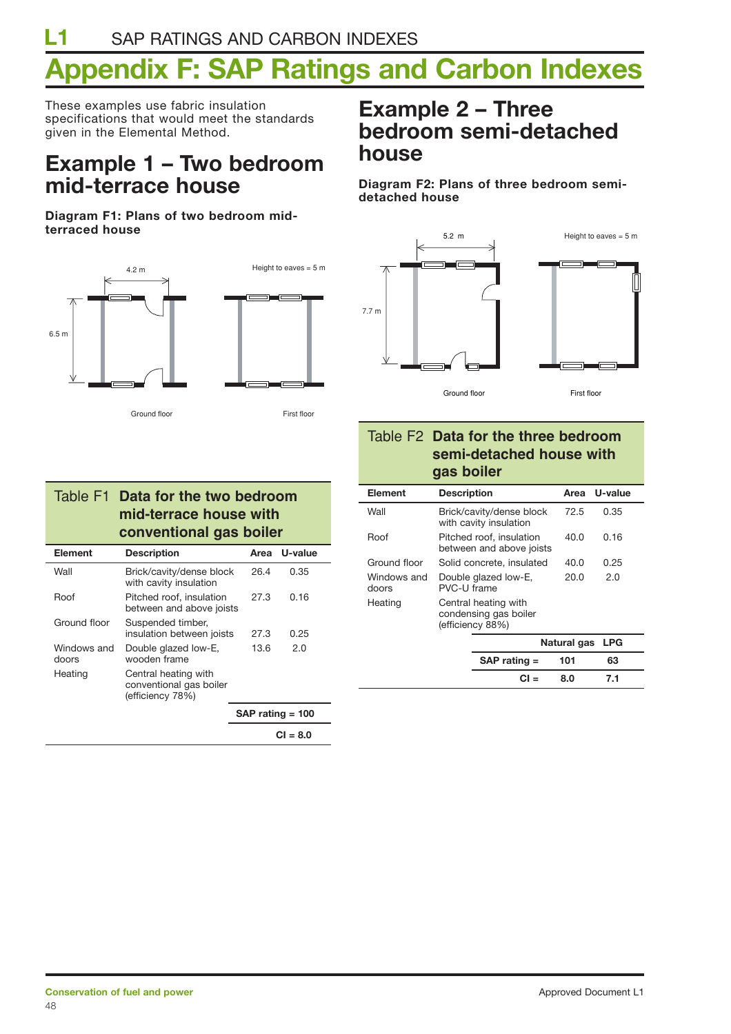# **Appendix F: SAP Ratings and Carbon Indexes**

These examples use fabric insulation specifications that would meet the standards given in the Elemental Method.

## **Example 1 – Two bedroom mid-terrace house**

**Diagram F1: Plans of two bedroom midterraced house**



Ground floor First floor

### Table F1 **Data for the two bedroom mid-terrace house with conventional gas boiler**

| <b>Element</b>       | <b>Description</b>                                                  | Area               | U-value  |
|----------------------|---------------------------------------------------------------------|--------------------|----------|
| Wall                 | Brick/cavity/dense block<br>with cavity insulation                  | 26.4               | 0.35     |
| Roof                 | Pitched roof, insulation<br>between and above joists                | 27.3               | 0.16     |
| Ground floor         | Suspended timber,<br>insulation between joists                      | 27.3               | 0.25     |
| Windows and<br>doors | Double glazed low-E,<br>wooden frame                                | 13.6               | 2.0      |
| Heating              | Central heating with<br>conventional gas boiler<br>(efficiency 78%) |                    |          |
|                      |                                                                     | $SAP$ rating = 100 |          |
|                      |                                                                     |                    | <u>_</u> |

**CI = 8.0**

## **Example 2 – Three bedroom semi-detached house**

**Diagram F2: Plans of three bedroom semidetached house**



**CI = 8.0 7.1**

### Table F2 **Data for the three bedroom semi-detached house with gas boiler**

| Element              | <b>Description</b>                  |                                                                   | Area        | U-value    |  |
|----------------------|-------------------------------------|-------------------------------------------------------------------|-------------|------------|--|
| Wall                 |                                     | Brick/cavity/dense block<br>with cavity insulation                | 72.5        | 0.35       |  |
| Roof                 |                                     | Pitched roof, insulation<br>between and above joists              | 40.0        | 0.16       |  |
| Ground floor         |                                     | Solid concrete, insulated                                         | 40.O        | 0.25       |  |
| Windows and<br>doors | Double glazed low-E,<br>PVC-U frame |                                                                   | 20.O        | 2.0        |  |
| Heating              |                                     | Central heating with<br>condensing gas boiler<br>(efficiency 88%) |             |            |  |
|                      |                                     |                                                                   | Natural gas | <b>LPG</b> |  |
|                      |                                     | $SAP$ rating $=$                                                  | 101         | 63         |  |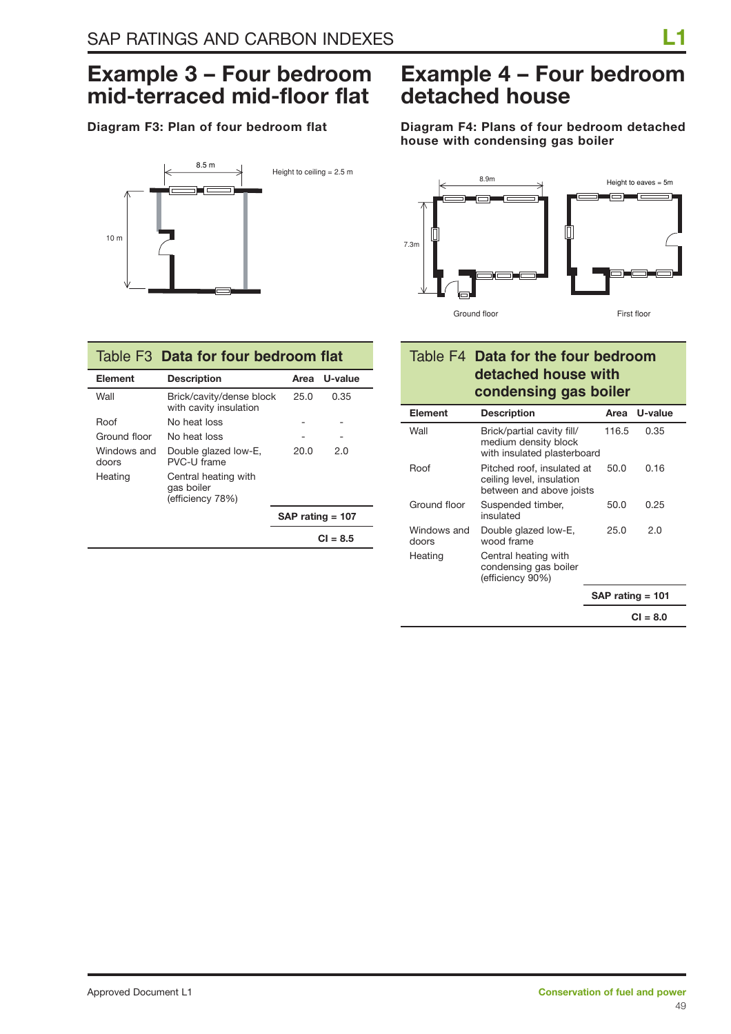## **Example 3 – Four bedroom mid-terraced mid-floor flat**

### **Diagram F3: Plan of four bedroom flat**



### Table F3 **Data for four bedroom flat**

| Element              | <b>Description</b>                                     |                    | Area U-value |
|----------------------|--------------------------------------------------------|--------------------|--------------|
| Wall                 | Brick/cavity/dense block<br>with cavity insulation     | 25.0               | 0.35         |
| Roof                 | No heat loss                                           |                    |              |
| Ground floor         | No heat loss                                           |                    |              |
| Windows and<br>doors | Double glazed low-E,<br>PVC-U frame                    | 20.O               | 2.0          |
| Heating              | Central heating with<br>gas boiler<br>(efficiency 78%) |                    |              |
|                      |                                                        | $SAP$ rating = 107 |              |
|                      |                                                        |                    | $CI = 8.5$   |

## **Example 4 – Four bedroom detached house**

**Diagram F4: Plans of four bedroom detached house with condensing gas boiler**



### Table F4 **Data for the four bedroom detached house with condensing gas boiler**

| Element              | <b>Description</b>                                                                  | Area  | U-value            |
|----------------------|-------------------------------------------------------------------------------------|-------|--------------------|
| Wall                 | Brick/partial cavity fill/<br>medium density block<br>with insulated plasterboard   | 116.5 | 0.35               |
| Roof                 | Pitched roof, insulated at<br>ceiling level, insulation<br>between and above joists | 50.0  | 0.16               |
| Ground floor         | Suspended timber,<br>insulated                                                      | 50.0  | 0.25               |
| Windows and<br>doors | Double glazed low-E,<br>wood frame                                                  | 25.0  | 2.0                |
| Heating              | Central heating with<br>condensing gas boiler<br>(efficiency 90%)                   |       |                    |
|                      |                                                                                     |       | $SAP$ rating = 101 |
|                      |                                                                                     |       | CI = 8.0           |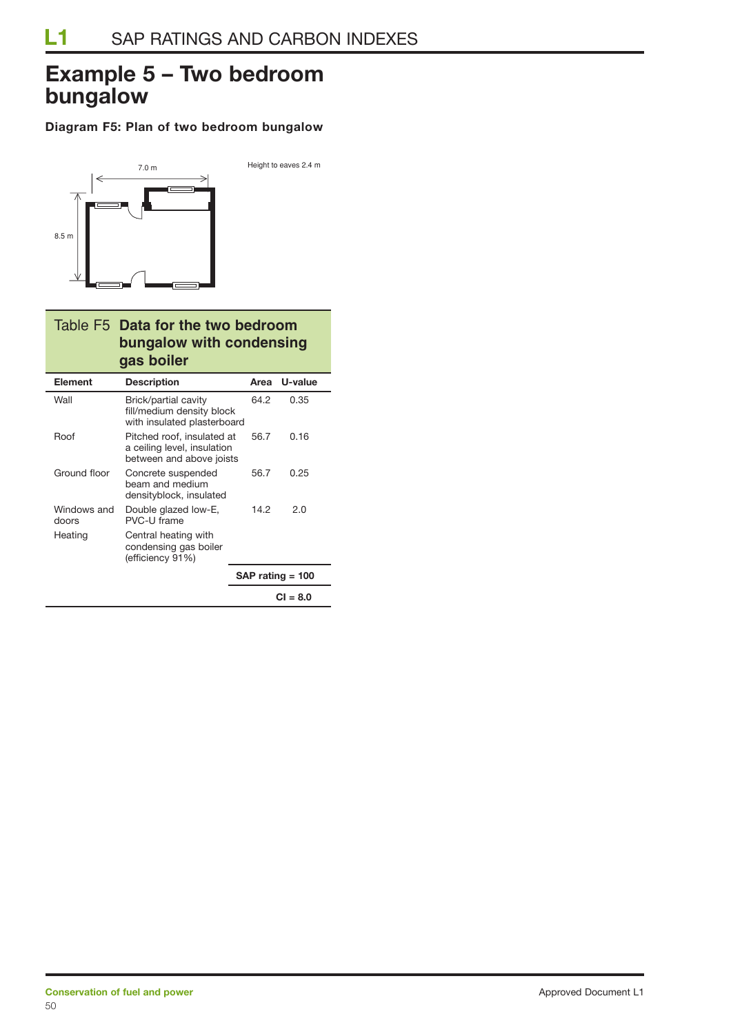## **Example 5 – Two bedroom bungalow**

#### **Diagram F5: Plan of two bedroom bungalow**



### Table F5 **Data for the two bedroom bungalow with condensing gas boiler**

| <b>Element</b>       | <b>Description</b>                                                                    | Area | U-value            |
|----------------------|---------------------------------------------------------------------------------------|------|--------------------|
| Wall                 | Brick/partial cavity<br>fill/medium density block<br>with insulated plasterboard      | 64.2 | 0.35               |
| Roof                 | Pitched roof, insulated at<br>a ceiling level, insulation<br>between and above joists | 56.7 | 0.16               |
| Ground floor         | Concrete suspended<br>beam and medium<br>densityblock, insulated                      | 56.7 | 0.25               |
| Windows and<br>doors | Double glazed low-E,<br>PVC-U frame                                                   | 14.2 | 2.0                |
| Heating              | Central heating with<br>condensing gas boiler<br>(efficiency 91%)                     |      |                    |
|                      |                                                                                       |      | $SAP$ rating = 100 |
|                      |                                                                                       |      | $CI = 8.0$         |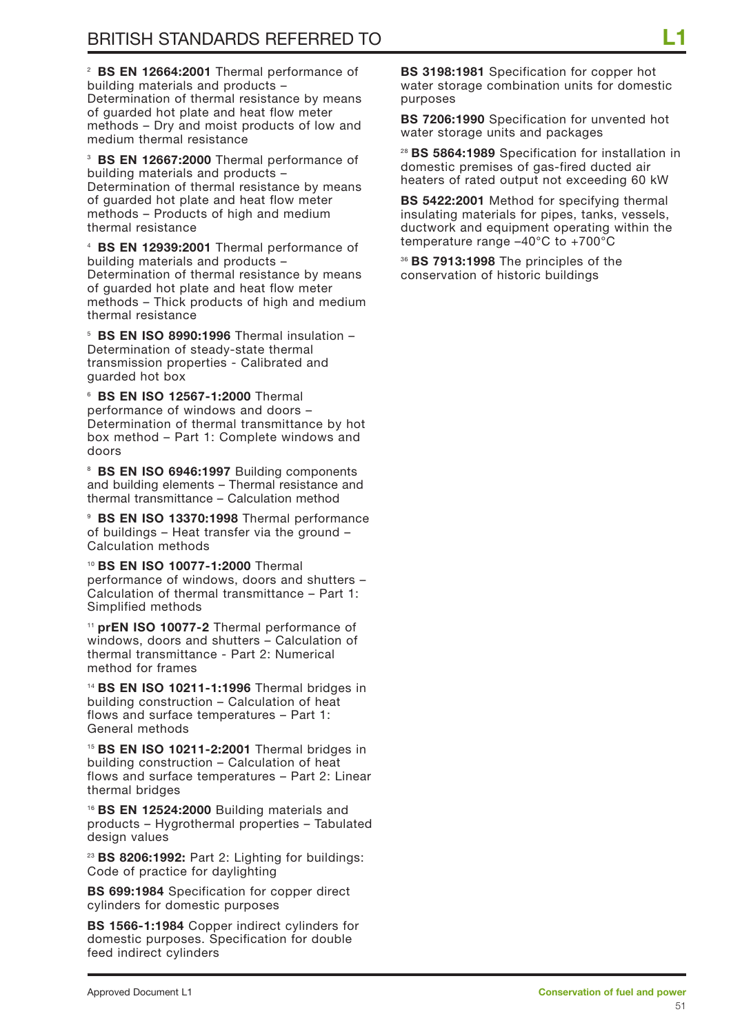<sup>2</sup> **BS EN 12664:2001** Thermal performance of building materials and products – Determination of thermal resistance by means of guarded hot plate and heat flow meter methods – Dry and moist products of low and medium thermal resistance

<sup>3</sup> **BS EN 12667:2000** Thermal performance of building materials and products – Determination of thermal resistance by means of guarded hot plate and heat flow meter methods – Products of high and medium thermal resistance

<sup>4</sup> **BS EN 12939:2001** Thermal performance of building materials and products – Determination of thermal resistance by means of guarded hot plate and heat flow meter methods – Thick products of high and medium thermal resistance

<sup>5</sup> **BS EN ISO 8990:1996** Thermal insulation – Determination of steady-state thermal transmission properties - Calibrated and guarded hot box

<sup>6</sup> **BS EN ISO 12567-1:2000** Thermal performance of windows and doors – Determination of thermal transmittance by hot box method – Part 1: Complete windows and doors

<sup>8</sup> BS EN ISO 6946:1997 Building components and building elements – Thermal resistance and thermal transmittance – Calculation method

<sup>9</sup> **BS EN ISO 13370:1998** Thermal performance of buildings – Heat transfer via the ground – Calculation methods

<sup>10</sup> **BS EN ISO 10077-1:2000** Thermal performance of windows, doors and shutters – Calculation of thermal transmittance – Part 1: Simplified methods

<sup>11</sup> **prEN ISO 10077-2** Thermal performance of windows, doors and shutters – Calculation of thermal transmittance - Part 2: Numerical method for frames

<sup>14</sup> **BS EN ISO 10211-1:1996** Thermal bridges in building construction – Calculation of heat flows and surface temperatures – Part 1: General methods

<sup>15</sup> **BS EN ISO 10211-2:2001** Thermal bridges in building construction – Calculation of heat flows and surface temperatures – Part 2: Linear thermal bridges

<sup>16</sup> **BS EN 12524:2000** Building materials and products – Hygrothermal properties – Tabulated design values

<sup>23</sup> **BS 8206:1992:** Part 2: Lighting for buildings: Code of practice for daylighting

**BS 699:1984** Specification for copper direct cylinders for domestic purposes

**BS 1566-1:1984** Copper indirect cylinders for domestic purposes. Specification for double feed indirect cylinders

**BS 3198:1981** Specification for copper hot water storage combination units for domestic purposes

**BS 7206:1990** Specification for unvented hot water storage units and packages

<sup>28</sup> **BS 5864:1989** Specification for installation in domestic premises of gas-fired ducted air heaters of rated output not exceeding 60 kW

**BS 5422:2001** Method for specifying thermal insulating materials for pipes, tanks, vessels, ductwork and equipment operating within the temperature range –40°C to +700°C

<sup>36</sup> **BS 7913:1998** The principles of the conservation of historic buildings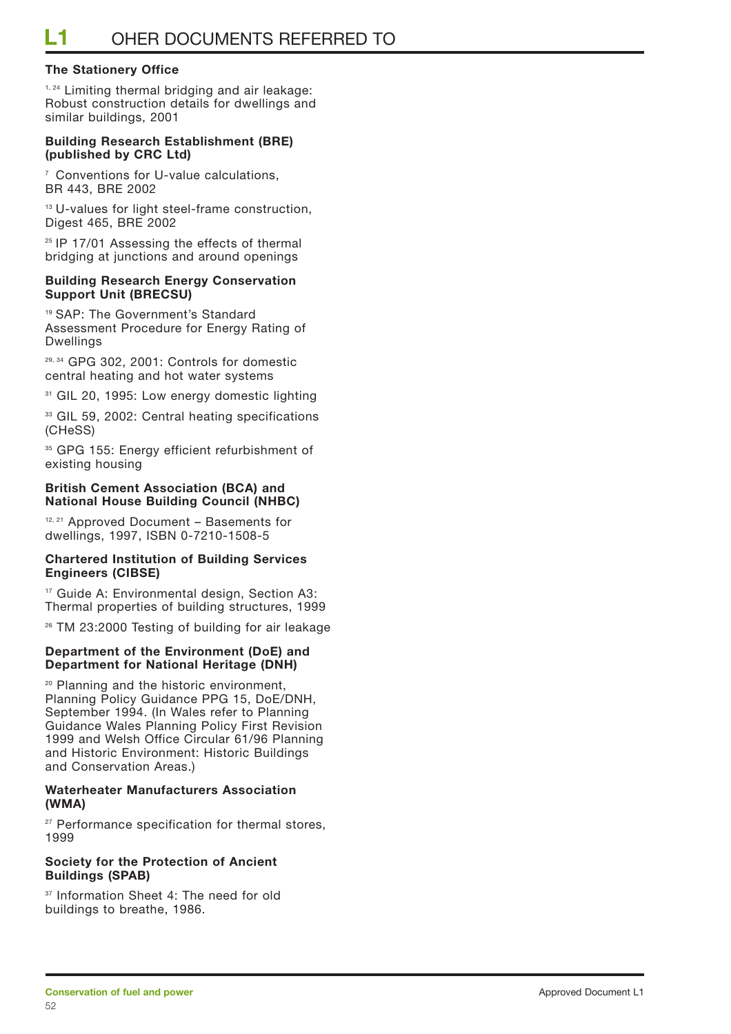#### **The Stationery Office**

<sup>1, 24</sup> Limiting thermal bridging and air leakage: Robust construction details for dwellings and similar buildings, 2001

#### **Building Research Establishment (BRE) (published by CRC Ltd)**

<sup>7</sup> Conventions for U-value calculations, BR 443, BRE 2002

<sup>13</sup> U-values for light steel-frame construction, Digest 465, BRE 2002

<sup>25</sup> IP 17/01 Assessing the effects of thermal bridging at junctions and around openings

#### **Building Research Energy Conservation Support Unit (BRECSU)**

<sup>19</sup> SAP: The Government's Standard Assessment Procedure for Energy Rating of Dwellings

29, 34 GPG 302, 2001: Controls for domestic central heating and hot water systems

<sup>31</sup> GIL 20, 1995: Low energy domestic lighting

<sup>33</sup> GIL 59, 2002: Central heating specifications (CHeSS)

<sup>35</sup> GPG 155: Energy efficient refurbishment of existing housing

#### **British Cement Association (BCA) and National House Building Council (NHBC)**

12, 21 Approved Document – Basements for dwellings, 1997, ISBN 0-7210-1508-5

#### **Chartered Institution of Building Services Engineers (CIBSE)**

<sup>17</sup> Guide A: Environmental design, Section A3: Thermal properties of building structures, 1999

<sup>26</sup> TM 23:2000 Testing of building for air leakage

#### **Department of the Environment (DoE) and Department for National Heritage (DNH)**

<sup>20</sup> Planning and the historic environment, Planning Policy Guidance PPG 15, DoE/DNH, September 1994. (In Wales refer to Planning Guidance Wales Planning Policy First Revision 1999 and Welsh Office Circular 61/96 Planning and Historic Environment: Historic Buildings and Conservation Areas.)

#### **Waterheater Manufacturers Association (WMA)**

<sup>27</sup> Performance specification for thermal stores, 1999

#### **Society for the Protection of Ancient Buildings (SPAB)**

<sup>37</sup> Information Sheet 4: The need for old buildings to breathe, 1986.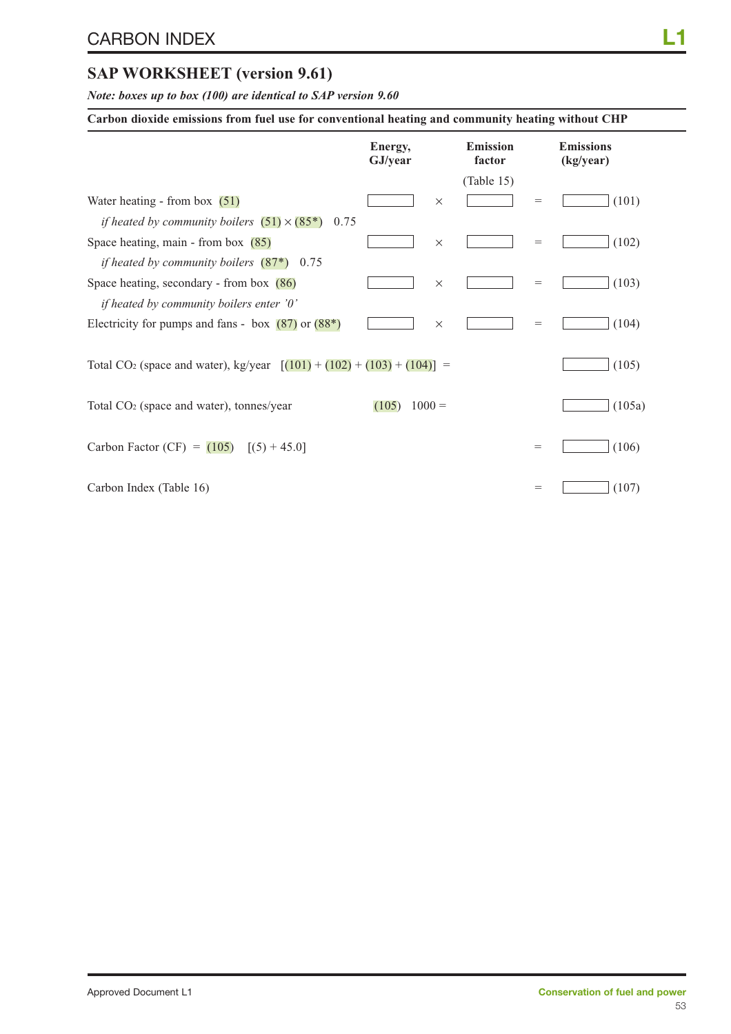### **SAP WORKSHEET (version 9.61)**

*Note: boxes up to box (100) are identical to SAP version 9.60*

|  |  | Carbon dioxide emissions from fuel use for conventional heating and community heating without CHP |
|--|--|---------------------------------------------------------------------------------------------------|
|  |  |                                                                                                   |

|                                                                                      | Energy,<br>GJ/year |          | <b>Emission</b><br>factor |     | <b>Emissions</b><br>(kg/year) |
|--------------------------------------------------------------------------------------|--------------------|----------|---------------------------|-----|-------------------------------|
|                                                                                      |                    |          | (Table 15)                |     |                               |
| Water heating - from box $(51)$                                                      |                    | $\times$ |                           | $=$ | (101)                         |
| <i>if heated by community boilers</i> $(51) \times (85^*)$<br>0.75                   |                    |          |                           |     |                               |
| Space heating, main - from box $(85)$                                                |                    | $\times$ |                           | $=$ | (102)                         |
| if heated by community boilers $(87^*)$ 0.75                                         |                    |          |                           |     |                               |
| Space heating, secondary - from box $(86)$                                           |                    | $\times$ |                           | $=$ | (103)                         |
| if heated by community boilers enter '0'                                             |                    |          |                           |     |                               |
| Electricity for pumps and fans - box $(87)$ or $(88*)$                               |                    | $\times$ |                           | $=$ | (104)                         |
| Total CO <sub>2</sub> (space and water), kg/year $[(101) + (102) + (103) + (104)] =$ |                    |          |                           |     | (105)                         |
| Total CO <sub>2</sub> (space and water), tonnes/year                                 | (105)              | $1000 =$ |                           |     | (105a)                        |
| Carbon Factor (CF) = $(105)$ [(5) + 45.0]                                            |                    |          |                           | $=$ | (106)                         |
| Carbon Index (Table 16)                                                              |                    |          |                           | $=$ | (107)                         |